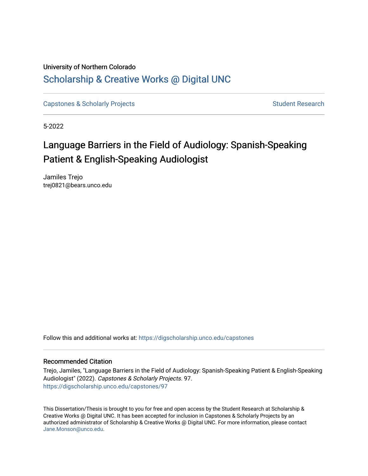# University of Northern Colorado [Scholarship & Creative Works @ Digital UNC](https://digscholarship.unco.edu/)

[Capstones & Scholarly Projects](https://digscholarship.unco.edu/capstones) **Student Research** Student Research

5-2022

# Language Barriers in the Field of Audiology: Spanish-Speaking Patient & English-Speaking Audiologist

Jamiles Trejo trej0821@bears.unco.edu

Follow this and additional works at: [https://digscholarship.unco.edu/capstones](https://digscholarship.unco.edu/capstones?utm_source=digscholarship.unco.edu%2Fcapstones%2F97&utm_medium=PDF&utm_campaign=PDFCoverPages) 

#### Recommended Citation

Trejo, Jamiles, "Language Barriers in the Field of Audiology: Spanish-Speaking Patient & English-Speaking Audiologist" (2022). Capstones & Scholarly Projects. 97. [https://digscholarship.unco.edu/capstones/97](https://digscholarship.unco.edu/capstones/97?utm_source=digscholarship.unco.edu%2Fcapstones%2F97&utm_medium=PDF&utm_campaign=PDFCoverPages)

This Dissertation/Thesis is brought to you for free and open access by the Student Research at Scholarship & Creative Works @ Digital UNC. It has been accepted for inclusion in Capstones & Scholarly Projects by an authorized administrator of Scholarship & Creative Works @ Digital UNC. For more information, please contact [Jane.Monson@unco.edu.](mailto:Jane.Monson@unco.edu)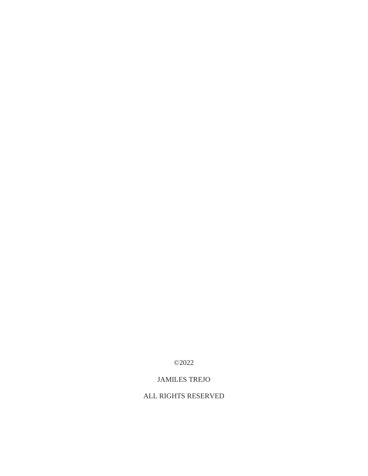©2022

# JAMILES TREJO

# ALL RIGHTS RESERVED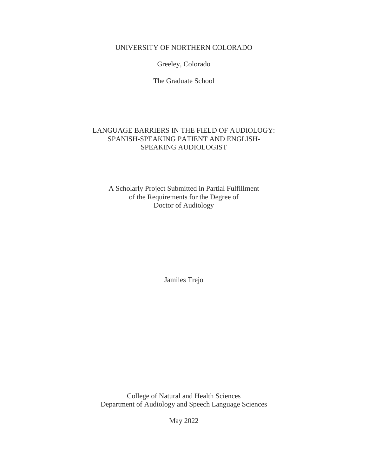# UNIVERSITY OF NORTHERN COLORADO

Greeley, Colorado

The Graduate School

# LANGUAGE BARRIERS IN THE FIELD OF AUDIOLOGY: SPANISH-SPEAKING PATIENT AND ENGLISH-SPEAKING AUDIOLOGIST

A Scholarly Project Submitted in Partial Fulfillment of the Requirements for the Degree of Doctor of Audiology

Jamiles Trejo

College of Natural and Health Sciences Department of Audiology and Speech Language Sciences

May 2022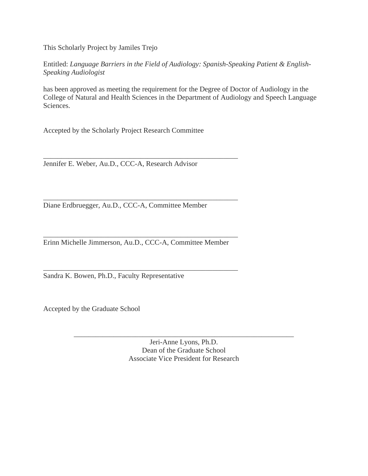This Scholarly Project by Jamiles Trejo

Entitled: *Language Barriers in the Field of Audiology: Spanish-Speaking Patient & English-Speaking Audiologist*

has been approved as meeting the requirement for the Degree of Doctor of Audiology in the College of Natural and Health Sciences in the Department of Audiology and Speech Language Sciences.

Accepted by the Scholarly Project Research Committee

Jennifer E. Weber, Au.D., CCC-A, Research Advisor

Diane Erdbruegger, Au.D., CCC-A, Committee Member

\_\_\_\_\_\_\_\_\_\_\_\_\_\_\_\_\_\_\_\_\_\_\_\_\_\_\_\_\_\_\_\_\_\_\_\_\_\_\_\_\_\_\_\_\_\_\_\_\_\_\_\_\_\_ Erinn Michelle Jimmerson, Au.D., CCC-A, Committee Member

\_\_\_\_\_\_\_\_\_\_\_\_\_\_\_\_\_\_\_\_\_\_\_\_\_\_\_\_\_\_\_\_\_\_\_\_\_\_\_\_\_\_\_\_\_\_\_\_\_\_\_\_\_\_

\_\_\_\_\_\_\_\_\_\_\_\_\_\_\_\_\_\_\_\_\_\_\_\_\_\_\_\_\_\_\_\_\_\_\_\_\_\_\_\_\_\_\_\_\_\_\_\_\_\_\_\_\_\_

\_\_\_\_\_\_\_\_\_\_\_\_\_\_\_\_\_\_\_\_\_\_\_\_\_\_\_\_\_\_\_\_\_\_\_\_\_\_\_\_\_\_\_\_\_\_\_\_\_\_\_\_\_\_

Sandra K. Bowen, Ph.D., Faculty Representative

Accepted by the Graduate School

Jeri-Anne Lyons, Ph.D. Dean of the Graduate School Associate Vice President for Research

\_\_\_\_\_\_\_\_\_\_\_\_\_\_\_\_\_\_\_\_\_\_\_\_\_\_\_\_\_\_\_\_\_\_\_\_\_\_\_\_\_\_\_\_\_\_\_\_\_\_\_\_\_\_\_\_\_\_\_\_\_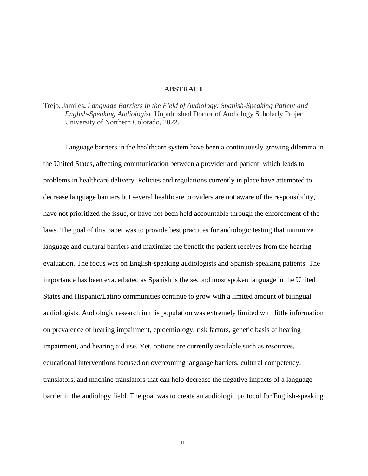#### **ABSTRACT**

Trejo, Jamiles**.** *Language Barriers in the Field of Audiology: Spanish-Speaking Patient and English-Speaking Audiologist*. Unpublished Doctor of Audiology Scholarly Project, University of Northern Colorado, 2022.

Language barriers in the healthcare system have been a continuously growing dilemma in the United States, affecting communication between a provider and patient, which leads to problems in healthcare delivery. Policies and regulations currently in place have attempted to decrease language barriers but several healthcare providers are not aware of the responsibility, have not prioritized the issue, or have not been held accountable through the enforcement of the laws. The goal of this paper was to provide best practices for audiologic testing that minimize language and cultural barriers and maximize the benefit the patient receives from the hearing evaluation. The focus was on English-speaking audiologists and Spanish-speaking patients. The importance has been exacerbated as Spanish is the second most spoken language in the United States and Hispanic/Latino communities continue to grow with a limited amount of bilingual audiologists. Audiologic research in this population was extremely limited with little information on prevalence of hearing impairment, epidemiology, risk factors, genetic basis of hearing impairment, and hearing aid use. Yet, options are currently available such as resources, educational interventions focused on overcoming language barriers, cultural competency, translators, and machine translators that can help decrease the negative impacts of a language barrier in the audiology field. The goal was to create an audiologic protocol for English-speaking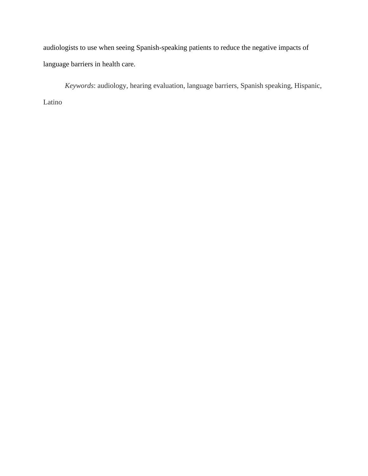audiologists to use when seeing Spanish-speaking patients to reduce the negative impacts of language barriers in health care.

*Keywords*: audiology, hearing evaluation, language barriers, Spanish speaking, Hispanic, Latino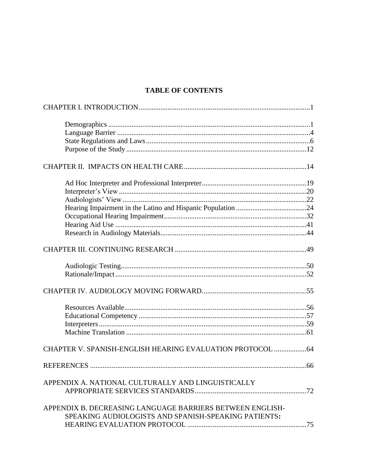# **TABLE OF CONTENTS**

| CHAPTER V. SPANISH-ENGLISH HEARING EVALUATION PROTOCOL  64 |  |
|------------------------------------------------------------|--|
|                                                            |  |
| APPENDIX A. NATIONAL CULTURALLY AND LINGUISTICALLY         |  |
|                                                            |  |
| APPENDIX B. DECREASING LANGUAGE BARRIERS BETWEEN ENGLISH-  |  |
| SPEAKING AUDIOLOGISTS AND SPANISH-SPEAKING PATIENTS:       |  |
|                                                            |  |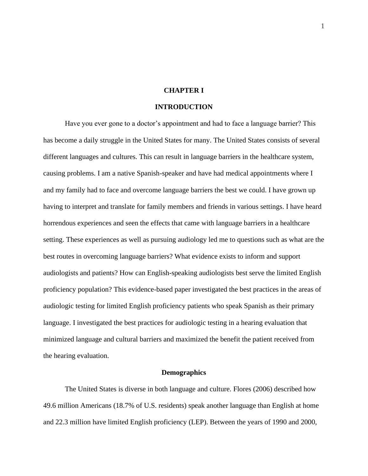## **CHAPTER I**

#### **INTRODUCTION**

<span id="page-7-0"></span>Have you ever gone to a doctor's appointment and had to face a language barrier? This has become a daily struggle in the United States for many. The United States consists of several different languages and cultures. This can result in language barriers in the healthcare system, causing problems. I am a native Spanish-speaker and have had medical appointments where I and my family had to face and overcome language barriers the best we could. I have grown up having to interpret and translate for family members and friends in various settings. I have heard horrendous experiences and seen the effects that came with language barriers in a healthcare setting. These experiences as well as pursuing audiology led me to questions such as what are the best routes in overcoming language barriers? What evidence exists to inform and support audiologists and patients? How can English-speaking audiologists best serve the limited English proficiency population? This evidence-based paper investigated the best practices in the areas of audiologic testing for limited English proficiency patients who speak Spanish as their primary language. I investigated the best practices for audiologic testing in a hearing evaluation that minimized language and cultural barriers and maximized the benefit the patient received from the hearing evaluation.

#### **Demographics**

<span id="page-7-1"></span>The United States is diverse in both language and culture. Flores (2006) described how 49.6 million Americans (18.7% of U.S. residents) speak another language than English at home and 22.3 million have limited English proficiency (LEP). Between the years of 1990 and 2000,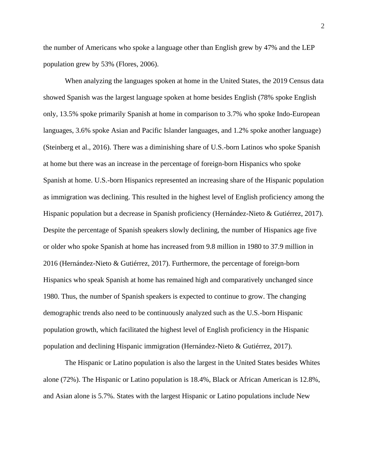the number of Americans who spoke a language other than English grew by 47% and the LEP population grew by 53% (Flores, 2006).

When analyzing the languages spoken at home in the United States, the 2019 Census data showed Spanish was the largest language spoken at home besides English (78% spoke English only, 13.5% spoke primarily Spanish at home in comparison to 3.7% who spoke Indo-European languages, 3.6% spoke Asian and Pacific Islander languages, and 1.2% spoke another language) (Steinberg et al., 2016). There was a diminishing share of U.S.-born Latinos who spoke Spanish at home but there was an increase in the percentage of foreign-born Hispanics who spoke Spanish at home. U.S.-born Hispanics represented an increasing share of the Hispanic population as immigration was declining. This resulted in the highest level of English proficiency among the Hispanic population but a decrease in Spanish proficiency (Hernández-Nieto & Gutiérrez, 2017). Despite the percentage of Spanish speakers slowly declining, the number of Hispanics age five or older who spoke Spanish at home has increased from 9.8 million in 1980 to 37.9 million in 2016 (Hernández-Nieto & Gutiérrez, 2017). Furthermore, the percentage of foreign-born Hispanics who speak Spanish at home has remained high and comparatively unchanged since 1980. Thus, the number of Spanish speakers is expected to continue to grow. The changing demographic trends also need to be continuously analyzed such as the U.S.-born Hispanic population growth, which facilitated the highest level of English proficiency in the Hispanic population and declining Hispanic immigration (Hernández-Nieto & Gutiérrez, 2017).

The Hispanic or Latino population is also the largest in the United States besides Whites alone (72%). The Hispanic or Latino population is 18.4%, Black or African American is 12.8%, and Asian alone is 5.7%. States with the largest Hispanic or Latino populations include New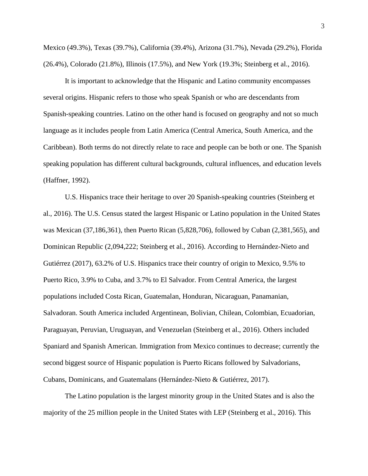Mexico (49.3%), Texas (39.7%), California (39.4%), Arizona (31.7%), Nevada (29.2%), Florida (26.4%), Colorado (21.8%), Illinois (17.5%), and New York (19.3%; Steinberg et al., 2016).

It is important to acknowledge that the Hispanic and Latino community encompasses several origins. Hispanic refers to those who speak Spanish or who are descendants from Spanish-speaking countries. Latino on the other hand is focused on geography and not so much language as it includes people from Latin America (Central America, South America, and the Caribbean). Both terms do not directly relate to race and people can be both or one. The Spanish speaking population has different cultural backgrounds, cultural influences, and education levels (Haffner, 1992).

U.S. Hispanics trace their heritage to over 20 Spanish-speaking countries (Steinberg et al., 2016). The U.S. Census stated the largest Hispanic or Latino population in the United States was Mexican (37,186,361), then Puerto Rican (5,828,706), followed by Cuban (2,381,565), and Dominican Republic (2,094,222; Steinberg et al., 2016). According to Hernández-Nieto and Gutiérrez (2017), 63.2% of U.S. Hispanics trace their country of origin to Mexico, 9.5% to Puerto Rico, 3.9% to Cuba, and 3.7% to El Salvador. From Central America, the largest populations included Costa Rican, Guatemalan, Honduran, Nicaraguan, Panamanian, Salvadoran. South America included Argentinean, Bolivian, Chilean, Colombian, Ecuadorian, Paraguayan, Peruvian, Uruguayan, and Venezuelan (Steinberg et al., 2016). Others included Spaniard and Spanish American. Immigration from Mexico continues to decrease; currently the second biggest source of Hispanic population is Puerto Ricans followed by Salvadorians, Cubans, Dominicans, and Guatemalans (Hernández-Nieto & Gutiérrez, 2017).

The Latino population is the largest minority group in the United States and is also the majority of the 25 million people in the United States with LEP (Steinberg et al., 2016). This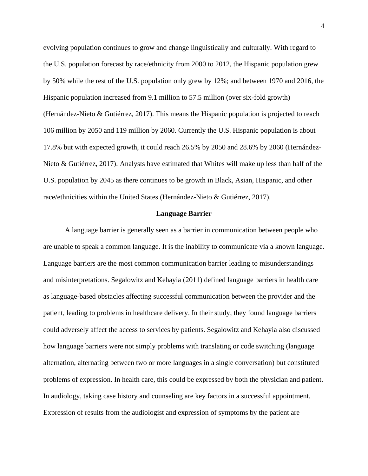evolving population continues to grow and change linguistically and culturally. With regard to the U.S. population forecast by race/ethnicity from 2000 to 2012, the Hispanic population grew by 50% while the rest of the U.S. population only grew by 12%; and between 1970 and 2016, the Hispanic population increased from 9.1 million to 57.5 million (over six-fold growth) (Hernández-Nieto & Gutiérrez, 2017). This means the Hispanic population is projected to reach 106 million by 2050 and 119 million by 2060. Currently the U.S. Hispanic population is about 17.8% but with expected growth, it could reach 26.5% by 2050 and 28.6% by 2060 (Hernández-Nieto & Gutiérrez, 2017). Analysts have estimated that Whites will make up less than half of the U.S. population by 2045 as there continues to be growth in Black, Asian, Hispanic, and other race/ethnicities within the United States (Hernández-Nieto & Gutiérrez, 2017).

#### **Language Barrier**

<span id="page-10-0"></span>A language barrier is generally seen as a barrier in communication between people who are unable to speak a common language. It is the inability to communicate via a known language. Language barriers are the most common communication barrier leading to misunderstandings and misinterpretations. Segalowitz and Kehayia (2011) defined language barriers in health care as language-based obstacles affecting successful communication between the provider and the patient, leading to problems in healthcare delivery. In their study, they found language barriers could adversely affect the access to services by patients. Segalowitz and Kehayia also discussed how language barriers were not simply problems with translating or code switching (language alternation, alternating between two or more languages in a single conversation) but constituted problems of expression. In health care, this could be expressed by both the physician and patient. In audiology, taking case history and counseling are key factors in a successful appointment. Expression of results from the audiologist and expression of symptoms by the patient are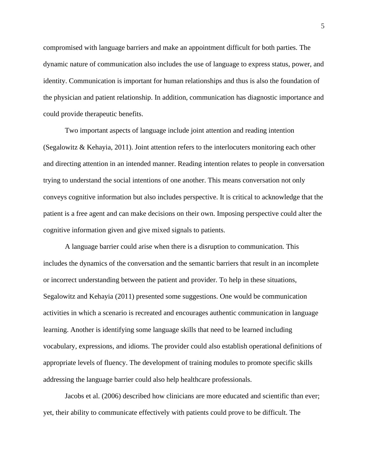compromised with language barriers and make an appointment difficult for both parties. The dynamic nature of communication also includes the use of language to express status, power, and identity. Communication is important for human relationships and thus is also the foundation of the physician and patient relationship. In addition, communication has diagnostic importance and could provide therapeutic benefits.

Two important aspects of language include joint attention and reading intention (Segalowitz & Kehayia, 2011). Joint attention refers to the interlocuters monitoring each other and directing attention in an intended manner. Reading intention relates to people in conversation trying to understand the social intentions of one another. This means conversation not only conveys cognitive information but also includes perspective. It is critical to acknowledge that the patient is a free agent and can make decisions on their own. Imposing perspective could alter the cognitive information given and give mixed signals to patients.

A language barrier could arise when there is a disruption to communication. This includes the dynamics of the conversation and the semantic barriers that result in an incomplete or incorrect understanding between the patient and provider. To help in these situations, Segalowitz and Kehayia (2011) presented some suggestions. One would be communication activities in which a scenario is recreated and encourages authentic communication in language learning. Another is identifying some language skills that need to be learned including vocabulary, expressions, and idioms. The provider could also establish operational definitions of appropriate levels of fluency. The development of training modules to promote specific skills addressing the language barrier could also help healthcare professionals.

Jacobs et al. (2006) described how clinicians are more educated and scientific than ever; yet, their ability to communicate effectively with patients could prove to be difficult. The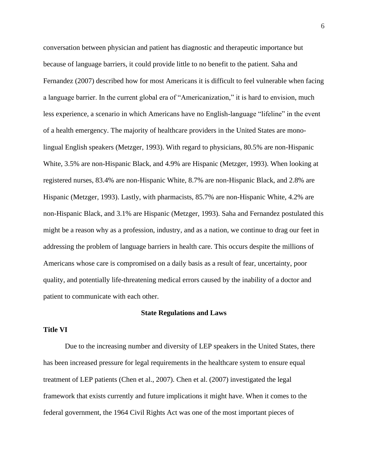conversation between physician and patient has diagnostic and therapeutic importance but because of language barriers, it could provide little to no benefit to the patient. Saha and Fernandez (2007) described how for most Americans it is difficult to feel vulnerable when facing a language barrier. In the current global era of "Americanization," it is hard to envision, much less experience, a scenario in which Americans have no English-language "lifeline" in the event of a health emergency. The majority of healthcare providers in the United States are monolingual English speakers (Metzger, 1993). With regard to physicians, 80.5% are non-Hispanic White, 3.5% are non-Hispanic Black, and 4.9% are Hispanic (Metzger, 1993). When looking at registered nurses, 83.4% are non-Hispanic White, 8.7% are non-Hispanic Black, and 2.8% are Hispanic (Metzger, 1993). Lastly, with pharmacists, 85.7% are non-Hispanic White, 4.2% are non-Hispanic Black, and 3.1% are Hispanic (Metzger, 1993). Saha and Fernandez postulated this might be a reason why as a profession, industry, and as a nation, we continue to drag our feet in addressing the problem of language barriers in health care. This occurs despite the millions of Americans whose care is compromised on a daily basis as a result of fear, uncertainty, poor quality, and potentially life-threatening medical errors caused by the inability of a doctor and patient to communicate with each other.

#### <span id="page-12-0"></span>**State Regulations and Laws**

#### <span id="page-12-1"></span>**Title VI**

Due to the increasing number and diversity of LEP speakers in the United States, there has been increased pressure for legal requirements in the healthcare system to ensure equal treatment of LEP patients (Chen et al., 2007). Chen et al. (2007) investigated the legal framework that exists currently and future implications it might have. When it comes to the federal government, the 1964 Civil Rights Act was one of the most important pieces of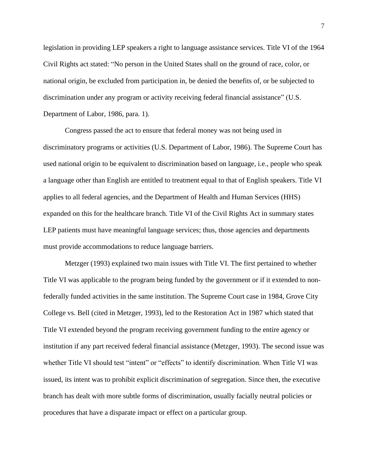legislation in providing LEP speakers a right to language assistance services. Title VI of the 1964 Civil Rights act stated: "No person in the United States shall on the ground of race, color, or national origin, be excluded from participation in, be denied the benefits of, or be subjected to discrimination under any program or activity receiving federal financial assistance" (U.S. Department of Labor, 1986, para. 1).

Congress passed the act to ensure that federal money was not being used in discriminatory programs or activities (U.S. Department of Labor, 1986). The Supreme Court has used national origin to be equivalent to discrimination based on language, i.e., people who speak a language other than English are entitled to treatment equal to that of English speakers. Title VI applies to all federal agencies, and the Department of Health and Human Services (HHS) expanded on this for the healthcare branch. Title VI of the Civil Rights Act in summary states LEP patients must have meaningful language services; thus, those agencies and departments must provide accommodations to reduce language barriers.

Metzger (1993) explained two main issues with Title VI. The first pertained to whether Title VI was applicable to the program being funded by the government or if it extended to nonfederally funded activities in the same institution. The Supreme Court case in 1984, Grove City College vs. Bell (cited in Metzger, 1993), led to the Restoration Act in 1987 which stated that Title VI extended beyond the program receiving government funding to the entire agency or institution if any part received federal financial assistance (Metzger, 1993). The second issue was whether Title VI should test "intent" or "effects" to identify discrimination. When Title VI was issued, its intent was to prohibit explicit discrimination of segregation. Since then, the executive branch has dealt with more subtle forms of discrimination, usually facially neutral policies or procedures that have a disparate impact or effect on a particular group.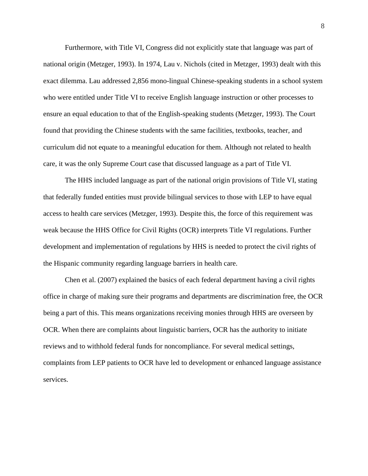Furthermore, with Title VI, Congress did not explicitly state that language was part of national origin (Metzger, 1993). In 1974, Lau v. Nichols (cited in Metzger, 1993) dealt with this exact dilemma. Lau addressed 2,856 mono-lingual Chinese-speaking students in a school system who were entitled under Title VI to receive English language instruction or other processes to ensure an equal education to that of the English-speaking students (Metzger, 1993). The Court found that providing the Chinese students with the same facilities, textbooks, teacher, and curriculum did not equate to a meaningful education for them. Although not related to health care, it was the only Supreme Court case that discussed language as a part of Title VI.

The HHS included language as part of the national origin provisions of Title VI, stating that federally funded entities must provide bilingual services to those with LEP to have equal access to health care services (Metzger, 1993). Despite this, the force of this requirement was weak because the HHS Office for Civil Rights (OCR) interprets Title VI regulations. Further development and implementation of regulations by HHS is needed to protect the civil rights of the Hispanic community regarding language barriers in health care.

Chen et al. (2007) explained the basics of each federal department having a civil rights office in charge of making sure their programs and departments are discrimination free, the OCR being a part of this. This means organizations receiving monies through HHS are overseen by OCR. When there are complaints about linguistic barriers, OCR has the authority to initiate reviews and to withhold federal funds for noncompliance. For several medical settings, complaints from LEP patients to OCR have led to development or enhanced language assistance services.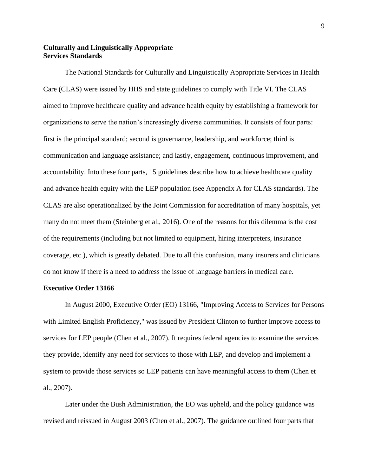## **Culturally and Linguistically Appropriate Services Standards**

The National Standards for Culturally and Linguistically Appropriate Services in Health Care (CLAS) were issued by HHS and state guidelines to comply with Title VI. The CLAS aimed to improve healthcare quality and advance health equity by establishing a framework for organizations to serve the nation's increasingly diverse communities. It consists of four parts: first is the principal standard; second is governance, leadership, and workforce; third is communication and language assistance; and lastly, engagement, continuous improvement, and accountability. Into these four parts, 15 guidelines describe how to achieve healthcare quality and advance health equity with the LEP population (see Appendix A for CLAS standards). The CLAS are also operationalized by the Joint Commission for accreditation of many hospitals, yet many do not meet them (Steinberg et al., 2016). One of the reasons for this dilemma is the cost of the requirements (including but not limited to equipment, hiring interpreters, insurance coverage, etc.), which is greatly debated. Due to all this confusion, many insurers and clinicians do not know if there is a need to address the issue of language barriers in medical care.

#### **Executive Order 13166**

In August 2000, Executive Order (EO) 13166, "Improving Access to Services for Persons with Limited English Proficiency," was issued by President Clinton to further improve access to services for LEP people (Chen et al., 2007). It requires federal agencies to examine the services they provide, identify any need for services to those with LEP, and develop and implement a system to provide those services so LEP patients can have meaningful access to them (Chen et al., 2007).

Later under the Bush Administration, the EO was upheld, and the policy guidance was revised and reissued in August 2003 (Chen et al., 2007). The guidance outlined four parts that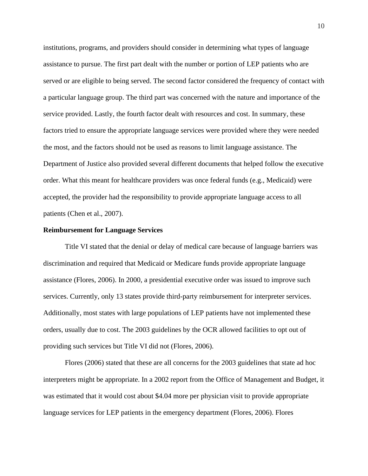institutions, programs, and providers should consider in determining what types of language assistance to pursue. The first part dealt with the number or portion of LEP patients who are served or are eligible to being served. The second factor considered the frequency of contact with a particular language group. The third part was concerned with the nature and importance of the service provided. Lastly, the fourth factor dealt with resources and cost. In summary, these factors tried to ensure the appropriate language services were provided where they were needed the most, and the factors should not be used as reasons to limit language assistance. The Department of Justice also provided several different documents that helped follow the executive order. What this meant for healthcare providers was once federal funds (e.g., Medicaid) were accepted, the provider had the responsibility to provide appropriate language access to all patients (Chen et al., 2007).

#### **Reimbursement for Language Services**

Title VI stated that the denial or delay of medical care because of language barriers was discrimination and required that Medicaid or Medicare funds provide appropriate language assistance (Flores, 2006). In 2000, a presidential executive order was issued to improve such services. Currently, only 13 states provide third-party reimbursement for interpreter services. Additionally, most states with large populations of LEP patients have not implemented these orders, usually due to cost. The 2003 guidelines by the OCR allowed facilities to opt out of providing such services but Title VI did not (Flores, 2006).

Flores (2006) stated that these are all concerns for the 2003 guidelines that state ad hoc interpreters might be appropriate. In a 2002 report from the Office of Management and Budget, it was estimated that it would cost about \$4.04 more per physician visit to provide appropriate language services for LEP patients in the emergency department (Flores, 2006). Flores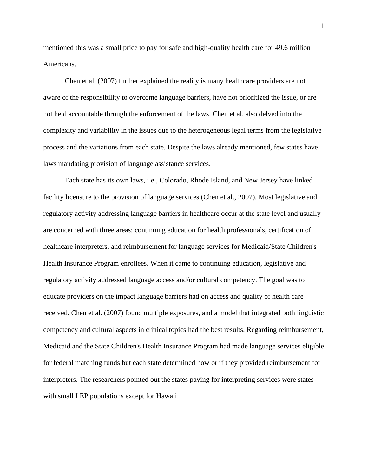mentioned this was a small price to pay for safe and high-quality health care for 49.6 million Americans.

Chen et al. (2007) further explained the reality is many healthcare providers are not aware of the responsibility to overcome language barriers, have not prioritized the issue, or are not held accountable through the enforcement of the laws. Chen et al. also delved into the complexity and variability in the issues due to the heterogeneous legal terms from the legislative process and the variations from each state. Despite the laws already mentioned, few states have laws mandating provision of language assistance services.

Each state has its own laws, i.e., Colorado, Rhode Island, and New Jersey have linked facility licensure to the provision of language services (Chen et al., 2007). Most legislative and regulatory activity addressing language barriers in healthcare occur at the state level and usually are concerned with three areas: continuing education for health professionals, certification of healthcare interpreters, and reimbursement for language services for Medicaid/State Children's Health Insurance Program enrollees. When it came to continuing education, legislative and regulatory activity addressed language access and/or cultural competency. The goal was to educate providers on the impact language barriers had on access and quality of health care received. Chen et al. (2007) found multiple exposures, and a model that integrated both linguistic competency and cultural aspects in clinical topics had the best results. Regarding reimbursement, Medicaid and the State Children's Health Insurance Program had made language services eligible for federal matching funds but each state determined how or if they provided reimbursement for interpreters. The researchers pointed out the states paying for interpreting services were states with small LEP populations except for Hawaii.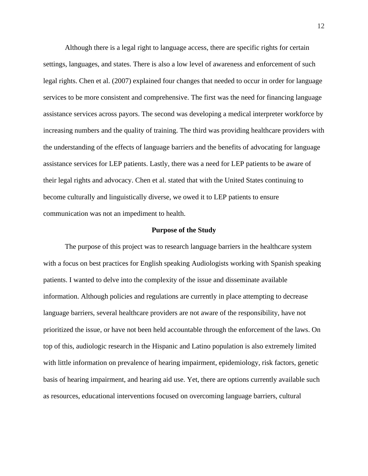Although there is a legal right to language access, there are specific rights for certain settings, languages, and states. There is also a low level of awareness and enforcement of such legal rights. Chen et al. (2007) explained four changes that needed to occur in order for language services to be more consistent and comprehensive. The first was the need for financing language assistance services across payors. The second was developing a medical interpreter workforce by increasing numbers and the quality of training. The third was providing healthcare providers with the understanding of the effects of language barriers and the benefits of advocating for language assistance services for LEP patients. Lastly, there was a need for LEP patients to be aware of their legal rights and advocacy. Chen et al. stated that with the United States continuing to become culturally and linguistically diverse, we owed it to LEP patients to ensure communication was not an impediment to health.

#### **Purpose of the Study**

The purpose of this project was to research language barriers in the healthcare system with a focus on best practices for English speaking Audiologists working with Spanish speaking patients. I wanted to delve into the complexity of the issue and disseminate available information. Although policies and regulations are currently in place attempting to decrease language barriers, several healthcare providers are not aware of the responsibility, have not prioritized the issue, or have not been held accountable through the enforcement of the laws. On top of this, audiologic research in the Hispanic and Latino population is also extremely limited with little information on prevalence of hearing impairment, epidemiology, risk factors, genetic basis of hearing impairment, and hearing aid use. Yet, there are options currently available such as resources, educational interventions focused on overcoming language barriers, cultural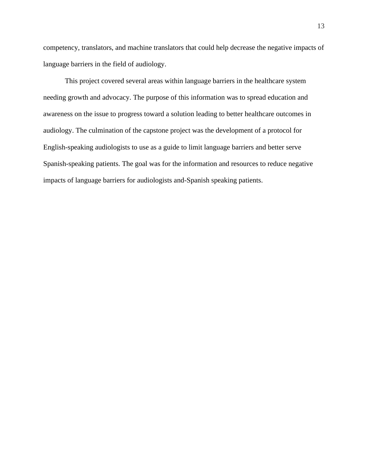competency, translators, and machine translators that could help decrease the negative impacts of language barriers in the field of audiology.

<span id="page-19-0"></span>This project covered several areas within language barriers in the healthcare system needing growth and advocacy. The purpose of this information was to spread education and awareness on the issue to progress toward a solution leading to better healthcare outcomes in audiology. The culmination of the capstone project was the development of a protocol for English-speaking audiologists to use as a guide to limit language barriers and better serve Spanish-speaking patients. The goal was for the information and resources to reduce negative impacts of language barriers for audiologists and-Spanish speaking patients.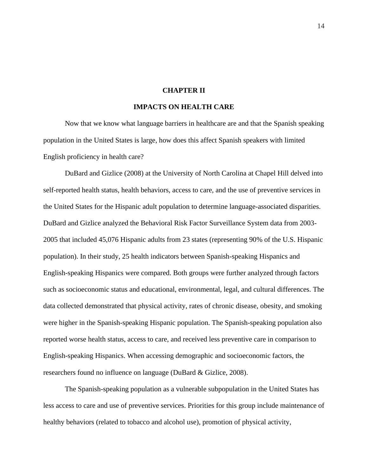#### **CHAPTER II**

# **IMPACTS ON HEALTH CARE**

Now that we know what language barriers in healthcare are and that the Spanish speaking population in the United States is large, how does this affect Spanish speakers with limited English proficiency in health care?

DuBard and Gizlice (2008) at the University of North Carolina at Chapel Hill delved into self-reported health status, health behaviors, access to care, and the use of preventive services in the United States for the Hispanic adult population to determine language-associated disparities. DuBard and Gizlice analyzed the Behavioral Risk Factor Surveillance System data from 2003- 2005 that included 45,076 Hispanic adults from 23 states (representing 90% of the U.S. Hispanic population). In their study, 25 health indicators between Spanish-speaking Hispanics and English-speaking Hispanics were compared. Both groups were further analyzed through factors such as socioeconomic status and educational, environmental, legal, and cultural differences. The data collected demonstrated that physical activity, rates of chronic disease, obesity, and smoking were higher in the Spanish-speaking Hispanic population. The Spanish-speaking population also reported worse health status, access to care, and received less preventive care in comparison to English-speaking Hispanics. When accessing demographic and socioeconomic factors, the researchers found no influence on language (DuBard & Gizlice, 2008).

The Spanish-speaking population as a vulnerable subpopulation in the United States has less access to care and use of preventive services. Priorities for this group include maintenance of healthy behaviors (related to tobacco and alcohol use), promotion of physical activity,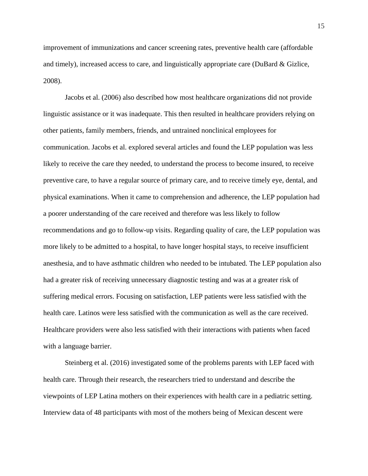improvement of immunizations and cancer screening rates, preventive health care (affordable and timely), increased access to care, and linguistically appropriate care (DuBard & Gizlice, 2008).

Jacobs et al. (2006) also described how most healthcare organizations did not provide linguistic assistance or it was inadequate. This then resulted in healthcare providers relying on other patients, family members, friends, and untrained nonclinical employees for communication. Jacobs et al. explored several articles and found the LEP population was less likely to receive the care they needed, to understand the process to become insured, to receive preventive care, to have a regular source of primary care, and to receive timely eye, dental, and physical examinations. When it came to comprehension and adherence, the LEP population had a poorer understanding of the care received and therefore was less likely to follow recommendations and go to follow-up visits. Regarding quality of care, the LEP population was more likely to be admitted to a hospital, to have longer hospital stays, to receive insufficient anesthesia, and to have asthmatic children who needed to be intubated. The LEP population also had a greater risk of receiving unnecessary diagnostic testing and was at a greater risk of suffering medical errors. Focusing on satisfaction, LEP patients were less satisfied with the health care. Latinos were less satisfied with the communication as well as the care received. Healthcare providers were also less satisfied with their interactions with patients when faced with a language barrier.

Steinberg et al. (2016) investigated some of the problems parents with LEP faced with health care. Through their research, the researchers tried to understand and describe the viewpoints of LEP Latina mothers on their experiences with health care in a pediatric setting. Interview data of 48 participants with most of the mothers being of Mexican descent were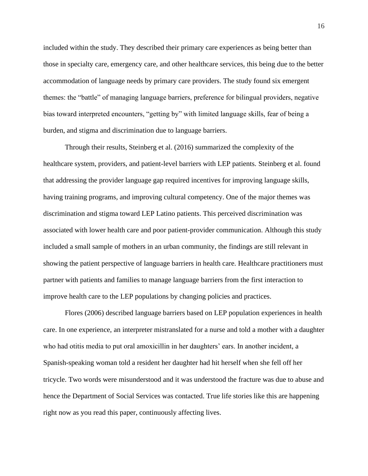included within the study. They described their primary care experiences as being better than those in specialty care, emergency care, and other healthcare services, this being due to the better accommodation of language needs by primary care providers. The study found six emergent themes: the "battle" of managing language barriers, preference for bilingual providers, negative bias toward interpreted encounters, "getting by" with limited language skills, fear of being a burden, and stigma and discrimination due to language barriers.

Through their results, Steinberg et al. (2016) summarized the complexity of the healthcare system, providers, and patient-level barriers with LEP patients. Steinberg et al. found that addressing the provider language gap required incentives for improving language skills, having training programs, and improving cultural competency. One of the major themes was discrimination and stigma toward LEP Latino patients. This perceived discrimination was associated with lower health care and poor patient-provider communication. Although this study included a small sample of mothers in an urban community, the findings are still relevant in showing the patient perspective of language barriers in health care. Healthcare practitioners must partner with patients and families to manage language barriers from the first interaction to improve health care to the LEP populations by changing policies and practices.

Flores (2006) described language barriers based on LEP population experiences in health care. In one experience, an interpreter mistranslated for a nurse and told a mother with a daughter who had otitis media to put oral amoxicillin in her daughters' ears. In another incident, a Spanish-speaking woman told a resident her daughter had hit herself when she fell off her tricycle. Two words were misunderstood and it was understood the fracture was due to abuse and hence the Department of Social Services was contacted. True life stories like this are happening right now as you read this paper, continuously affecting lives.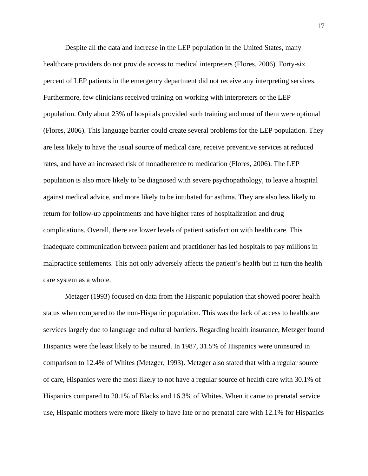Despite all the data and increase in the LEP population in the United States, many healthcare providers do not provide access to medical interpreters (Flores, 2006). Forty-six percent of LEP patients in the emergency department did not receive any interpreting services. Furthermore, few clinicians received training on working with interpreters or the LEP population. Only about 23% of hospitals provided such training and most of them were optional (Flores, 2006). This language barrier could create several problems for the LEP population. They are less likely to have the usual source of medical care, receive preventive services at reduced rates, and have an increased risk of nonadherence to medication (Flores, 2006). The LEP population is also more likely to be diagnosed with severe psychopathology, to leave a hospital against medical advice, and more likely to be intubated for asthma. They are also less likely to return for follow-up appointments and have higher rates of hospitalization and drug complications. Overall, there are lower levels of patient satisfaction with health care. This inadequate communication between patient and practitioner has led hospitals to pay millions in malpractice settlements. This not only adversely affects the patient's health but in turn the health care system as a whole.

Metzger (1993) focused on data from the Hispanic population that showed poorer health status when compared to the non-Hispanic population. This was the lack of access to healthcare services largely due to language and cultural barriers. Regarding health insurance, Metzger found Hispanics were the least likely to be insured. In 1987, 31.5% of Hispanics were uninsured in comparison to 12.4% of Whites (Metzger, 1993). Metzger also stated that with a regular source of care, Hispanics were the most likely to not have a regular source of health care with 30.1% of Hispanics compared to 20.1% of Blacks and 16.3% of Whites. When it came to prenatal service use, Hispanic mothers were more likely to have late or no prenatal care with 12.1% for Hispanics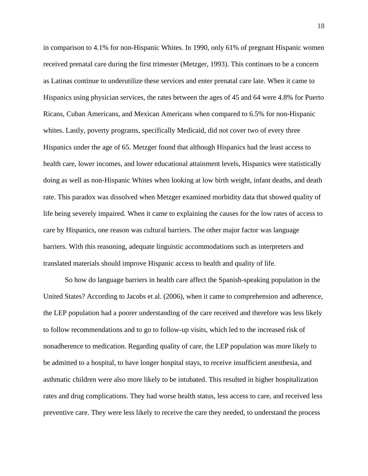in comparison to 4.1% for non-Hispanic Whites. In 1990, only 61% of pregnant Hispanic women received prenatal care during the first trimester (Metzger, 1993). This continues to be a concern as Latinas continue to underutilize these services and enter prenatal care late. When it came to Hispanics using physician services, the rates between the ages of 45 and 64 were 4.8% for Puerto Ricans, Cuban Americans, and Mexican Americans when compared to 6.5% for non-Hispanic whites. Lastly, poverty programs, specifically Medicaid, did not cover two of every three Hispanics under the age of 65. Metzger found that although Hispanics had the least access to health care, lower incomes, and lower educational attainment levels, Hispanics were statistically doing as well as non-Hispanic Whites when looking at low birth weight, infant deaths, and death rate. This paradox was dissolved when Metzger examined morbidity data that showed quality of life being severely impaired. When it came to explaining the causes for the low rates of access to care by Hispanics, one reason was cultural barriers. The other major factor was language barriers. With this reasoning, adequate linguistic accommodations such as interpreters and translated materials should improve Hispanic access to health and quality of life.

So how do language barriers in health care affect the Spanish-speaking population in the United States? According to Jacobs et al. (2006), when it came to comprehension and adherence, the LEP population had a poorer understanding of the care received and therefore was less likely to follow recommendations and to go to follow-up visits, which led to the increased risk of nonadherence to medication. Regarding quality of care, the LEP population was more likely to be admitted to a hospital, to have longer hospital stays, to receive insufficient anesthesia, and asthmatic children were also more likely to be intubated. This resulted in higher hospitalization rates and drug complications. They had worse health status, less access to care, and received less preventive care. They were less likely to receive the care they needed, to understand the process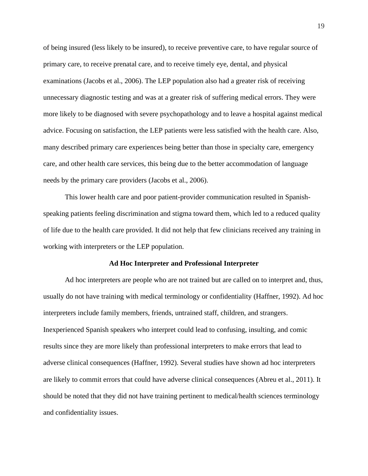of being insured (less likely to be insured), to receive preventive care, to have regular source of primary care, to receive prenatal care, and to receive timely eye, dental, and physical examinations (Jacobs et al., 2006). The LEP population also had a greater risk of receiving unnecessary diagnostic testing and was at a greater risk of suffering medical errors. They were more likely to be diagnosed with severe psychopathology and to leave a hospital against medical advice. Focusing on satisfaction, the LEP patients were less satisfied with the health care. Also, many described primary care experiences being better than those in specialty care, emergency care, and other health care services, this being due to the better accommodation of language needs by the primary care providers (Jacobs et al., 2006).

This lower health care and poor patient-provider communication resulted in Spanishspeaking patients feeling discrimination and stigma toward them, which led to a reduced quality of life due to the health care provided. It did not help that few clinicians received any training in working with interpreters or the LEP population.

#### **Ad Hoc Interpreter and Professional Interpreter**

<span id="page-25-0"></span>Ad hoc interpreters are people who are not trained but are called on to interpret and, thus, usually do not have training with medical terminology or confidentiality (Haffner, 1992). Ad hoc interpreters include family members, friends, untrained staff, children, and strangers. Inexperienced Spanish speakers who interpret could lead to confusing, insulting, and comic results since they are more likely than professional interpreters to make errors that lead to adverse clinical consequences (Haffner, 1992). Several studies have shown ad hoc interpreters are likely to commit errors that could have adverse clinical consequences (Abreu et al., 2011). It should be noted that they did not have training pertinent to medical/health sciences terminology and confidentiality issues.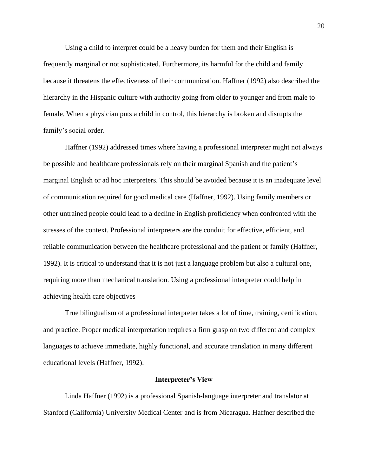Using a child to interpret could be a heavy burden for them and their English is frequently marginal or not sophisticated. Furthermore, its harmful for the child and family because it threatens the effectiveness of their communication. Haffner (1992) also described the hierarchy in the Hispanic culture with authority going from older to younger and from male to female. When a physician puts a child in control, this hierarchy is broken and disrupts the family's social order.

Haffner (1992) addressed times where having a professional interpreter might not always be possible and healthcare professionals rely on their marginal Spanish and the patient's marginal English or ad hoc interpreters. This should be avoided because it is an inadequate level of communication required for good medical care (Haffner, 1992). Using family members or other untrained people could lead to a decline in English proficiency when confronted with the stresses of the context. Professional interpreters are the conduit for effective, efficient, and reliable communication between the healthcare professional and the patient or family (Haffner, 1992). It is critical to understand that it is not just a language problem but also a cultural one, requiring more than mechanical translation. Using a professional interpreter could help in achieving health care objectives

True bilingualism of a professional interpreter takes a lot of time, training, certification, and practice. Proper medical interpretation requires a firm grasp on two different and complex languages to achieve immediate, highly functional, and accurate translation in many different educational levels (Haffner, 1992).

#### **Interpreter's View**

<span id="page-26-0"></span>Linda Haffner (1992) is a professional Spanish-language interpreter and translator at Stanford (California) University Medical Center and is from Nicaragua. Haffner described the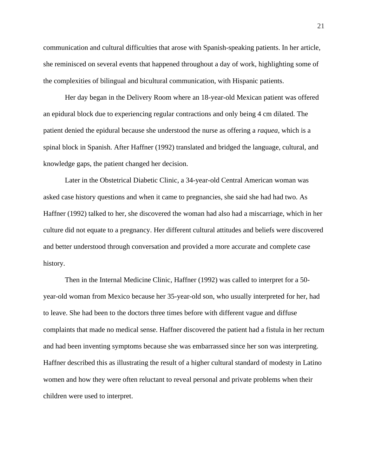communication and cultural difficulties that arose with Spanish-speaking patients. In her article, she reminisced on several events that happened throughout a day of work, highlighting some of the complexities of bilingual and bicultural communication, with Hispanic patients.

Her day began in the Delivery Room where an 18-year-old Mexican patient was offered an epidural block due to experiencing regular contractions and only being 4 cm dilated. The patient denied the epidural because she understood the nurse as offering a *raquea*, which is a spinal block in Spanish. After Haffner (1992) translated and bridged the language, cultural, and knowledge gaps, the patient changed her decision.

Later in the Obstetrical Diabetic Clinic, a 34-year-old Central American woman was asked case history questions and when it came to pregnancies, she said she had had two. As Haffner (1992) talked to her, she discovered the woman had also had a miscarriage, which in her culture did not equate to a pregnancy. Her different cultural attitudes and beliefs were discovered and better understood through conversation and provided a more accurate and complete case history.

Then in the Internal Medicine Clinic, Haffner (1992) was called to interpret for a 50 year-old woman from Mexico because her 35-year-old son, who usually interpreted for her, had to leave. She had been to the doctors three times before with different vague and diffuse complaints that made no medical sense. Haffner discovered the patient had a fistula in her rectum and had been inventing symptoms because she was embarrassed since her son was interpreting. Haffner described this as illustrating the result of a higher cultural standard of modesty in Latino women and how they were often reluctant to reveal personal and private problems when their children were used to interpret.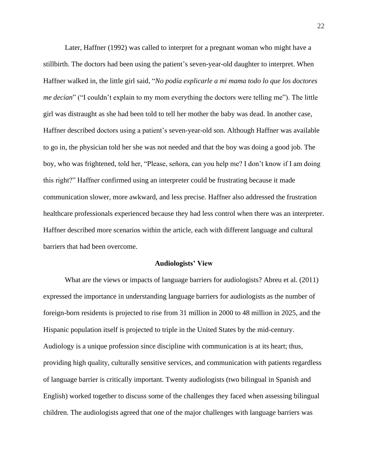Later, Haffner (1992) was called to interpret for a pregnant woman who might have a stillbirth. The doctors had been using the patient's seven-year-old daughter to interpret. When Haffner walked in, the little girl said, "*No podía explicarle a mi mama todo lo que los doctores me decían*" ("I couldn't explain to my mom everything the doctors were telling me"). The little girl was distraught as she had been told to tell her mother the baby was dead. In another case, Haffner described doctors using a patient's seven-year-old son. Although Haffner was available to go in, the physician told her she was not needed and that the boy was doing a good job. The boy, who was frightened, told her, "Please, señora, can you help me? I don't know if I am doing this right?" Haffner confirmed using an interpreter could be frustrating because it made communication slower, more awkward, and less precise. Haffner also addressed the frustration healthcare professionals experienced because they had less control when there was an interpreter. Haffner described more scenarios within the article, each with different language and cultural barriers that had been overcome.

### **Audiologists' View**

<span id="page-28-0"></span>What are the views or impacts of language barriers for audiologists? Abreu et al. (2011) expressed the importance in understanding language barriers for audiologists as the number of foreign-born residents is projected to rise from 31 million in 2000 to 48 million in 2025, and the Hispanic population itself is projected to triple in the United States by the mid-century. Audiology is a unique profession since discipline with communication is at its heart; thus, providing high quality, culturally sensitive services, and communication with patients regardless of language barrier is critically important. Twenty audiologists (two bilingual in Spanish and English) worked together to discuss some of the challenges they faced when assessing bilingual children. The audiologists agreed that one of the major challenges with language barriers was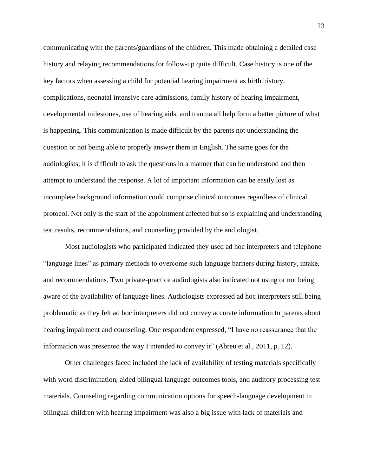communicating with the parents/guardians of the children. This made obtaining a detailed case history and relaying recommendations for follow-up quite difficult. Case history is one of the key factors when assessing a child for potential hearing impairment as birth history, complications, neonatal intensive care admissions, family history of hearing impairment, developmental milestones, use of hearing aids, and trauma all help form a better picture of what is happening. This communication is made difficult by the parents not understanding the question or not being able to properly answer them in English. The same goes for the audiologists; it is difficult to ask the questions in a manner that can be understood and then attempt to understand the response. A lot of important information can be easily lost as incomplete background information could comprise clinical outcomes regardless of clinical protocol. Not only is the start of the appointment affected but so is explaining and understanding test results, recommendations, and counseling provided by the audiologist.

Most audiologists who participated indicated they used ad hoc interpreters and telephone "language lines" as primary methods to overcome such language barriers during history, intake, and recommendations. Two private-practice audiologists also indicated not using or not being aware of the availability of language lines. Audiologists expressed ad hoc interpreters still being problematic as they felt ad hoc interpreters did not convey accurate information to parents about hearing impairment and counseling. One respondent expressed, "I have no reassurance that the information was presented the way I intended to convey it" (Abreu et al., 2011, p. 12).

Other challenges faced included the lack of availability of testing materials specifically with word discrimination, aided bilingual language outcomes tools, and auditory processing test materials. Counseling regarding communication options for speech-language development in bilingual children with hearing impairment was also a big issue with lack of materials and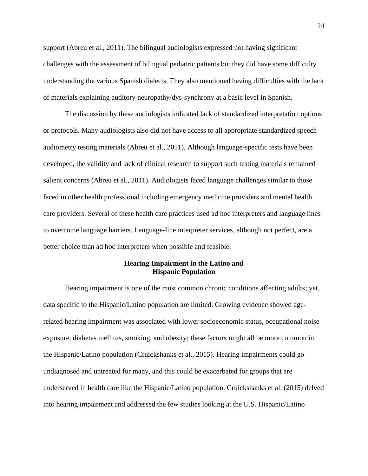support (Abreu et al., 2011). The bilingual audiologists expressed not having significant challenges with the assessment of bilingual pediatric patients but they did have some difficulty understanding the various Spanish dialects. They also mentioned having difficulties with the lack of materials explaining auditory neuropathy/dys-synchrony at a basic level in Spanish.

The discussion by these audiologists indicated lack of standardized interpretation options or protocols. Many audiologists also did not have access to all appropriate standardized speech audiometry testing materials (Abreu et al., 2011). Although language-specific tests have been developed, the validity and lack of clinical research to support such testing materials remained salient concerns (Abreu et al., 2011). Audiologists faced language challenges similar to those faced in other health professional including emergency medicine providers and mental health care providers. Several of these health care practices used ad hoc interpreters and language lines to overcome language barriers. Language-line interpreter services, although not perfect, are a better choice than ad hoc interpreters when possible and feasible.

#### **Hearing Impairment in the Latino and Hispanic Population**

<span id="page-30-0"></span>Hearing impairment is one of the most common chronic conditions affecting adults; yet, data specific to the Hispanic/Latino population are limited. Growing evidence showed agerelated hearing impairment was associated with lower socioeconomic status, occupational noise exposure, diabetes mellitus, smoking, and obesity; these factors might all be more common in the Hispanic/Latino population (Cruickshanks et al., 2015). Hearing impairments could go undiagnosed and untreated for many, and this could be exacerbated for groups that are underserved in health care like the Hispanic/Latino population. Cruickshanks et al. (2015) delved into hearing impairment and addressed the few studies looking at the U.S. Hispanic/Latino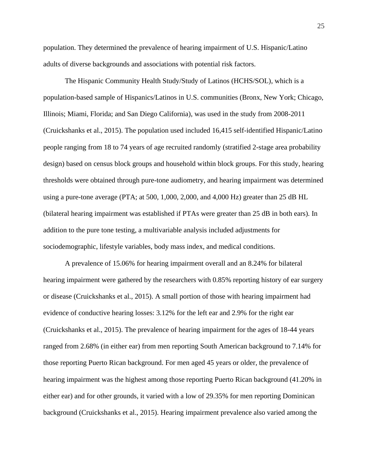population. They determined the prevalence of hearing impairment of U.S. Hispanic/Latino adults of diverse backgrounds and associations with potential risk factors.

The Hispanic Community Health Study/Study of Latinos (HCHS/SOL), which is a population-based sample of Hispanics/Latinos in U.S. communities (Bronx, New York; Chicago, Illinois; Miami, Florida; and San Diego California), was used in the study from 2008-2011 (Cruickshanks et al., 2015). The population used included 16,415 self-identified Hispanic/Latino people ranging from 18 to 74 years of age recruited randomly (stratified 2-stage area probability design) based on census block groups and household within block groups. For this study, hearing thresholds were obtained through pure-tone audiometry, and hearing impairment was determined using a pure-tone average (PTA; at 500, 1,000, 2,000, and 4,000 Hz) greater than 25 dB HL (bilateral hearing impairment was established if PTAs were greater than 25 dB in both ears). In addition to the pure tone testing, a multivariable analysis included adjustments for sociodemographic, lifestyle variables, body mass index, and medical conditions.

A prevalence of 15.06% for hearing impairment overall and an 8.24% for bilateral hearing impairment were gathered by the researchers with 0.85% reporting history of ear surgery or disease (Cruickshanks et al., 2015). A small portion of those with hearing impairment had evidence of conductive hearing losses: 3.12% for the left ear and 2.9% for the right ear (Cruickshanks et al., 2015). The prevalence of hearing impairment for the ages of 18-44 years ranged from 2.68% (in either ear) from men reporting South American background to 7.14% for those reporting Puerto Rican background. For men aged 45 years or older, the prevalence of hearing impairment was the highest among those reporting Puerto Rican background (41.20% in either ear) and for other grounds, it varied with a low of 29.35% for men reporting Dominican background (Cruickshanks et al., 2015). Hearing impairment prevalence also varied among the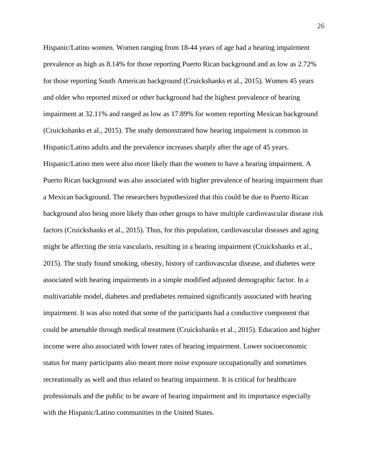Hispanic/Latino women. Women ranging from 18-44 years of age had a hearing impairment prevalence as high as 8.14% for those reporting Puerto Rican background and as low as 2.72% for those reporting South American background (Cruickshanks et al., 2015). Women 45 years and older who reported mixed or other background had the highest prevalence of hearing impairment at 32.11% and ranged as low as 17.89% for women reporting Mexican background (Cruickshanks et al., 2015). The study demonstrated how hearing impairment is common in Hispanic/Latino adults and the prevalence increases sharply after the age of 45 years. Hispanic/Latino men were also more likely than the women to have a hearing impairment. A Puerto Rican background was also associated with higher prevalence of hearing impairment than a Mexican background. The researchers hypothesized that this could be due to Puerto Rican background also being more likely than other groups to have multiple cardiovascular disease risk factors (Cruickshanks et al., 2015). Thus, for this population, cardiovascular diseases and aging might be affecting the stria vascularis, resulting in a hearing impairment (Cruickshanks et al., 2015). The study found smoking, obesity, history of cardiovascular disease, and diabetes were associated with hearing impairments in a simple modified adjusted demographic factor. In a multivariable model, diabetes and prediabetes remained significantly associated with hearing impairment. It was also noted that some of the participants had a conductive component that could be amenable through medical treatment (Cruickshanks et al., 2015). Education and higher income were also associated with lower rates of hearing impairment. Lower socioeconomic status for many participants also meant more noise exposure occupationally and sometimes recreationally as well and thus related to hearing impairment. It is critical for healthcare professionals and the public to be aware of hearing impairment and its importance especially with the Hispanic/Latino communities in the United States.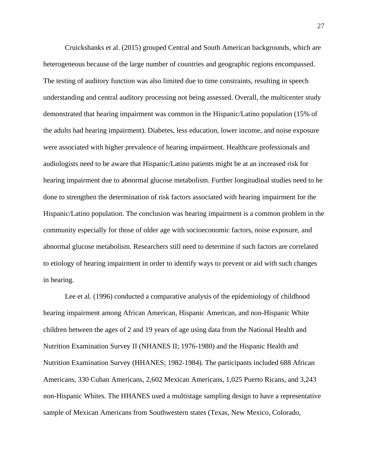Cruickshanks et al. (2015) grouped Central and South American backgrounds, which are heterogeneous because of the large number of countries and geographic regions encompassed. The testing of auditory function was also limited due to time constraints, resulting in speech understanding and central auditory processing not being assessed. Overall, the multicenter study demonstrated that hearing impairment was common in the Hispanic/Latino population (15% of the adults had hearing impairment). Diabetes, less education, lower income, and noise exposure were associated with higher prevalence of hearing impairment. Healthcare professionals and audiologists need to be aware that Hispanic/Latino patients might be at an increased risk for hearing impairment due to abnormal glucose metabolism. Further longitudinal studies need to be done to strengthen the determination of risk factors associated with hearing impairment for the Hispanic/Latino population. The conclusion was hearing impairment is a common problem in the community especially for those of older age with socioeconomic factors, noise exposure, and abnormal glucose metabolism. Researchers still need to determine if such factors are correlated to etiology of hearing impairment in order to identify ways to prevent or aid with such changes in hearing.

Lee et al. (1996) conducted a comparative analysis of the epidemiology of childhood hearing impairment among African American, Hispanic American, and non-Hispanic White children between the ages of 2 and 19 years of age using data from the National Health and Nutrition Examination Survey II (NHANES II; 1976-1980) and the Hispanic Health and Nutrition Examination Survey (HHANES; 1982-1984). The participants included 688 African Americans, 330 Cuban Americans, 2,602 Mexican Americans, 1,025 Puerto Ricans, and 3,243 non-Hispanic Whites. The HHANES used a multistage sampling design to have a representative sample of Mexican Americans from Southwestern states (Texas, New Mexico, Colorado,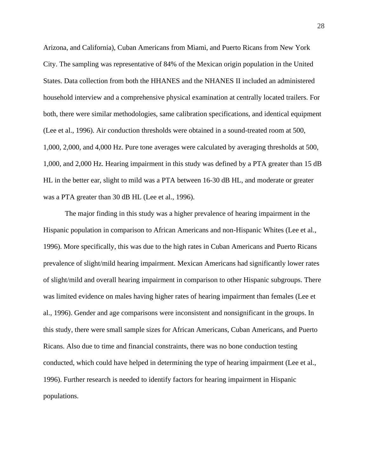Arizona, and California), Cuban Americans from Miami, and Puerto Ricans from New York City. The sampling was representative of 84% of the Mexican origin population in the United States. Data collection from both the HHANES and the NHANES II included an administered household interview and a comprehensive physical examination at centrally located trailers. For both, there were similar methodologies, same calibration specifications, and identical equipment (Lee et al., 1996). Air conduction thresholds were obtained in a sound-treated room at 500, 1,000, 2,000, and 4,000 Hz. Pure tone averages were calculated by averaging thresholds at 500, 1,000, and 2,000 Hz. Hearing impairment in this study was defined by a PTA greater than 15 dB HL in the better ear, slight to mild was a PTA between 16-30 dB HL, and moderate or greater was a PTA greater than 30 dB HL (Lee et al., 1996).

The major finding in this study was a higher prevalence of hearing impairment in the Hispanic population in comparison to African Americans and non-Hispanic Whites (Lee et al., 1996). More specifically, this was due to the high rates in Cuban Americans and Puerto Ricans prevalence of slight/mild hearing impairment. Mexican Americans had significantly lower rates of slight/mild and overall hearing impairment in comparison to other Hispanic subgroups. There was limited evidence on males having higher rates of hearing impairment than females (Lee et al., 1996). Gender and age comparisons were inconsistent and nonsignificant in the groups. In this study, there were small sample sizes for African Americans, Cuban Americans, and Puerto Ricans. Also due to time and financial constraints, there was no bone conduction testing conducted, which could have helped in determining the type of hearing impairment (Lee et al., 1996). Further research is needed to identify factors for hearing impairment in Hispanic populations.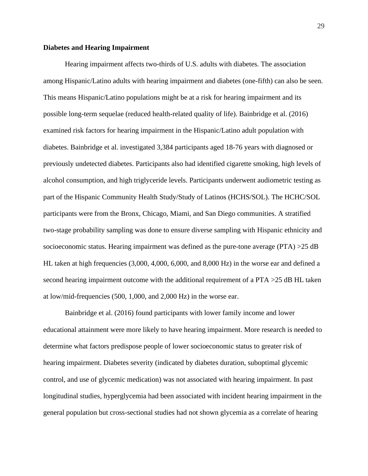#### **Diabetes and Hearing Impairment**

Hearing impairment affects two-thirds of U.S. adults with diabetes. The association among Hispanic/Latino adults with hearing impairment and diabetes (one-fifth) can also be seen. This means Hispanic/Latino populations might be at a risk for hearing impairment and its possible long-term sequelae (reduced health-related quality of life). Bainbridge et al. (2016) examined risk factors for hearing impairment in the Hispanic/Latino adult population with diabetes. Bainbridge et al. investigated 3,384 participants aged 18-76 years with diagnosed or previously undetected diabetes. Participants also had identified cigarette smoking, high levels of alcohol consumption, and high triglyceride levels. Participants underwent audiometric testing as part of the Hispanic Community Health Study/Study of Latinos (HCHS/SOL). The HCHC/SOL participants were from the Bronx, Chicago, Miami, and San Diego communities. A stratified two-stage probability sampling was done to ensure diverse sampling with Hispanic ethnicity and socioeconomic status. Hearing impairment was defined as the pure-tone average (PTA) >25 dB HL taken at high frequencies (3,000, 4,000, 6,000, and 8,000 Hz) in the worse ear and defined a second hearing impairment outcome with the additional requirement of a PTA >25 dB HL taken at low/mid-frequencies (500, 1,000, and 2,000 Hz) in the worse ear.

Bainbridge et al. (2016) found participants with lower family income and lower educational attainment were more likely to have hearing impairment. More research is needed to determine what factors predispose people of lower socioeconomic status to greater risk of hearing impairment. Diabetes severity (indicated by diabetes duration, suboptimal glycemic control, and use of glycemic medication) was not associated with hearing impairment. In past longitudinal studies, hyperglycemia had been associated with incident hearing impairment in the general population but cross-sectional studies had not shown glycemia as a correlate of hearing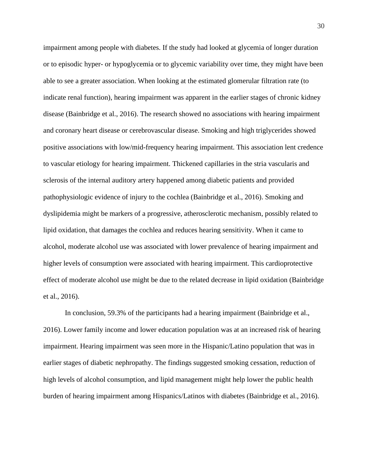impairment among people with diabetes. If the study had looked at glycemia of longer duration or to episodic hyper- or hypoglycemia or to glycemic variability over time, they might have been able to see a greater association. When looking at the estimated glomerular filtration rate (to indicate renal function), hearing impairment was apparent in the earlier stages of chronic kidney disease (Bainbridge et al., 2016). The research showed no associations with hearing impairment and coronary heart disease or cerebrovascular disease. Smoking and high triglycerides showed positive associations with low/mid-frequency hearing impairment. This association lent credence to vascular etiology for hearing impairment. Thickened capillaries in the stria vascularis and sclerosis of the internal auditory artery happened among diabetic patients and provided pathophysiologic evidence of injury to the cochlea (Bainbridge et al., 2016). Smoking and dyslipidemia might be markers of a progressive, atherosclerotic mechanism, possibly related to lipid oxidation, that damages the cochlea and reduces hearing sensitivity. When it came to alcohol, moderate alcohol use was associated with lower prevalence of hearing impairment and higher levels of consumption were associated with hearing impairment. This cardioprotective effect of moderate alcohol use might be due to the related decrease in lipid oxidation (Bainbridge et al., 2016).

In conclusion, 59.3% of the participants had a hearing impairment (Bainbridge et al., 2016). Lower family income and lower education population was at an increased risk of hearing impairment. Hearing impairment was seen more in the Hispanic/Latino population that was in earlier stages of diabetic nephropathy. The findings suggested smoking cessation, reduction of high levels of alcohol consumption, and lipid management might help lower the public health burden of hearing impairment among Hispanics/Latinos with diabetes (Bainbridge et al., 2016).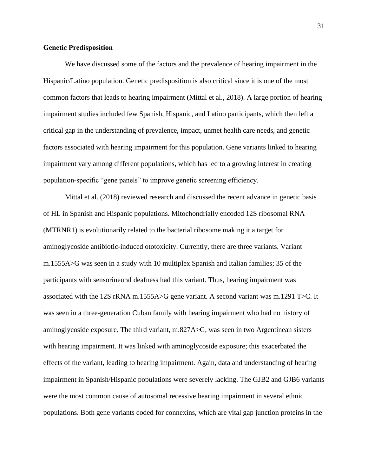## **Genetic Predisposition**

We have discussed some of the factors and the prevalence of hearing impairment in the Hispanic/Latino population. Genetic predisposition is also critical since it is one of the most common factors that leads to hearing impairment (Mittal et al., 2018). A large portion of hearing impairment studies included few Spanish, Hispanic, and Latino participants, which then left a critical gap in the understanding of prevalence, impact, unmet health care needs, and genetic factors associated with hearing impairment for this population. Gene variants linked to hearing impairment vary among different populations, which has led to a growing interest in creating population-specific "gene panels" to improve genetic screening efficiency.

Mittal et al. (2018) reviewed research and discussed the recent advance in genetic basis of HL in Spanish and Hispanic populations. Mitochondrially encoded 12S ribosomal RNA (MTRNR1) is evolutionarily related to the bacterial ribosome making it a target for aminoglycoside antibiotic-induced ototoxicity. Currently, there are three variants. Variant m.1555A>G was seen in a study with 10 multiplex Spanish and Italian families; 35 of the participants with sensorineural deafness had this variant. Thus, hearing impairment was associated with the 12S rRNA m.1555A>G gene variant. A second variant was m.1291 T>C. It was seen in a three-generation Cuban family with hearing impairment who had no history of aminoglycoside exposure. The third variant, m.827A>G, was seen in two Argentinean sisters with hearing impairment. It was linked with aminoglycoside exposure; this exacerbated the effects of the variant, leading to hearing impairment. Again, data and understanding of hearing impairment in Spanish/Hispanic populations were severely lacking. The GJB2 and GJB6 variants were the most common cause of autosomal recessive hearing impairment in several ethnic populations. Both gene variants coded for connexins, which are vital gap junction proteins in the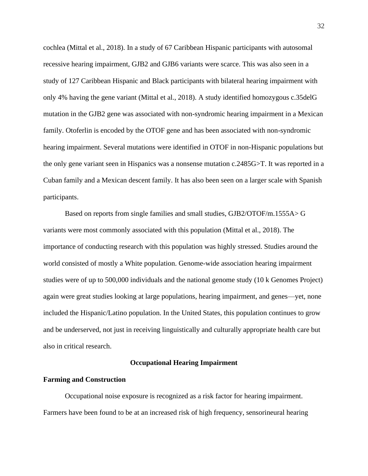cochlea (Mittal et al., 2018). In a study of 67 Caribbean Hispanic participants with autosomal recessive hearing impairment, GJB2 and GJB6 variants were scarce. This was also seen in a study of 127 Caribbean Hispanic and Black participants with bilateral hearing impairment with only 4% having the gene variant (Mittal et al., 2018). A study identified homozygous c.35delG mutation in the GJB2 gene was associated with non-syndromic hearing impairment in a Mexican family. Otoferlin is encoded by the OTOF gene and has been associated with non-syndromic hearing impairment. Several mutations were identified in OTOF in non-Hispanic populations but the only gene variant seen in Hispanics was a nonsense mutation c.2485G>T. It was reported in a Cuban family and a Mexican descent family. It has also been seen on a larger scale with Spanish participants.

Based on reports from single families and small studies, GJB2/OTOF/m.1555A> G variants were most commonly associated with this population (Mittal et al., 2018). The importance of conducting research with this population was highly stressed. Studies around the world consisted of mostly a White population. Genome-wide association hearing impairment studies were of up to 500,000 individuals and the national genome study (10 k Genomes Project) again were great studies looking at large populations, hearing impairment, and genes—yet, none included the Hispanic/Latino population. In the United States, this population continues to grow and be underserved, not just in receiving linguistically and culturally appropriate health care but also in critical research.

## **Occupational Hearing Impairment**

#### **Farming and Construction**

Occupational noise exposure is recognized as a risk factor for hearing impairment. Farmers have been found to be at an increased risk of high frequency, sensorineural hearing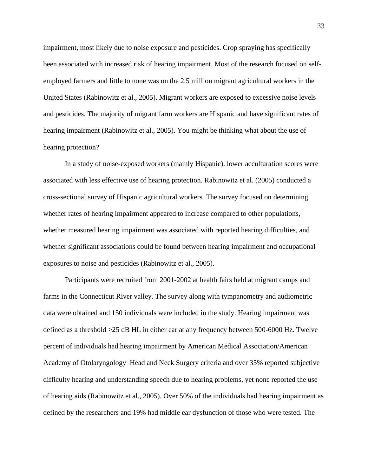impairment, most likely due to noise exposure and pesticides. Crop spraying has specifically been associated with increased risk of hearing impairment. Most of the research focused on selfemployed farmers and little to none was on the 2.5 million migrant agricultural workers in the United States (Rabinowitz et al., 2005). Migrant workers are exposed to excessive noise levels and pesticides. The majority of migrant farm workers are Hispanic and have significant rates of hearing impairment (Rabinowitz et al., 2005). You might be thinking what about the use of hearing protection?

In a study of noise-exposed workers (mainly Hispanic), lower acculturation scores were associated with less effective use of hearing protection. Rabinowitz et al. (2005) conducted a cross-sectional survey of Hispanic agricultural workers. The survey focused on determining whether rates of hearing impairment appeared to increase compared to other populations, whether measured hearing impairment was associated with reported hearing difficulties, and whether significant associations could be found between hearing impairment and occupational exposures to noise and pesticides (Rabinowitz et al., 2005).

Participants were recruited from 2001-2002 at health fairs held at migrant camps and farms in the Connecticut River valley. The survey along with tympanometry and audiometric data were obtained and 150 individuals were included in the study. Hearing impairment was defined as a threshold >25 dB HL in either ear at any frequency between 500-6000 Hz. Twelve percent of individuals had hearing impairment by American Medical Association/American Academy of Otolaryngology–Head and Neck Surgery criteria and over 35% reported subjective difficulty hearing and understanding speech due to hearing problems, yet none reported the use of hearing aids (Rabinowitz et al., 2005). Over 50% of the individuals had hearing impairment as defined by the researchers and 19% had middle ear dysfunction of those who were tested. The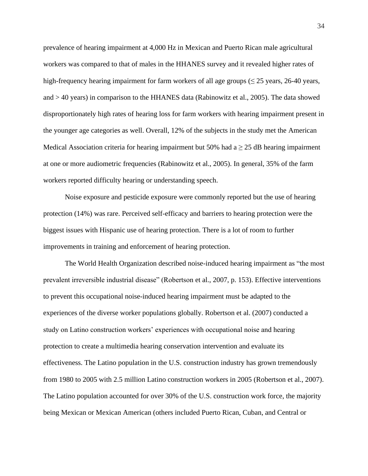prevalence of hearing impairment at 4,000 Hz in Mexican and Puerto Rican male agricultural workers was compared to that of males in the HHANES survey and it revealed higher rates of high-frequency hearing impairment for farm workers of all age groups ( $\leq$  25 years, 26-40 years, and > 40 years) in comparison to the HHANES data (Rabinowitz et al., 2005). The data showed disproportionately high rates of hearing loss for farm workers with hearing impairment present in the younger age categories as well. Overall, 12% of the subjects in the study met the American Medical Association criteria for hearing impairment but 50% had  $a \ge 25$  dB hearing impairment at one or more audiometric frequencies (Rabinowitz et al., 2005). In general, 35% of the farm workers reported difficulty hearing or understanding speech.

Noise exposure and pesticide exposure were commonly reported but the use of hearing protection (14%) was rare. Perceived self-efficacy and barriers to hearing protection were the biggest issues with Hispanic use of hearing protection. There is a lot of room to further improvements in training and enforcement of hearing protection.

The World Health Organization described noise-induced hearing impairment as "the most prevalent irreversible industrial disease" (Robertson et al., 2007, p. 153). Effective interventions to prevent this occupational noise-induced hearing impairment must be adapted to the experiences of the diverse worker populations globally. Robertson et al. (2007) conducted a study on Latino construction workers' experiences with occupational noise and hearing protection to create a multimedia hearing conservation intervention and evaluate its effectiveness. The Latino population in the U.S. construction industry has grown tremendously from 1980 to 2005 with 2.5 million Latino construction workers in 2005 (Robertson et al., 2007). The Latino population accounted for over 30% of the U.S. construction work force, the majority being Mexican or Mexican American (others included Puerto Rican, Cuban, and Central or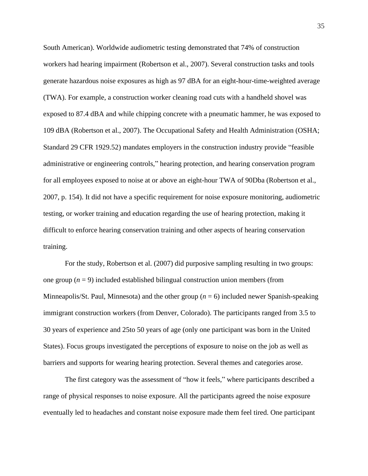South American). Worldwide audiometric testing demonstrated that 74% of construction workers had hearing impairment (Robertson et al., 2007). Several construction tasks and tools generate hazardous noise exposures as high as 97 dBA for an eight-hour-time-weighted average (TWA). For example, a construction worker cleaning road cuts with a handheld shovel was exposed to 87.4 dBA and while chipping concrete with a pneumatic hammer, he was exposed to 109 dBA (Robertson et al., 2007). The Occupational Safety and Health Administration (OSHA; Standard 29 CFR 1929.52) mandates employers in the construction industry provide "feasible administrative or engineering controls," hearing protection, and hearing conservation program for all employees exposed to noise at or above an eight-hour TWA of 90Dba (Robertson et al., 2007, p. 154). It did not have a specific requirement for noise exposure monitoring, audiometric testing, or worker training and education regarding the use of hearing protection, making it difficult to enforce hearing conservation training and other aspects of hearing conservation training.

For the study, Robertson et al. (2007) did purposive sampling resulting in two groups: one group  $(n = 9)$  included established bilingual construction union members (from Minneapolis/St. Paul, Minnesota) and the other group (*n* = 6) included newer Spanish-speaking immigrant construction workers (from Denver, Colorado). The participants ranged from 3.5 to 30 years of experience and 25to 50 years of age (only one participant was born in the United States). Focus groups investigated the perceptions of exposure to noise on the job as well as barriers and supports for wearing hearing protection. Several themes and categories arose.

The first category was the assessment of "how it feels," where participants described a range of physical responses to noise exposure. All the participants agreed the noise exposure eventually led to headaches and constant noise exposure made them feel tired. One participant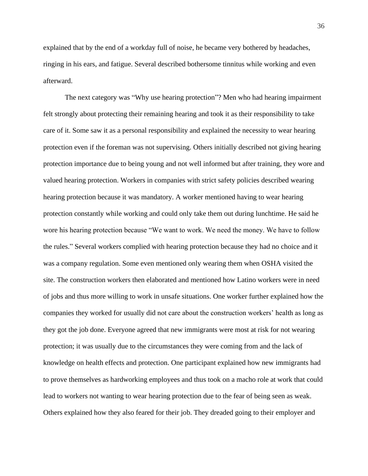explained that by the end of a workday full of noise, he became very bothered by headaches, ringing in his ears, and fatigue. Several described bothersome tinnitus while working and even afterward.

The next category was "Why use hearing protection"? Men who had hearing impairment felt strongly about protecting their remaining hearing and took it as their responsibility to take care of it. Some saw it as a personal responsibility and explained the necessity to wear hearing protection even if the foreman was not supervising. Others initially described not giving hearing protection importance due to being young and not well informed but after training, they wore and valued hearing protection. Workers in companies with strict safety policies described wearing hearing protection because it was mandatory. A worker mentioned having to wear hearing protection constantly while working and could only take them out during lunchtime. He said he wore his hearing protection because "We want to work. We need the money. We have to follow the rules." Several workers complied with hearing protection because they had no choice and it was a company regulation. Some even mentioned only wearing them when OSHA visited the site. The construction workers then elaborated and mentioned how Latino workers were in need of jobs and thus more willing to work in unsafe situations. One worker further explained how the companies they worked for usually did not care about the construction workers' health as long as they got the job done. Everyone agreed that new immigrants were most at risk for not wearing protection; it was usually due to the circumstances they were coming from and the lack of knowledge on health effects and protection. One participant explained how new immigrants had to prove themselves as hardworking employees and thus took on a macho role at work that could lead to workers not wanting to wear hearing protection due to the fear of being seen as weak. Others explained how they also feared for their job. They dreaded going to their employer and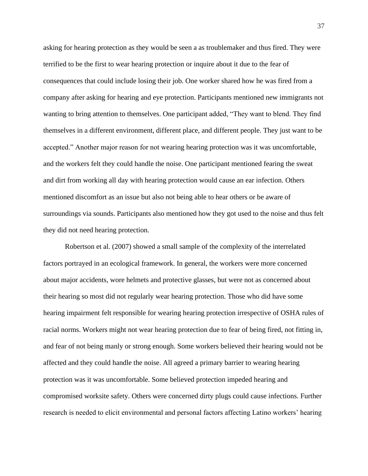asking for hearing protection as they would be seen a as troublemaker and thus fired. They were terrified to be the first to wear hearing protection or inquire about it due to the fear of consequences that could include losing their job. One worker shared how he was fired from a company after asking for hearing and eye protection. Participants mentioned new immigrants not wanting to bring attention to themselves. One participant added, "They want to blend. They find themselves in a different environment, different place, and different people. They just want to be accepted." Another major reason for not wearing hearing protection was it was uncomfortable, and the workers felt they could handle the noise. One participant mentioned fearing the sweat and dirt from working all day with hearing protection would cause an ear infection. Others mentioned discomfort as an issue but also not being able to hear others or be aware of surroundings via sounds. Participants also mentioned how they got used to the noise and thus felt they did not need hearing protection.

Robertson et al. (2007) showed a small sample of the complexity of the interrelated factors portrayed in an ecological framework. In general, the workers were more concerned about major accidents, wore helmets and protective glasses, but were not as concerned about their hearing so most did not regularly wear hearing protection. Those who did have some hearing impairment felt responsible for wearing hearing protection irrespective of OSHA rules of racial norms. Workers might not wear hearing protection due to fear of being fired, not fitting in, and fear of not being manly or strong enough. Some workers believed their hearing would not be affected and they could handle the noise. All agreed a primary barrier to wearing hearing protection was it was uncomfortable. Some believed protection impeded hearing and compromised worksite safety. Others were concerned dirty plugs could cause infections. Further research is needed to elicit environmental and personal factors affecting Latino workers' hearing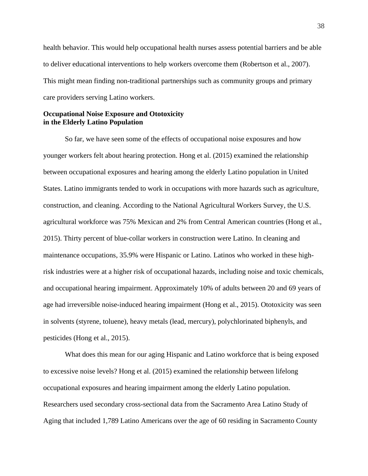health behavior. This would help occupational health nurses assess potential barriers and be able to deliver educational interventions to help workers overcome them (Robertson et al., 2007). This might mean finding non-traditional partnerships such as community groups and primary care providers serving Latino workers.

# **Occupational Noise Exposure and Ototoxicity in the Elderly Latino Population**

So far, we have seen some of the effects of occupational noise exposures and how younger workers felt about hearing protection. Hong et al. (2015) examined the relationship between occupational exposures and hearing among the elderly Latino population in United States. Latino immigrants tended to work in occupations with more hazards such as agriculture, construction, and cleaning. According to the National Agricultural Workers Survey, the U.S. agricultural workforce was 75% Mexican and 2% from Central American countries (Hong et al., 2015). Thirty percent of blue-collar workers in construction were Latino. In cleaning and maintenance occupations, 35.9% were Hispanic or Latino. Latinos who worked in these highrisk industries were at a higher risk of occupational hazards, including noise and toxic chemicals, and occupational hearing impairment. Approximately 10% of adults between 20 and 69 years of age had irreversible noise-induced hearing impairment (Hong et al., 2015). Ototoxicity was seen in solvents (styrene, toluene), heavy metals (lead, mercury), polychlorinated biphenyls, and pesticides (Hong et al., 2015).

What does this mean for our aging Hispanic and Latino workforce that is being exposed to excessive noise levels? Hong et al. (2015) examined the relationship between lifelong occupational exposures and hearing impairment among the elderly Latino population. Researchers used secondary cross-sectional data from the Sacramento Area Latino Study of Aging that included 1,789 Latino Americans over the age of 60 residing in Sacramento County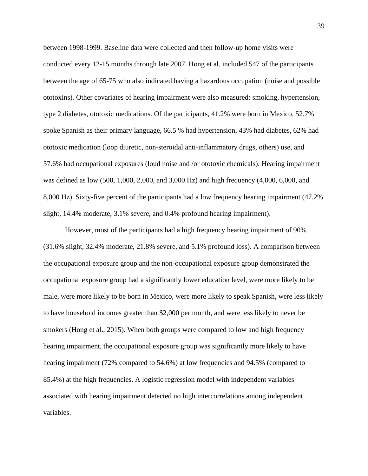between 1998-1999. Baseline data were collected and then follow-up home visits were conducted every 12-15 months through late 2007. Hong et al. included 547 of the participants between the age of 65-75 who also indicated having a hazardous occupation (noise and possible ototoxins). Other covariates of hearing impairment were also measured: smoking, hypertension, type 2 diabetes, ototoxic medications. Of the participants, 41.2% were born in Mexico, 52.7% spoke Spanish as their primary language, 66.5 % had hypertension, 43% had diabetes, 62% had ototoxic medication (loop diuretic, non-steroidal anti-inflammatory drugs, others) use, and 57.6% had occupational exposures (loud noise and /or ototoxic chemicals). Hearing impairment was defined as low (500, 1,000, 2,000, and 3,000 Hz) and high frequency (4,000, 6,000, and 8,000 Hz). Sixty-five percent of the participants had a low frequency hearing impairment (47.2% slight, 14.4% moderate, 3.1% severe, and 0.4% profound hearing impairment).

However, most of the participants had a high frequency hearing impairment of 90% (31.6% slight, 32.4% moderate, 21.8% severe, and 5.1% profound loss). A comparison between the occupational exposure group and the non-occupational exposure group demonstrated the occupational exposure group had a significantly lower education level, were more likely to be male, were more likely to be born in Mexico, were more likely to speak Spanish, were less likely to have household incomes greater than \$2,000 per month, and were less likely to never be smokers (Hong et al., 2015). When both groups were compared to low and high frequency hearing impairment, the occupational exposure group was significantly more likely to have hearing impairment (72% compared to 54.6%) at low frequencies and 94.5% (compared to 85.4%) at the high frequencies. A logistic regression model with independent variables associated with hearing impairment detected no high intercorrelations among independent variables.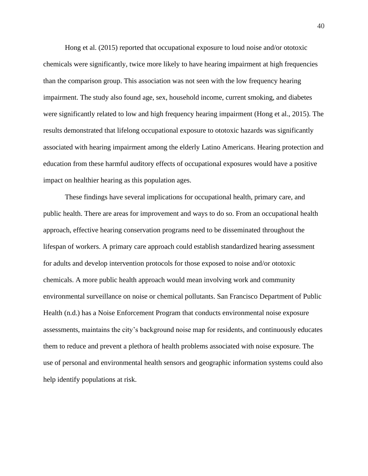Hong et al. (2015) reported that occupational exposure to loud noise and/or ototoxic chemicals were significantly, twice more likely to have hearing impairment at high frequencies than the comparison group. This association was not seen with the low frequency hearing impairment. The study also found age, sex, household income, current smoking, and diabetes were significantly related to low and high frequency hearing impairment (Hong et al., 2015). The results demonstrated that lifelong occupational exposure to ototoxic hazards was significantly associated with hearing impairment among the elderly Latino Americans. Hearing protection and education from these harmful auditory effects of occupational exposures would have a positive impact on healthier hearing as this population ages.

These findings have several implications for occupational health, primary care, and public health. There are areas for improvement and ways to do so. From an occupational health approach, effective hearing conservation programs need to be disseminated throughout the lifespan of workers. A primary care approach could establish standardized hearing assessment for adults and develop intervention protocols for those exposed to noise and/or ototoxic chemicals. A more public health approach would mean involving work and community environmental surveillance on noise or chemical pollutants. San Francisco Department of Public Health (n.d.) has a Noise Enforcement Program that conducts environmental noise exposure assessments, maintains the city's background noise map for residents, and continuously educates them to reduce and prevent a plethora of health problems associated with noise exposure. The use of personal and environmental health sensors and geographic information systems could also help identify populations at risk.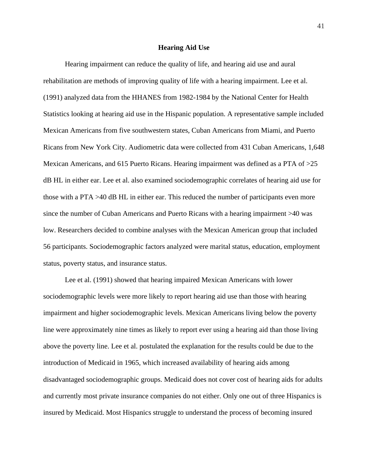#### **Hearing Aid Use**

Hearing impairment can reduce the quality of life, and hearing aid use and aural rehabilitation are methods of improving quality of life with a hearing impairment. Lee et al. (1991) analyzed data from the HHANES from 1982-1984 by the National Center for Health Statistics looking at hearing aid use in the Hispanic population. A representative sample included Mexican Americans from five southwestern states, Cuban Americans from Miami, and Puerto Ricans from New York City. Audiometric data were collected from 431 Cuban Americans, 1,648 Mexican Americans, and 615 Puerto Ricans. Hearing impairment was defined as a PTA of >25 dB HL in either ear. Lee et al. also examined sociodemographic correlates of hearing aid use for those with a PTA >40 dB HL in either ear. This reduced the number of participants even more since the number of Cuban Americans and Puerto Ricans with a hearing impairment >40 was low. Researchers decided to combine analyses with the Mexican American group that included 56 participants. Sociodemographic factors analyzed were marital status, education, employment status, poverty status, and insurance status.

Lee et al. (1991) showed that hearing impaired Mexican Americans with lower sociodemographic levels were more likely to report hearing aid use than those with hearing impairment and higher sociodemographic levels. Mexican Americans living below the poverty line were approximately nine times as likely to report ever using a hearing aid than those living above the poverty line. Lee et al. postulated the explanation for the results could be due to the introduction of Medicaid in 1965, which increased availability of hearing aids among disadvantaged sociodemographic groups. Medicaid does not cover cost of hearing aids for adults and currently most private insurance companies do not either. Only one out of three Hispanics is insured by Medicaid. Most Hispanics struggle to understand the process of becoming insured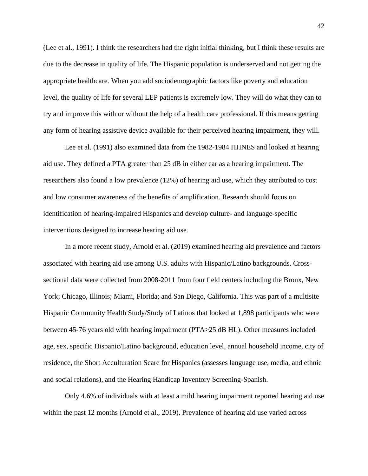(Lee et al., 1991). I think the researchers had the right initial thinking, but I think these results are due to the decrease in quality of life. The Hispanic population is underserved and not getting the appropriate healthcare. When you add sociodemographic factors like poverty and education level, the quality of life for several LEP patients is extremely low. They will do what they can to try and improve this with or without the help of a health care professional. If this means getting any form of hearing assistive device available for their perceived hearing impairment, they will.

Lee et al. (1991) also examined data from the 1982-1984 HHNES and looked at hearing aid use. They defined a PTA greater than 25 dB in either ear as a hearing impairment. The researchers also found a low prevalence (12%) of hearing aid use, which they attributed to cost and low consumer awareness of the benefits of amplification. Research should focus on identification of hearing-impaired Hispanics and develop culture- and language-specific interventions designed to increase hearing aid use.

In a more recent study, Arnold et al. (2019) examined hearing aid prevalence and factors associated with hearing aid use among U.S. adults with Hispanic/Latino backgrounds. Crosssectional data were collected from 2008-2011 from four field centers including the Bronx, New York; Chicago, Illinois; Miami, Florida; and San Diego, California. This was part of a multisite Hispanic Community Health Study/Study of Latinos that looked at 1,898 participants who were between 45-76 years old with hearing impairment (PTA>25 dB HL). Other measures included age, sex, specific Hispanic/Latino background, education level, annual household income, city of residence, the Short Acculturation Scare for Hispanics (assesses language use, media, and ethnic and social relations), and the Hearing Handicap Inventory Screening-Spanish.

Only 4.6% of individuals with at least a mild hearing impairment reported hearing aid use within the past 12 months (Arnold et al., 2019). Prevalence of hearing aid use varied across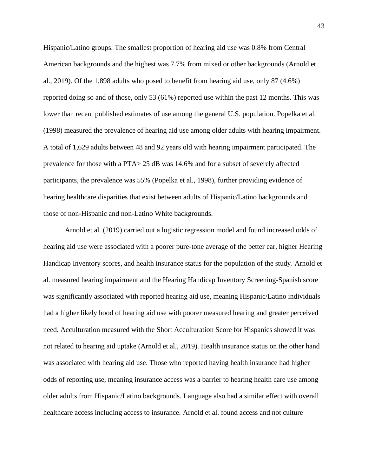Hispanic/Latino groups. The smallest proportion of hearing aid use was 0.8% from Central American backgrounds and the highest was 7.7% from mixed or other backgrounds (Arnold et al., 2019). Of the 1,898 adults who posed to benefit from hearing aid use, only 87 (4.6%) reported doing so and of those, only 53 (61%) reported use within the past 12 months. This was lower than recent published estimates of use among the general U.S. population. Popelka et al. (1998) measured the prevalence of hearing aid use among older adults with hearing impairment. A total of 1,629 adults between 48 and 92 years old with hearing impairment participated. The prevalence for those with a PTA> 25 dB was 14.6% and for a subset of severely affected participants, the prevalence was 55% (Popelka et al., 1998), further providing evidence of hearing healthcare disparities that exist between adults of Hispanic/Latino backgrounds and those of non-Hispanic and non-Latino White backgrounds.

Arnold et al. (2019) carried out a logistic regression model and found increased odds of hearing aid use were associated with a poorer pure-tone average of the better ear, higher Hearing Handicap Inventory scores, and health insurance status for the population of the study. Arnold et al. measured hearing impairment and the Hearing Handicap Inventory Screening-Spanish score was significantly associated with reported hearing aid use, meaning Hispanic/Latino individuals had a higher likely hood of hearing aid use with poorer measured hearing and greater perceived need. Acculturation measured with the Short Acculturation Score for Hispanics showed it was not related to hearing aid uptake (Arnold et al., 2019). Health insurance status on the other hand was associated with hearing aid use. Those who reported having health insurance had higher odds of reporting use, meaning insurance access was a barrier to hearing health care use among older adults from Hispanic/Latino backgrounds. Language also had a similar effect with overall healthcare access including access to insurance. Arnold et al. found access and not culture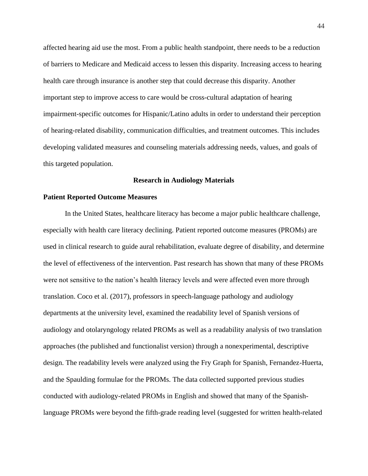affected hearing aid use the most. From a public health standpoint, there needs to be a reduction of barriers to Medicare and Medicaid access to lessen this disparity. Increasing access to hearing health care through insurance is another step that could decrease this disparity. Another important step to improve access to care would be cross-cultural adaptation of hearing impairment-specific outcomes for Hispanic/Latino adults in order to understand their perception of hearing-related disability, communication difficulties, and treatment outcomes. This includes developing validated measures and counseling materials addressing needs, values, and goals of this targeted population.

## **Research in Audiology Materials**

#### **Patient Reported Outcome Measures**

In the United States, healthcare literacy has become a major public healthcare challenge, especially with health care literacy declining. Patient reported outcome measures (PROMs) are used in clinical research to guide aural rehabilitation, evaluate degree of disability, and determine the level of effectiveness of the intervention. Past research has shown that many of these PROMs were not sensitive to the nation's health literacy levels and were affected even more through translation. Coco et al. (2017), professors in speech-language pathology and audiology departments at the university level, examined the readability level of Spanish versions of audiology and otolaryngology related PROMs as well as a readability analysis of two translation approaches (the published and functionalist version) through a nonexperimental, descriptive design. The readability levels were analyzed using the Fry Graph for Spanish, Fernandez-Huerta, and the Spaulding formulae for the PROMs. The data collected supported previous studies conducted with audiology-related PROMs in English and showed that many of the Spanishlanguage PROMs were beyond the fifth-grade reading level (suggested for written health-related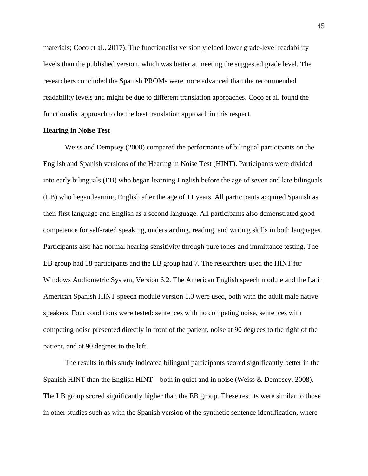materials; Coco et al., 2017). The functionalist version yielded lower grade-level readability levels than the published version, which was better at meeting the suggested grade level. The researchers concluded the Spanish PROMs were more advanced than the recommended readability levels and might be due to different translation approaches. Coco et al. found the functionalist approach to be the best translation approach in this respect.

## **Hearing in Noise Test**

Weiss and Dempsey (2008) compared the performance of bilingual participants on the English and Spanish versions of the Hearing in Noise Test (HINT). Participants were divided into early bilinguals (EB) who began learning English before the age of seven and late bilinguals (LB) who began learning English after the age of 11 years. All participants acquired Spanish as their first language and English as a second language. All participants also demonstrated good competence for self-rated speaking, understanding, reading, and writing skills in both languages. Participants also had normal hearing sensitivity through pure tones and immittance testing. The EB group had 18 participants and the LB group had 7. The researchers used the HINT for Windows Audiometric System, Version 6.2. The American English speech module and the Latin American Spanish HINT speech module version 1.0 were used, both with the adult male native speakers. Four conditions were tested: sentences with no competing noise, sentences with competing noise presented directly in front of the patient, noise at 90 degrees to the right of the patient, and at 90 degrees to the left.

The results in this study indicated bilingual participants scored significantly better in the Spanish HINT than the English HINT—both in quiet and in noise (Weiss & Dempsey, 2008). The LB group scored significantly higher than the EB group. These results were similar to those in other studies such as with the Spanish version of the synthetic sentence identification, where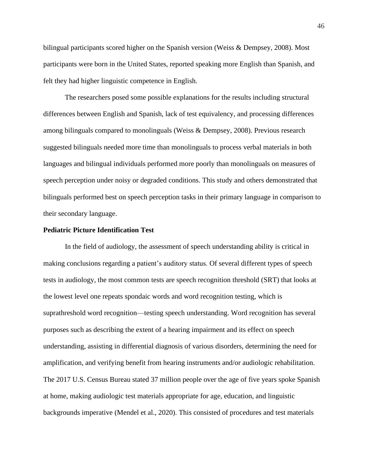bilingual participants scored higher on the Spanish version (Weiss & Dempsey, 2008). Most participants were born in the United States, reported speaking more English than Spanish, and felt they had higher linguistic competence in English.

The researchers posed some possible explanations for the results including structural differences between English and Spanish, lack of test equivalency, and processing differences among bilinguals compared to monolinguals (Weiss & Dempsey, 2008). Previous research suggested bilinguals needed more time than monolinguals to process verbal materials in both languages and bilingual individuals performed more poorly than monolinguals on measures of speech perception under noisy or degraded conditions. This study and others demonstrated that bilinguals performed best on speech perception tasks in their primary language in comparison to their secondary language.

## **Pediatric Picture Identification Test**

In the field of audiology, the assessment of speech understanding ability is critical in making conclusions regarding a patient's auditory status. Of several different types of speech tests in audiology, the most common tests are speech recognition threshold (SRT) that looks at the lowest level one repeats spondaic words and word recognition testing, which is suprathreshold word recognition—testing speech understanding. Word recognition has several purposes such as describing the extent of a hearing impairment and its effect on speech understanding, assisting in differential diagnosis of various disorders, determining the need for amplification, and verifying benefit from hearing instruments and/or audiologic rehabilitation. The 2017 U.S. Census Bureau stated 37 million people over the age of five years spoke Spanish at home, making audiologic test materials appropriate for age, education, and linguistic backgrounds imperative (Mendel et al., 2020). This consisted of procedures and test materials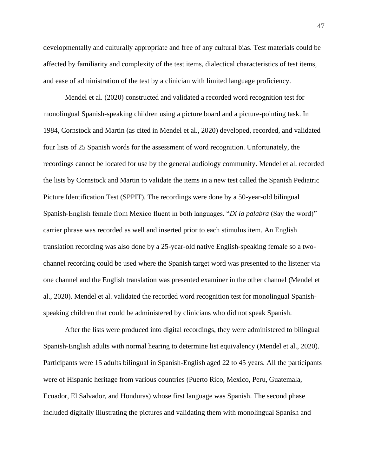developmentally and culturally appropriate and free of any cultural bias. Test materials could be affected by familiarity and complexity of the test items, dialectical characteristics of test items, and ease of administration of the test by a clinician with limited language proficiency.

Mendel et al. (2020) constructed and validated a recorded word recognition test for monolingual Spanish-speaking children using a picture board and a picture-pointing task. In 1984, Cornstock and Martin (as cited in Mendel et al., 2020) developed, recorded, and validated four lists of 25 Spanish words for the assessment of word recognition. Unfortunately, the recordings cannot be located for use by the general audiology community. Mendel et al. recorded the lists by Cornstock and Martin to validate the items in a new test called the Spanish Pediatric Picture Identification Test (SPPIT). The recordings were done by a 50-year-old bilingual Spanish-English female from Mexico fluent in both languages. "*Di la palabra* (Say the word)" carrier phrase was recorded as well and inserted prior to each stimulus item. An English translation recording was also done by a 25-year-old native English-speaking female so a twochannel recording could be used where the Spanish target word was presented to the listener via one channel and the English translation was presented examiner in the other channel (Mendel et al., 2020). Mendel et al. validated the recorded word recognition test for monolingual Spanishspeaking children that could be administered by clinicians who did not speak Spanish.

After the lists were produced into digital recordings, they were administered to bilingual Spanish-English adults with normal hearing to determine list equivalency (Mendel et al., 2020). Participants were 15 adults bilingual in Spanish-English aged 22 to 45 years. All the participants were of Hispanic heritage from various countries (Puerto Rico, Mexico, Peru, Guatemala, Ecuador, El Salvador, and Honduras) whose first language was Spanish. The second phase included digitally illustrating the pictures and validating them with monolingual Spanish and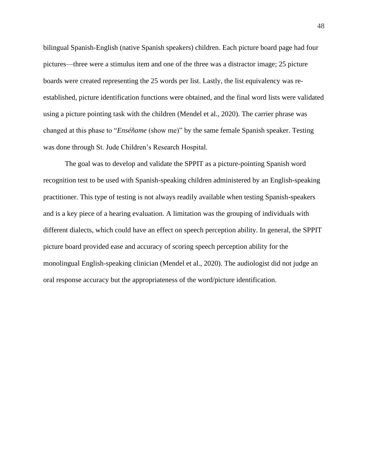bilingual Spanish-English (native Spanish speakers) children. Each picture board page had four pictures—three were a stimulus item and one of the three was a distractor image; 25 picture boards were created representing the 25 words per list. Lastly, the list equivalency was reestablished, picture identification functions were obtained, and the final word lists were validated using a picture pointing task with the children (Mendel et al., 2020). The carrier phrase was changed at this phase to "*Enséñame* (show me)" by the same female Spanish speaker. Testing was done through St. Jude Children's Research Hospital.

The goal was to develop and validate the SPPIT as a picture-pointing Spanish word recognition test to be used with Spanish-speaking children administered by an English-speaking practitioner. This type of testing is not always readily available when testing Spanish-speakers and is a key piece of a hearing evaluation. A limitation was the grouping of individuals with different dialects, which could have an effect on speech perception ability. In general, the SPPIT picture board provided ease and accuracy of scoring speech perception ability for the monolingual English-speaking clinician (Mendel et al., 2020). The audiologist did not judge an oral response accuracy but the appropriateness of the word/picture identification.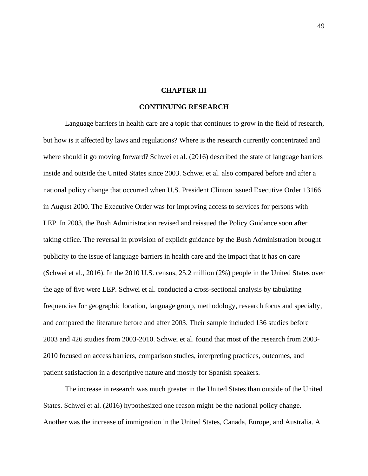## **CHAPTER III**

# **CONTINUING RESEARCH**

Language barriers in health care are a topic that continues to grow in the field of research, but how is it affected by laws and regulations? Where is the research currently concentrated and where should it go moving forward? Schwei et al. (2016) described the state of language barriers inside and outside the United States since 2003. Schwei et al. also compared before and after a national policy change that occurred when U.S. President Clinton issued Executive Order 13166 in August 2000. The Executive Order was for improving access to services for persons with LEP. In 2003, the Bush Administration revised and reissued the Policy Guidance soon after taking office. The reversal in provision of explicit guidance by the Bush Administration brought publicity to the issue of language barriers in health care and the impact that it has on care (Schwei et al., 2016). In the 2010 U.S. census, 25.2 million (2%) people in the United States over the age of five were LEP. Schwei et al. conducted a cross-sectional analysis by tabulating frequencies for geographic location, language group, methodology, research focus and specialty, and compared the literature before and after 2003. Their sample included 136 studies before 2003 and 426 studies from 2003-2010. Schwei et al. found that most of the research from 2003- 2010 focused on access barriers, comparison studies, interpreting practices, outcomes, and patient satisfaction in a descriptive nature and mostly for Spanish speakers.

The increase in research was much greater in the United States than outside of the United States. Schwei et al. (2016) hypothesized one reason might be the national policy change. Another was the increase of immigration in the United States, Canada, Europe, and Australia. A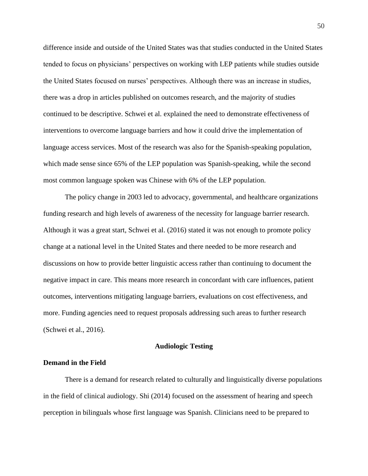difference inside and outside of the United States was that studies conducted in the United States tended to focus on physicians' perspectives on working with LEP patients while studies outside the United States focused on nurses' perspectives. Although there was an increase in studies, there was a drop in articles published on outcomes research, and the majority of studies continued to be descriptive. Schwei et al. explained the need to demonstrate effectiveness of interventions to overcome language barriers and how it could drive the implementation of language access services. Most of the research was also for the Spanish-speaking population, which made sense since 65% of the LEP population was Spanish-speaking, while the second most common language spoken was Chinese with 6% of the LEP population.

The policy change in 2003 led to advocacy, governmental, and healthcare organizations funding research and high levels of awareness of the necessity for language barrier research. Although it was a great start, Schwei et al. (2016) stated it was not enough to promote policy change at a national level in the United States and there needed to be more research and discussions on how to provide better linguistic access rather than continuing to document the negative impact in care. This means more research in concordant with care influences, patient outcomes, interventions mitigating language barriers, evaluations on cost effectiveness, and more. Funding agencies need to request proposals addressing such areas to further research (Schwei et al., 2016).

#### **Audiologic Testing**

### **Demand in the Field**

There is a demand for research related to culturally and linguistically diverse populations in the field of clinical audiology. Shi (2014) focused on the assessment of hearing and speech perception in bilinguals whose first language was Spanish. Clinicians need to be prepared to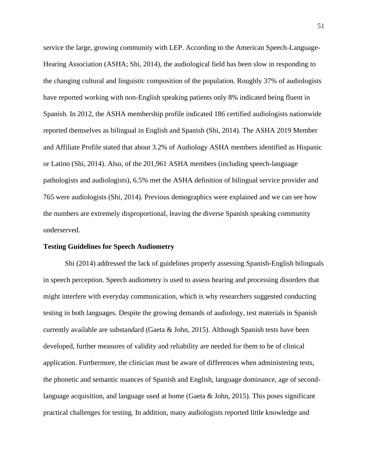service the large, growing community with LEP. According to the American Speech-Language-Hearing Association (ASHA; Shi, 2014), the audiological field has been slow in responding to the changing cultural and linguistic composition of the population. Roughly 37% of audiologists have reported working with non-English speaking patients only 8% indicated being fluent in Spanish. In 2012, the ASHA membership profile indicated 186 certified audiologists nationwide reported themselves as bilingual in English and Spanish (Shi, 2014). The ASHA 2019 Member and Affiliate Profile stated that about 3.2% of Audiology ASHA members identified as Hispanic or Latino (Shi, 2014). Also, of the 201,961 ASHA members (including speech-language pathologists and audiologists), 6.5% met the ASHA definition of bilingual service provider and 765 were audiologists (Shi, 2014). Previous demographics were explained and we can see how the numbers are extremely disproportional, leaving the diverse Spanish speaking community underserved.

## **Testing Guidelines for Speech Audiometry**

Shi (2014) addressed the lack of guidelines properly assessing Spanish-English bilinguals in speech perception. Speech audiometry is used to assess hearing and processing disorders that might interfere with everyday communication, which is why researchers suggested conducting testing in both languages. Despite the growing demands of audiology, test materials in Spanish currently available are substandard (Gaeta & John, 2015). Although Spanish tests have been developed, further measures of validity and reliability are needed for them to be of clinical application. Furthermore, the clinician must be aware of differences when administering tests, the phonetic and semantic nuances of Spanish and English, language dominance, age of secondlanguage acquisition, and language used at home (Gaeta & John, 2015). This poses significant practical challenges for testing. In addition, many audiologists reported little knowledge and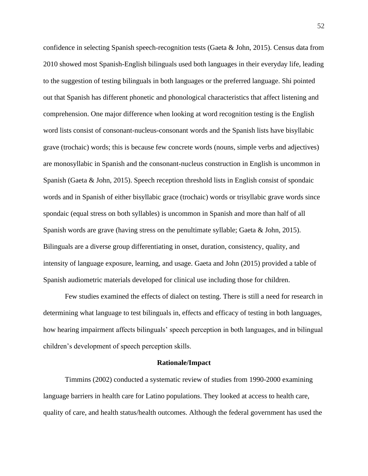confidence in selecting Spanish speech-recognition tests (Gaeta & John, 2015). Census data from 2010 showed most Spanish-English bilinguals used both languages in their everyday life, leading to the suggestion of testing bilinguals in both languages or the preferred language. Shi pointed out that Spanish has different phonetic and phonological characteristics that affect listening and comprehension. One major difference when looking at word recognition testing is the English word lists consist of consonant-nucleus-consonant words and the Spanish lists have bisyllabic grave (trochaic) words; this is because few concrete words (nouns, simple verbs and adjectives) are monosyllabic in Spanish and the consonant-nucleus construction in English is uncommon in Spanish (Gaeta & John, 2015). Speech reception threshold lists in English consist of spondaic words and in Spanish of either bisyllabic grace (trochaic) words or trisyllabic grave words since spondaic (equal stress on both syllables) is uncommon in Spanish and more than half of all Spanish words are grave (having stress on the penultimate syllable; Gaeta & John, 2015). Bilinguals are a diverse group differentiating in onset, duration, consistency, quality, and intensity of language exposure, learning, and usage. Gaeta and John (2015) provided a table of Spanish audiometric materials developed for clinical use including those for children.

Few studies examined the effects of dialect on testing. There is still a need for research in determining what language to test bilinguals in, effects and efficacy of testing in both languages, how hearing impairment affects bilinguals' speech perception in both languages, and in bilingual children's development of speech perception skills.

#### **Rationale/Impact**

Timmins (2002) conducted a systematic review of studies from 1990-2000 examining language barriers in health care for Latino populations. They looked at access to health care, quality of care, and health status/health outcomes. Although the federal government has used the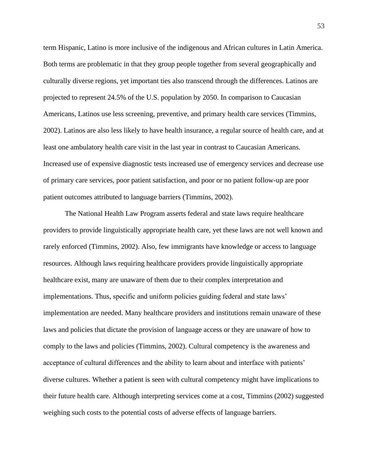term Hispanic, Latino is more inclusive of the indigenous and African cultures in Latin America. Both terms are problematic in that they group people together from several geographically and culturally diverse regions, yet important ties also transcend through the differences. Latinos are projected to represent 24.5% of the U.S. population by 2050. In comparison to Caucasian Americans, Latinos use less screening, preventive, and primary health care services (Timmins, 2002). Latinos are also less likely to have health insurance, a regular source of health care, and at least one ambulatory health care visit in the last year in contrast to Caucasian Americans. Increased use of expensive diagnostic tests increased use of emergency services and decrease use of primary care services, poor patient satisfaction, and poor or no patient follow-up are poor patient outcomes attributed to language barriers (Timmins, 2002).

The National Health Law Program asserts federal and state laws require healthcare providers to provide linguistically appropriate health care, yet these laws are not well known and rarely enforced (Timmins, 2002). Also, few immigrants have knowledge or access to language resources. Although laws requiring healthcare providers provide linguistically appropriate healthcare exist, many are unaware of them due to their complex interpretation and implementations. Thus, specific and uniform policies guiding federal and state laws' implementation are needed. Many healthcare providers and institutions remain unaware of these laws and policies that dictate the provision of language access or they are unaware of how to comply to the laws and policies (Timmins, 2002). Cultural competency is the awareness and acceptance of cultural differences and the ability to learn about and interface with patients' diverse cultures. Whether a patient is seen with cultural competency might have implications to their future health care. Although interpreting services come at a cost, Timmins (2002) suggested weighing such costs to the potential costs of adverse effects of language barriers.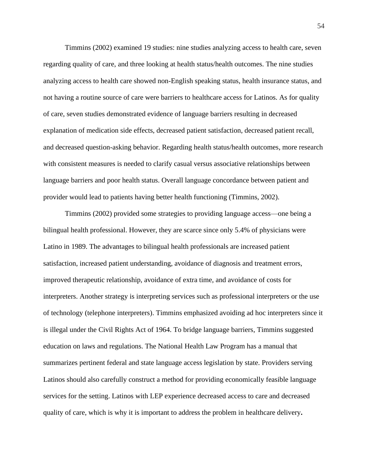Timmins (2002) examined 19 studies: nine studies analyzing access to health care, seven regarding quality of care, and three looking at health status/health outcomes. The nine studies analyzing access to health care showed non-English speaking status, health insurance status, and not having a routine source of care were barriers to healthcare access for Latinos. As for quality of care, seven studies demonstrated evidence of language barriers resulting in decreased explanation of medication side effects, decreased patient satisfaction, decreased patient recall, and decreased question-asking behavior. Regarding health status/health outcomes, more research with consistent measures is needed to clarify casual versus associative relationships between language barriers and poor health status. Overall language concordance between patient and provider would lead to patients having better health functioning (Timmins, 2002).

Timmins (2002) provided some strategies to providing language access—one being a bilingual health professional. However, they are scarce since only 5.4% of physicians were Latino in 1989. The advantages to bilingual health professionals are increased patient satisfaction, increased patient understanding, avoidance of diagnosis and treatment errors, improved therapeutic relationship, avoidance of extra time, and avoidance of costs for interpreters. Another strategy is interpreting services such as professional interpreters or the use of technology (telephone interpreters). Timmins emphasized avoiding ad hoc interpreters since it is illegal under the Civil Rights Act of 1964. To bridge language barriers, Timmins suggested education on laws and regulations. The National Health Law Program has a manual that summarizes pertinent federal and state language access legislation by state. Providers serving Latinos should also carefully construct a method for providing economically feasible language services for the setting. Latinos with LEP experience decreased access to care and decreased quality of care, which is why it is important to address the problem in healthcare delivery**.**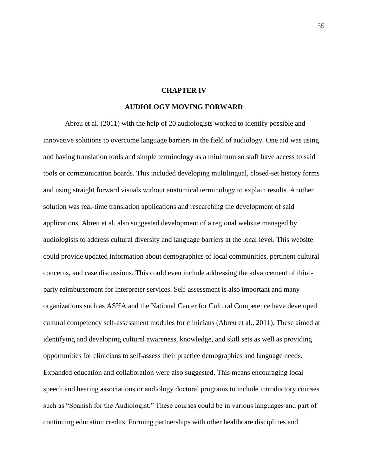## **CHAPTER IV**

## **AUDIOLOGY MOVING FORWARD**

Abreu et al. (2011) with the help of 20 audiologists worked to identify possible and innovative solutions to overcome language barriers in the field of audiology. One aid was using and having translation tools and simple terminology as a minimum so staff have access to said tools or communication boards. This included developing multilingual, closed-set history forms and using straight forward visuals without anatomical terminology to explain results. Another solution was real-time translation applications and researching the development of said applications. Abreu et al. also suggested development of a regional website managed by audiologists to address cultural diversity and language barriers at the local level. This website could provide updated information about demographics of local communities, pertinent cultural concerns, and case discussions. This could even include addressing the advancement of thirdparty reimbursement for interpreter services. Self-assessment is also important and many organizations such as ASHA and the National Center for Cultural Competence have developed cultural competency self-assessment modules for clinicians (Abreu et al., 2011). These aimed at identifying and developing cultural awareness, knowledge, and skill sets as well as providing opportunities for clinicians to self-assess their practice demographics and language needs. Expanded education and collaboration were also suggested. This means encouraging local speech and hearing associations or audiology doctoral programs to include introductory courses such as "Spanish for the Audiologist." These courses could be in various languages and part of continuing education credits. Forming partnerships with other healthcare disciplines and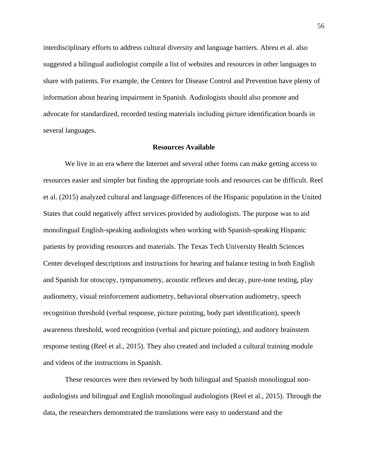interdisciplinary efforts to address cultural diversity and language barriers. Abreu et al. also suggested a bilingual audiologist compile a list of websites and resources in other languages to share with patients. For example, the Centers for Disease Control and Prevention have plenty of information about hearing impairment in Spanish. Audiologists should also promote and advocate for standardized, recorded testing materials including picture identification boards in several languages.

#### **Resources Available**

We live in an era where the Internet and several other forms can make getting access to resources easier and simpler but finding the appropriate tools and resources can be difficult. Reel et al. (2015) analyzed cultural and language differences of the Hispanic population in the United States that could negatively affect services provided by audiologists. The purpose was to aid monolingual English-speaking audiologists when working with Spanish-speaking Hispanic patients by providing resources and materials. The Texas Tech University Health Sciences Center developed descriptions and instructions for hearing and balance testing in both English and Spanish for otoscopy, tympanometry, acoustic reflexes and decay, pure-tone testing, play audiometry, visual reinforcement audiometry, behavioral observation audiometry, speech recognition threshold (verbal response, picture pointing, body part identification), speech awareness threshold, word recognition (verbal and picture pointing), and auditory brainstem response testing (Reel et al., 2015). They also created and included a cultural training module and videos of the instructions in Spanish.

These resources were then reviewed by both bilingual and Spanish monolingual nonaudiologists and bilingual and English monolingual audiologists (Reel et al., 2015). Through the data, the researchers demonstrated the translations were easy to understand and the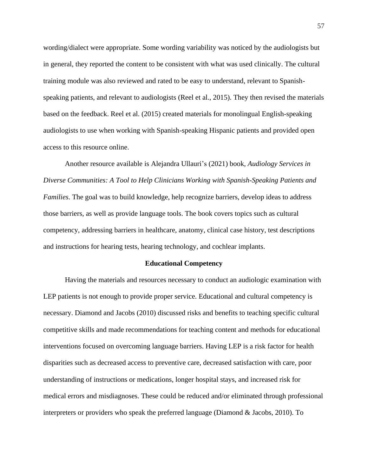wording/dialect were appropriate. Some wording variability was noticed by the audiologists but in general, they reported the content to be consistent with what was used clinically. The cultural training module was also reviewed and rated to be easy to understand, relevant to Spanishspeaking patients, and relevant to audiologists (Reel et al., 2015). They then revised the materials based on the feedback. Reel et al. (2015) created materials for monolingual English-speaking audiologists to use when working with Spanish-speaking Hispanic patients and provided open access to this resource online.

Another resource available is Alejandra Ullauri's (2021) book, *Audiology Services in Diverse Communities: A Tool to Help Clinicians Working with Spanish-Speaking Patients and Families*. The goal was to build knowledge, help recognize barriers, develop ideas to address those barriers, as well as provide language tools. The book covers topics such as cultural competency, addressing barriers in healthcare, anatomy, clinical case history, test descriptions and instructions for hearing tests, hearing technology, and cochlear implants.

#### **Educational Competency**

Having the materials and resources necessary to conduct an audiologic examination with LEP patients is not enough to provide proper service. Educational and cultural competency is necessary. Diamond and Jacobs (2010) discussed risks and benefits to teaching specific cultural competitive skills and made recommendations for teaching content and methods for educational interventions focused on overcoming language barriers. Having LEP is a risk factor for health disparities such as decreased access to preventive care, decreased satisfaction with care, poor understanding of instructions or medications, longer hospital stays, and increased risk for medical errors and misdiagnoses. These could be reduced and/or eliminated through professional interpreters or providers who speak the preferred language (Diamond & Jacobs, 2010). To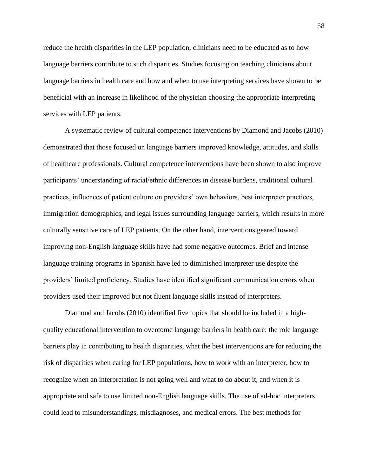reduce the health disparities in the LEP population, clinicians need to be educated as to how language barriers contribute to such disparities. Studies focusing on teaching clinicians about language barriers in health care and how and when to use interpreting services have shown to be beneficial with an increase in likelihood of the physician choosing the appropriate interpreting services with LEP patients.

A systematic review of cultural competence interventions by Diamond and Jacobs (2010) demonstrated that those focused on language barriers improved knowledge, attitudes, and skills of healthcare professionals. Cultural competence interventions have been shown to also improve participants' understanding of racial/ethnic differences in disease burdens, traditional cultural practices, influences of patient culture on providers' own behaviors, best interpreter practices, immigration demographics, and legal issues surrounding language barriers, which results in more culturally sensitive care of LEP patients. On the other hand, interventions geared toward improving non-English language skills have had some negative outcomes. Brief and intense language training programs in Spanish have led to diminished interpreter use despite the providers' limited proficiency. Studies have identified significant communication errors when providers used their improved but not fluent language skills instead of interpreters.

Diamond and Jacobs (2010) identified five topics that should be included in a highquality educational intervention to overcome language barriers in health care: the role language barriers play in contributing to health disparities, what the best interventions are for reducing the risk of disparities when caring for LEP populations, how to work with an interpreter, how to recognize when an interpretation is not going well and what to do about it, and when it is appropriate and safe to use limited non-English language skills. The use of ad-hoc interpreters could lead to misunderstandings, misdiagnoses, and medical errors. The best methods for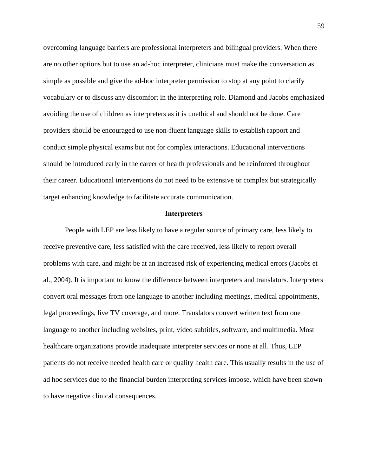overcoming language barriers are professional interpreters and bilingual providers. When there are no other options but to use an ad-hoc interpreter, clinicians must make the conversation as simple as possible and give the ad-hoc interpreter permission to stop at any point to clarify vocabulary or to discuss any discomfort in the interpreting role. Diamond and Jacobs emphasized avoiding the use of children as interpreters as it is unethical and should not be done. Care providers should be encouraged to use non-fluent language skills to establish rapport and conduct simple physical exams but not for complex interactions. Educational interventions should be introduced early in the career of health professionals and be reinforced throughout their career. Educational interventions do not need to be extensive or complex but strategically target enhancing knowledge to facilitate accurate communication.

#### **Interpreters**

People with LEP are less likely to have a regular source of primary care, less likely to receive preventive care, less satisfied with the care received, less likely to report overall problems with care, and might be at an increased risk of experiencing medical errors (Jacobs et al., 2004). It is important to know the difference between interpreters and translators. Interpreters convert oral messages from one language to another including meetings, medical appointments, legal proceedings, live TV coverage, and more. Translators convert written text from one language to another including websites, print, video subtitles, software, and multimedia. Most healthcare organizations provide inadequate interpreter services or none at all. Thus, LEP patients do not receive needed health care or quality health care. This usually results in the use of ad hoc services due to the financial burden interpreting services impose, which have been shown to have negative clinical consequences.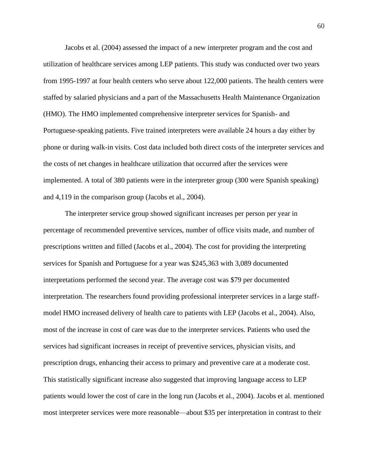Jacobs et al. (2004) assessed the impact of a new interpreter program and the cost and utilization of healthcare services among LEP patients. This study was conducted over two years from 1995-1997 at four health centers who serve about 122,000 patients. The health centers were staffed by salaried physicians and a part of the Massachusetts Health Maintenance Organization (HMO). The HMO implemented comprehensive interpreter services for Spanish- and Portuguese-speaking patients. Five trained interpreters were available 24 hours a day either by phone or during walk-in visits. Cost data included both direct costs of the interpreter services and the costs of net changes in healthcare utilization that occurred after the services were implemented. A total of 380 patients were in the interpreter group (300 were Spanish speaking) and 4,119 in the comparison group (Jacobs et al., 2004).

The interpreter service group showed significant increases per person per year in percentage of recommended preventive services, number of office visits made, and number of prescriptions written and filled (Jacobs et al., 2004). The cost for providing the interpreting services for Spanish and Portuguese for a year was \$245,363 with 3,089 documented interpretations performed the second year. The average cost was \$79 per documented interpretation. The researchers found providing professional interpreter services in a large staffmodel HMO increased delivery of health care to patients with LEP (Jacobs et al., 2004). Also, most of the increase in cost of care was due to the interpreter services. Patients who used the services had significant increases in receipt of preventive services, physician visits, and prescription drugs, enhancing their access to primary and preventive care at a moderate cost. This statistically significant increase also suggested that improving language access to LEP patients would lower the cost of care in the long run (Jacobs et al., 2004). Jacobs et al. mentioned most interpreter services were more reasonable—about \$35 per interpretation in contrast to their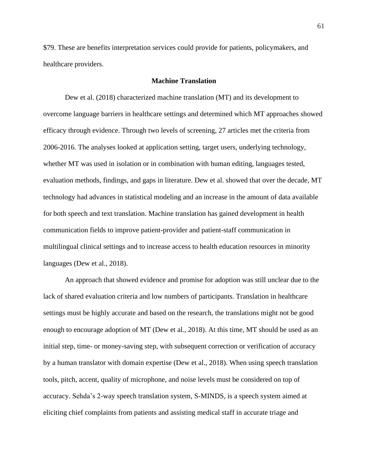\$79. These are benefits interpretation services could provide for patients, policymakers, and healthcare providers.

## **Machine Translation**

Dew et al. (2018) characterized machine translation (MT) and its development to overcome language barriers in healthcare settings and determined which MT approaches showed efficacy through evidence. Through two levels of screening, 27 articles met the criteria from 2006-2016. The analyses looked at application setting, target users, underlying technology, whether MT was used in isolation or in combination with human editing, languages tested, evaluation methods, findings, and gaps in literature. Dew et al. showed that over the decade, MT technology had advances in statistical modeling and an increase in the amount of data available for both speech and text translation. Machine translation has gained development in health communication fields to improve patient-provider and patient-staff communication in multilingual clinical settings and to increase access to health education resources in minority languages (Dew et al., 2018).

An approach that showed evidence and promise for adoption was still unclear due to the lack of shared evaluation criteria and low numbers of participants. Translation in healthcare settings must be highly accurate and based on the research, the translations might not be good enough to encourage adoption of MT (Dew et al., 2018). At this time, MT should be used as an initial step, time- or money-saving step, with subsequent correction or verification of accuracy by a human translator with domain expertise (Dew et al., 2018). When using speech translation tools, pitch, accent, quality of microphone, and noise levels must be considered on top of accuracy. Sehda's 2-way speech translation system, S-MINDS, is a speech system aimed at eliciting chief complaints from patients and assisting medical staff in accurate triage and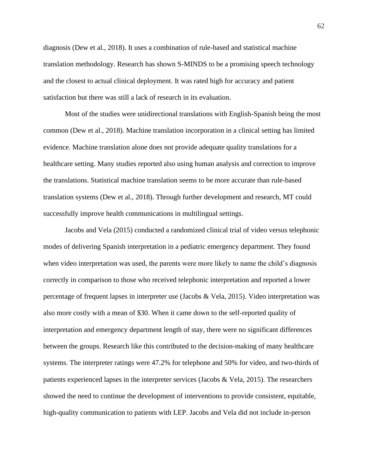diagnosis (Dew et al., 2018). It uses a combination of rule-based and statistical machine translation methodology. Research has shown S-MINDS to be a promising speech technology and the closest to actual clinical deployment. It was rated high for accuracy and patient satisfaction but there was still a lack of research in its evaluation.

Most of the studies were unidirectional translations with English-Spanish being the most common (Dew et al., 2018). Machine translation incorporation in a clinical setting has limited evidence. Machine translation alone does not provide adequate quality translations for a healthcare setting. Many studies reported also using human analysis and correction to improve the translations. Statistical machine translation seems to be more accurate than rule-based translation systems (Dew et al., 2018). Through further development and research, MT could successfully improve health communications in multilingual settings.

Jacobs and Vela (2015) conducted a randomized clinical trial of video versus telephonic modes of delivering Spanish interpretation in a pediatric emergency department. They found when video interpretation was used, the parents were more likely to name the child's diagnosis correctly in comparison to those who received telephonic interpretation and reported a lower percentage of frequent lapses in interpreter use (Jacobs & Vela, 2015). Video interpretation was also more costly with a mean of \$30. When it came down to the self-reported quality of interpretation and emergency department length of stay, there were no significant differences between the groups. Research like this contributed to the decision-making of many healthcare systems. The interpreter ratings were 47.2% for telephone and 50% for video, and two-thirds of patients experienced lapses in the interpreter services (Jacobs & Vela, 2015). The researchers showed the need to continue the development of interventions to provide consistent, equitable, high-quality communication to patients with LEP. Jacobs and Vela did not include in-person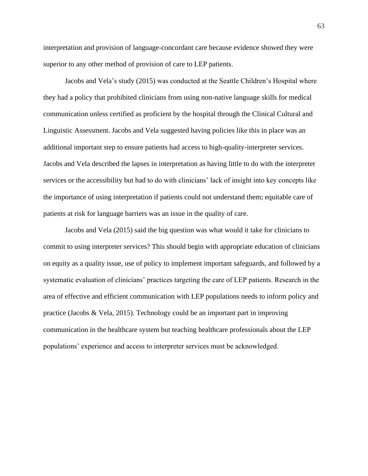interpretation and provision of language-concordant care because evidence showed they were superior to any other method of provision of care to LEP patients.

Jacobs and Vela's study (2015) was conducted at the Seattle Children's Hospital where they had a policy that prohibited clinicians from using non-native language skills for medical communication unless certified as proficient by the hospital through the Clinical Cultural and Linguistic Assessment. Jacobs and Vela suggested having policies like this in place was an additional important step to ensure patients had access to high-quality-interpreter services. Jacobs and Vela described the lapses in interpretation as having little to do with the interpreter services or the accessibility but had to do with clinicians' lack of insight into key concepts like the importance of using interpretation if patients could not understand them; equitable care of patients at risk for language barriers was an issue in the quality of care.

Jacobs and Vela (2015) said the big question was what would it take for clinicians to commit to using interpreter services? This should begin with appropriate education of clinicians on equity as a quality issue, use of policy to implement important safeguards, and followed by a systematic evaluation of clinicians' practices targeting the care of LEP patients. Research in the area of effective and efficient communication with LEP populations needs to inform policy and practice (Jacobs & Vela, 2015). Technology could be an important part in improving communication in the healthcare system but teaching healthcare professionals about the LEP populations' experience and access to interpreter services must be acknowledged.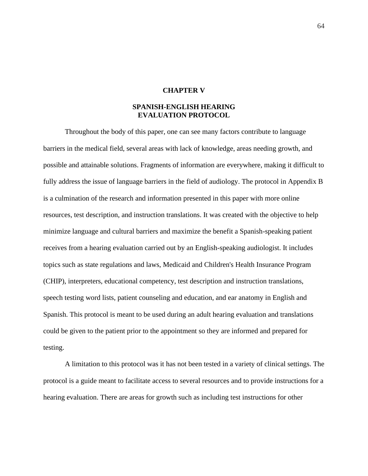# **CHAPTER V**

# **SPANISH-ENGLISH HEARING EVALUATION PROTOCOL**

Throughout the body of this paper, one can see many factors contribute to language barriers in the medical field, several areas with lack of knowledge, areas needing growth, and possible and attainable solutions. Fragments of information are everywhere, making it difficult to fully address the issue of language barriers in the field of audiology. The protocol in Appendix B is a culmination of the research and information presented in this paper with more online resources, test description, and instruction translations. It was created with the objective to help minimize language and cultural barriers and maximize the benefit a Spanish-speaking patient receives from a hearing evaluation carried out by an English-speaking audiologist. It includes topics such as state regulations and laws, Medicaid and Children's Health Insurance Program (CHIP), interpreters, educational competency, test description and instruction translations, speech testing word lists, patient counseling and education, and ear anatomy in English and Spanish. This protocol is meant to be used during an adult hearing evaluation and translations could be given to the patient prior to the appointment so they are informed and prepared for testing.

A limitation to this protocol was it has not been tested in a variety of clinical settings. The protocol is a guide meant to facilitate access to several resources and to provide instructions for a hearing evaluation. There are areas for growth such as including test instructions for other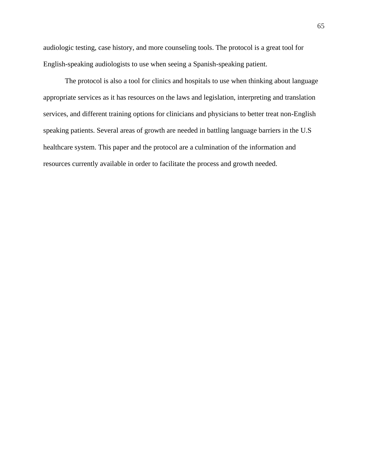audiologic testing, case history, and more counseling tools. The protocol is a great tool for English-speaking audiologists to use when seeing a Spanish-speaking patient.

The protocol is also a tool for clinics and hospitals to use when thinking about language appropriate services as it has resources on the laws and legislation, interpreting and translation services, and different training options for clinicians and physicians to better treat non-English speaking patients. Several areas of growth are needed in battling language barriers in the U.S healthcare system. This paper and the protocol are a culmination of the information and resources currently available in order to facilitate the process and growth needed.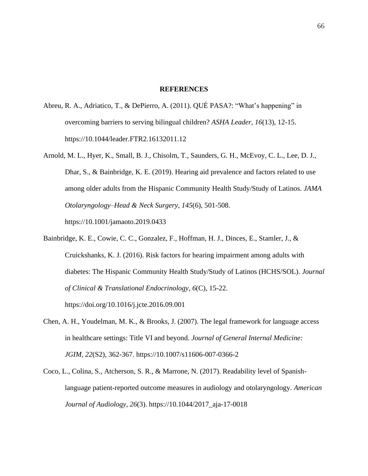#### **REFERENCES**

- Abreu, R. A., Adriatico, T., & DePierro, A. (2011). QUÉ PASA?: "What's happening" in overcoming barriers to serving bilingual children? *ASHA Leader, 16*(13), 12-15. [https://10.1044/leader.FTR2.16132011.12](https://10.0.4.20/leader.FTR2.16132011.12)
- Arnold, M. L., Hyer, K., Small, B. J., Chisolm, T., Saunders, G. H., McEvoy, C. L., Lee, D. J., Dhar, S., & Bainbridge, K. E. (2019). Hearing aid prevalence and factors related to use among older adults from the Hispanic Community Health Study/Study of Latinos. *JAMA Otolaryngology–Head & Neck Surgery, 145*(6), 501-508. [https://10.1001/jamaoto.2019.0433](https://10.0.3.233/jamaoto.2019.0433)
- Bainbridge, K. E., Cowie, C. C., Gonzalez, F., Hoffman, H. J., Dinces, E., Stamler, J., & Cruickshanks, K. J. (2016). Risk factors for hearing impairment among adults with diabetes: The Hispanic Community Health Study/Study of Latinos (HCHS/SOL). *Journal of Clinical & Translational Endocrinology, 6*(C), 15-22. <https://doi.org/10.1016/j.jcte.2016.09.001>
- Chen, A. H., Youdelman, M. K., & Brooks, J. (2007). The legal framework for language access in healthcare settings: Title VI and beyond. *Journal of General Internal Medicine: JGIM, 22*(S2), 362-367. https://10.1007/s11606-007-0366-2
- Coco, L., Colina, S., Atcherson, S. R., & Marrone, N. (2017). Readability level of Spanishlanguage patient-reported outcome measures in audiology and otolaryngology. *American Journal of Audiology, 26*(3). [https://10.1044/2017\\_aja-17-0018](https://10.0.4.20/2017_aja-17-0018)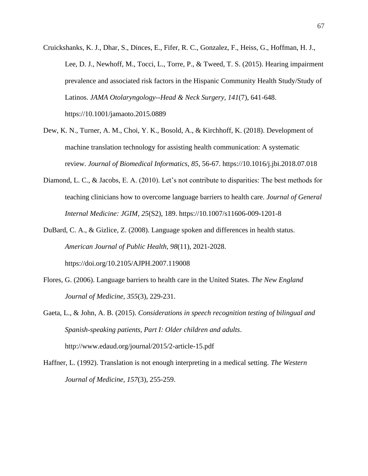- Cruickshanks, K. J., Dhar, S., Dinces, E., Fifer, R. C., Gonzalez, F., Heiss, G., Hoffman, H. J., Lee, D. J., Newhoff, M., Tocci, L., Torre, P., & Tweed, T. S. (2015). Hearing impairment prevalence and associated risk factors in the Hispanic Community Health Study/Study of Latinos. *JAMA Otolaryngology--Head & Neck Surgery, 141*(7), 641-648. [https://10.1001/jamaoto.2015.0889](https://10.0.3.233/jamaoto.2015.0889)
- Dew, K. N., Turner, A. M., Choi, Y. K., Bosold, A., & Kirchhoff, K. (2018). Development of machine translation technology for assisting health communication: A systematic review. *Journal of Biomedical Informatics, 85*, 56-67. [https://10.1016/j.jbi.2018.07.018](https://10.0.3.248/j.jbi.2018.07.018)
- Diamond, L. C., & Jacobs, E. A. (2010). Let's not contribute to disparities: The best methods for teaching clinicians how to overcome language barriers to health care. *Journal of General Internal Medicine: JGIM, 25*(S2), 189. [https://10.1007/s11606-009-1201-8](https://10.0.3.239/s11606-009-1201-8)
- DuBard, C. A., & Gizlice, Z. (2008). Language spoken and differences in health status. *American Journal of Public Health, 98*(11), 2021-2028. <https://doi.org/10.2105/AJPH.2007.119008>
- Flores, G. (2006). Language barriers to health care in the United States. *The New England Journal of Medicine, 355*(3), 229-231.
- Gaeta, L., & John, A. B. (2015). *Considerations in speech recognition testing of bilingual and Spanish-speaking patients, Part I: Older children and adults*. <http://www.edaud.org/journal/2015/2-article-15.pdf>
- Haffner, L. (1992). Translation is not enough interpreting in a medical setting. *The Western Journal of Medicine, 157*(3), 255-259.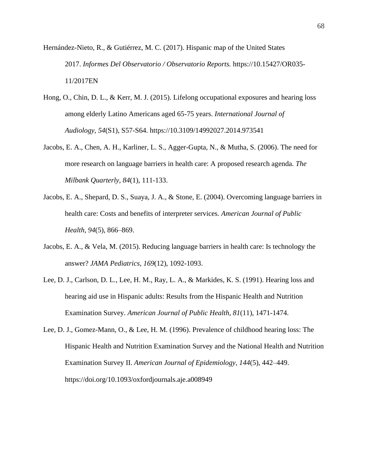Hernández-Nieto, R., & Gutiérrez, M. C. (2017). Hispanic map of the United States 2017. *Informes Del Observatorio / Observatorio Reports.* https://10.15427/OR035- 11/2017EN

- Hong, O., Chin, D. L., & Kerr, M. J. (2015). Lifelong occupational exposures and hearing loss among elderly Latino Americans aged 65-75 years. *International Journal of Audiology, 54*(S1), S57-S64. [https://10.3109/14992027.2014.973541](https://10.0.12.37/14992027.2014.973541)
- Jacobs, E. A., Chen, A. H., Karliner, L. S., Agger-Gupta, N., & Mutha, S. (2006). The need for more research on language barriers in health care: A proposed research agenda. *The Milbank Quarterly, 84*(1), 111-133.
- Jacobs, E. A., Shepard, D. S., Suaya, J. A., & Stone, E. (2004). Overcoming language barriers in health care: Costs and benefits of interpreter services. *American Journal of Public Health, 94*(5), 866–869.
- Jacobs, E. A., & Vela, M. (2015). Reducing language barriers in health care: Is technology the answer? *JAMA Pediatrics, 169*(12), 1092-1093.
- Lee, D. J., Carlson, D. L., Lee, H. M., Ray, L. A., & Markides, K. S. (1991). Hearing loss and hearing aid use in Hispanic adults: Results from the Hispanic Health and Nutrition Examination Survey. *American Journal of Public Health, 81*(11), 1471-1474.
- Lee, D. J., Gomez-Mann, O., & Lee, H. M. (1996). Prevalence of childhood hearing loss: The Hispanic Health and Nutrition Examination Survey and the National Health and Nutrition Examination Survey II. *American Journal of Epidemiology, 144*(5), 442–449. <https://doi.org/10.1093/oxfordjournals.aje.a008949>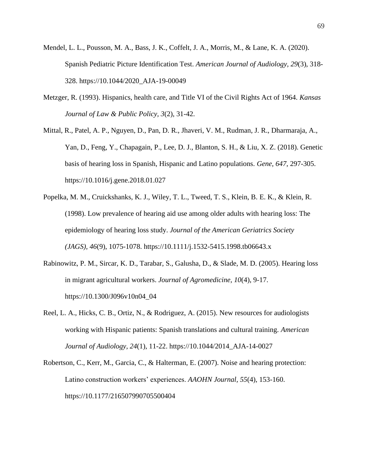- Mendel, L. L., Pousson, M. A., Bass, J. K., Coffelt, J. A., Morris, M., & Lane, K. A. (2020). Spanish Pediatric Picture Identification Test. *American Journal of Audiology, 29*(3), 318- 328. [https://10.1044/2020\\_AJA-19-00049](https://10.0.4.20/2020_AJA-19-00049)
- Metzger, R. (1993). Hispanics, health care, and Title VI of the Civil Rights Act of 1964. *Kansas Journal of Law & Public Policy, 3*(2), 31-42.
- Mittal, R., Patel, A. P., Nguyen, D., Pan, D. R., Jhaveri, V. M., Rudman, J. R., Dharmaraja, A., Yan, D., Feng, Y., Chapagain, P., Lee, D. J., Blanton, S. H., & Liu, X. Z. (2018). Genetic basis of hearing loss in Spanish, Hispanic and Latino populations. *Gene, 647*, 297-305. [https://10.1016/j.gene.2018.01.027](https://10.0.3.248/j.gene.2018.01.027)
- Popelka, M. M., Cruickshanks, K. J., Wiley, T. L., Tweed, T. S., Klein, B. E. K., & Klein, R. (1998). Low prevalence of hearing aid use among older adults with hearing loss: The epidemiology of hearing loss study. *Journal of the American Geriatrics Society (JAGS), 46*(9), 1075-1078. [https://10.1111/j.1532-5415.1998.tb06643.x](https://10.0.4.87/j.1532-5415.1998.tb06643.x)
- Rabinowitz, P. M., Sircar, K. D., Tarabar, S., Galusha, D., & Slade, M. D. (2005). Hearing loss in migrant agricultural workers. *Journal of Agromedicine, 10*(4), 9-17. [https://10.1300/J096v10n04\\_04](https://10.0.5.20/J096v10n04_04)
- Reel, L. A., Hicks, C. B., Ortiz, N., & Rodriguez, A. (2015). New resources for audiologists working with Hispanic patients: Spanish translations and cultural training. *American Journal of Audiology, 24*(1), 11-22. [https://10.1044/2014\\_AJA-14-0027](https://10.0.4.20/2014_AJA-14-0027)
- Robertson, C., Kerr, M., Garcia, C., & Halterman, E. (2007). Noise and hearing protection: Latino construction workers' experiences. *AAOHN Journal, 55*(4), 153-160. [https://10.1177/216507990705500404](https://10.0.4.153/216507990705500404)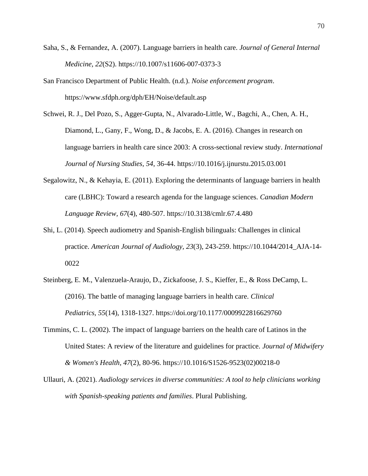- Saha, S., & Fernandez, A. (2007). Language barriers in health care. *Journal of General Internal Medicine, 22*(S2). https://10.1007/s11606-007-0373-3
- San Francisco Department of Public Health. (n.d.). *Noise enforcement program*. <https://www.sfdph.org/dph/EH/Noise/default.asp>
- Schwei, R. J., Del Pozo, S., Agger-Gupta, N., Alvarado-Little, W., Bagchi, A., Chen, A. H., Diamond, L., Gany, F., Wong, D., & Jacobs, E. A. (2016). Changes in research on language barriers in health care since 2003: A cross-sectional review study. *International Journal of Nursing Studies, 54*, 36-44. [https://10.1016/j.ijnurstu.2015.03.001](https://10.0.3.248/j.ijnurstu.2015.03.001)
- Segalowitz, N., & Kehayia, E. (2011). Exploring the determinants of language barriers in health care (LBHC): Toward a research agenda for the language sciences. *Canadian Modern Language Review, 67*(4), 480-507. [https://10.3138/cmlr.67.4.480](https://10.0.12.66/cmlr.67.4.480)
- Shi, L. (2014). Speech audiometry and Spanish-English bilinguals: Challenges in clinical practice. *American Journal of Audiology, 23*(3), 243-259. [https://10.1044/2014\\_AJA-14-](https://10.0.4.20/2014_AJA-14-0022) [0022](https://10.0.4.20/2014_AJA-14-0022)
- Steinberg, E. M., Valenzuela-Araujo, D., Zickafoose, J. S., Kieffer, E., & Ross DeCamp, L. (2016). The battle of managing language barriers in health care. *Clinical Pediatrics, 55*(14), 1318-1327. <https://doi.org/10.1177/0009922816629760>
- Timmins, C. L. (2002). The impact of language barriers on the health care of Latinos in the United States: A review of the literature and guidelines for practice. *Journal of Midwifery & Women's Health, 47*(2), 80-96. [https://10.1016/S1526-9523\(02\)00218-0](https://10.0.3.248/S1526-9523(02)00218-0)
- Ullauri, A. (2021). *Audiology services in diverse communities: A tool to help clinicians working with Spanish-speaking patients and families*. Plural Publishing.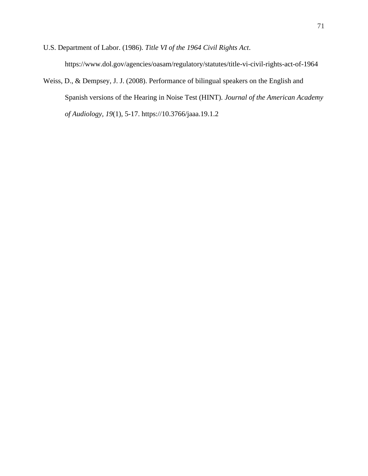U.S. Department of Labor. (1986). *Title VI of the 1964 Civil Rights Act*. <https://www.dol.gov/agencies/oasam/regulatory/statutes/title-vi-civil-rights-act-of-1964>

Weiss, D., & Dempsey, J. J. (2008). Performance of bilingual speakers on the English and Spanish versions of the Hearing in Noise Test (HINT). *Journal of the American Academy of Audiology, 19*(1), 5-17. [https://10.3766/jaaa.19.1.2](https://10.0.14.182/jaaa.19.1.2)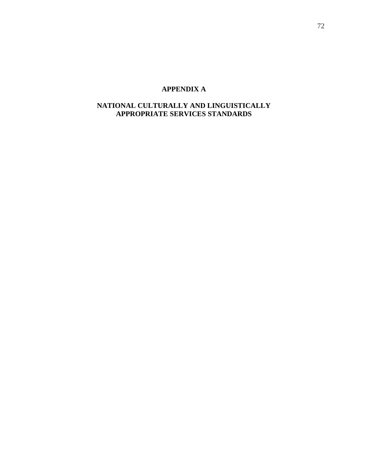# **APPENDIX A**

# **NATIONAL CULTURALLY AND LINGUISTICALLY APPROPRIATE SERVICES STANDARDS**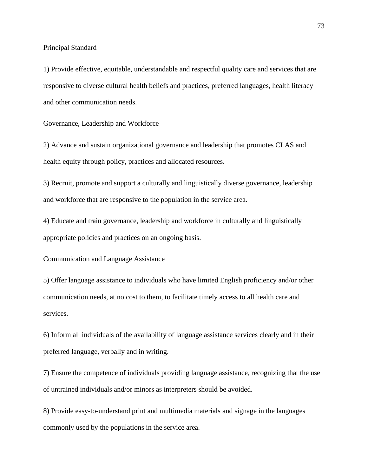Principal Standard

1) Provide effective, equitable, understandable and respectful quality care and services that are responsive to diverse cultural health beliefs and practices, preferred languages, health literacy and other communication needs.

Governance, Leadership and Workforce

2) Advance and sustain organizational governance and leadership that promotes CLAS and health equity through policy, practices and allocated resources.

3) Recruit, promote and support a culturally and linguistically diverse governance, leadership and workforce that are responsive to the population in the service area.

4) Educate and train governance, leadership and workforce in culturally and linguistically appropriate policies and practices on an ongoing basis.

Communication and Language Assistance

5) Offer language assistance to individuals who have limited English proficiency and/or other communication needs, at no cost to them, to facilitate timely access to all health care and services.

6) Inform all individuals of the availability of language assistance services clearly and in their preferred language, verbally and in writing.

7) Ensure the competence of individuals providing language assistance, recognizing that the use of untrained individuals and/or minors as interpreters should be avoided.

8) Provide easy-to-understand print and multimedia materials and signage in the languages commonly used by the populations in the service area.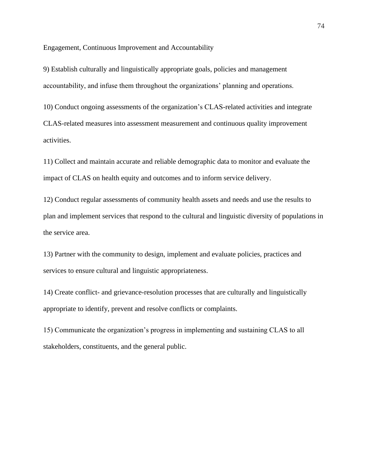Engagement, Continuous Improvement and Accountability

9) Establish culturally and linguistically appropriate goals, policies and management accountability, and infuse them throughout the organizations' planning and operations.

10) Conduct ongoing assessments of the organization's CLAS-related activities and integrate CLAS-related measures into assessment measurement and continuous quality improvement activities.

11) Collect and maintain accurate and reliable demographic data to monitor and evaluate the impact of CLAS on health equity and outcomes and to inform service delivery.

12) Conduct regular assessments of community health assets and needs and use the results to plan and implement services that respond to the cultural and linguistic diversity of populations in the service area.

13) Partner with the community to design, implement and evaluate policies, practices and services to ensure cultural and linguistic appropriateness.

14) Create conflict- and grievance-resolution processes that are culturally and linguistically appropriate to identify, prevent and resolve conflicts or complaints.

15) Communicate the organization's progress in implementing and sustaining CLAS to all stakeholders, constituents, and the general public.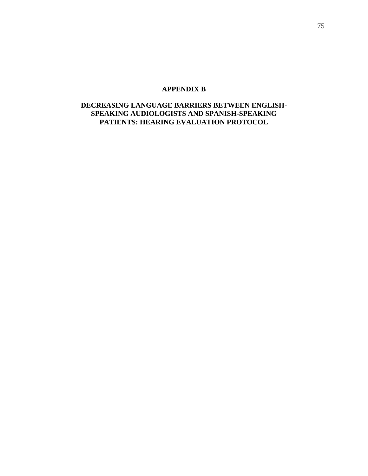# **APPENDIX B**

# **DECREASING LANGUAGE BARRIERS BETWEEN ENGLISH-SPEAKING AUDIOLOGISTS AND SPANISH-SPEAKING PATIENTS: HEARING EVALUATION PROTOCOL**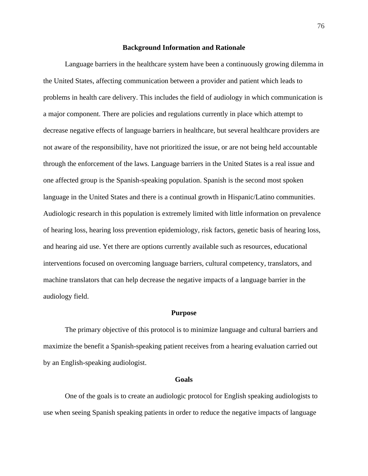#### **Background Information and Rationale**

Language barriers in the healthcare system have been a continuously growing dilemma in the United States, affecting communication between a provider and patient which leads to problems in health care delivery. This includes the field of audiology in which communication is a major component. There are policies and regulations currently in place which attempt to decrease negative effects of language barriers in healthcare, but several healthcare providers are not aware of the responsibility, have not prioritized the issue, or are not being held accountable through the enforcement of the laws. Language barriers in the United States is a real issue and one affected group is the Spanish-speaking population. Spanish is the second most spoken language in the United States and there is a continual growth in Hispanic/Latino communities. Audiologic research in this population is extremely limited with little information on prevalence of hearing loss, hearing loss prevention epidemiology, risk factors, genetic basis of hearing loss, and hearing aid use. Yet there are options currently available such as resources, educational interventions focused on overcoming language barriers, cultural competency, translators, and machine translators that can help decrease the negative impacts of a language barrier in the audiology field.

#### **Purpose**

The primary objective of this protocol is to minimize language and cultural barriers and maximize the benefit a Spanish-speaking patient receives from a hearing evaluation carried out by an English-speaking audiologist.

#### **Goals**

One of the goals is to create an audiologic protocol for English speaking audiologists to use when seeing Spanish speaking patients in order to reduce the negative impacts of language

76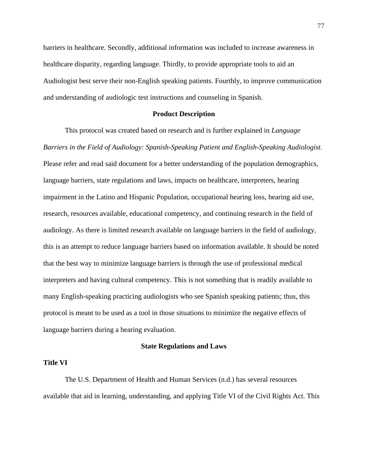barriers in healthcare. Secondly, additional information was included to increase awareness in healthcare disparity, regarding language. Thirdly, to provide appropriate tools to aid an Audiologist best serve their non-English speaking patients. Fourthly, to improve communication and understanding of audiologic test instructions and counseling in Spanish.

#### **Product Description**

This protocol was created based on research and is further explained in *Language Barriers in the Field of Audiology: Spanish-Speaking Patient and English-Speaking Audiologist*. Please refer and read said document for a better understanding of the population demographics, language barriers, state regulations and laws, impacts on healthcare, interpreters, hearing impairment in the Latino and Hispanic Population, occupational hearing loss, hearing aid use, research, resources available, educational competency, and continuing research in the field of audiology. As there is limited research available on language barriers in the field of audiology, this is an attempt to reduce language barriers based on information available. It should be noted that the best way to minimize language barriers is through the use of professional medical interpreters and having cultural competency. This is not something that is readily available to many English-speaking practicing audiologists who see Spanish speaking patients; thus, this protocol is meant to be used as a tool in those situations to minimize the negative effects of language barriers during a hearing evaluation.

#### **State Regulations and Laws**

#### **Title VI**

The U.S. Department of Health and Human Services (n.d.) has several resources available that aid in learning, understanding, and applying Title VI of the Civil Rights Act. This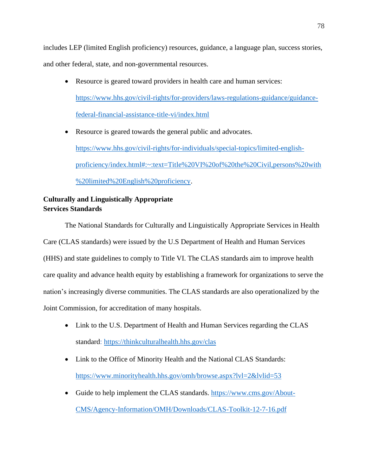includes LEP (limited English proficiency) resources, guidance, a language plan, success stories, and other federal, state, and non-governmental resources.

• Resource is geared toward providers in health care and human services: [https://www.hhs.gov/civil-rights/for-providers/laws-regulations-guidance/guidance](https://www.hhs.gov/civil-rights/for-providers/laws-regulations-guidance/guidance-federal-financial-assistance-title-vi/index.html)[federal-financial-assistance-title-vi/index.html](https://www.hhs.gov/civil-rights/for-providers/laws-regulations-guidance/guidance-federal-financial-assistance-title-vi/index.html)

• Resource is geared towards the general public and advocates. [https://www.hhs.gov/civil-rights/for-individuals/special-topics/limited-english](https://www.hhs.gov/civil-rights/for-individuals/special-topics/limited-english-proficiency/index.html#:~:text=Title%20VI%20of%20the%20Civil,persons%20with%20limited%20English%20proficiency)[proficiency/index.html#:~:text=Title%20VI%20of%20the%20Civil,persons%20with](https://www.hhs.gov/civil-rights/for-individuals/special-topics/limited-english-proficiency/index.html#:~:text=Title%20VI%20of%20the%20Civil,persons%20with%20limited%20English%20proficiency) [%20limited%20English%20proficiency.](https://www.hhs.gov/civil-rights/for-individuals/special-topics/limited-english-proficiency/index.html#:~:text=Title%20VI%20of%20the%20Civil,persons%20with%20limited%20English%20proficiency)

# **Culturally and Linguistically Appropriate Services Standards**

The National Standards for Culturally and Linguistically Appropriate Services in Health Care (CLAS standards) were issued by the U.S Department of Health and Human Services (HHS) and state guidelines to comply to Title VI. The CLAS standards aim to improve health care quality and advance health equity by establishing a framework for organizations to serve the nation's increasingly diverse communities. The CLAS standards are also operationalized by the Joint Commission, for accreditation of many hospitals.

- Link to the U.S. Department of Health and Human Services regarding the CLAS standard:<https://thinkculturalhealth.hhs.gov/clas>
- Link to the Office of Minority Health and the National CLAS Standards: <https://www.minorityhealth.hhs.gov/omh/browse.aspx?lvl=2&lvlid=53>
- Guide to help implement the CLAS standards. [https://www.cms.gov/About-](https://www.cms.gov/About-CMS/Agency-Information/OMH/Downloads/CLAS-Toolkit-12-7-16.pdf)[CMS/Agency-Information/OMH/Downloads/CLAS-Toolkit-12-7-16.pdf](https://www.cms.gov/About-CMS/Agency-Information/OMH/Downloads/CLAS-Toolkit-12-7-16.pdf)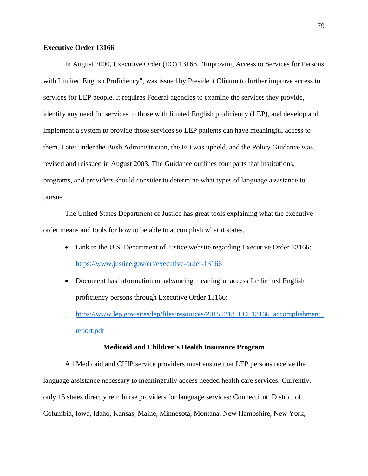## **Executive Order 13166**

In August 2000, Executive Order (EO) 13166, "Improving Access to Services for Persons with Limited English Proficiency", was issued by President Clinton to further improve access to services for LEP people. It requires Federal agencies to examine the services they provide, identify any need for services to those with limited English proficiency (LEP), and develop and implement a system to provide those services so LEP patients can have meaningful access to them. Later under the Bush Administration, the EO was upheld, and the Policy Guidance was revised and reissued in August 2003. The Guidance outlines four parts that institutions, programs, and providers should consider to determine what types of language assistance to pursue.

The United States Department of Justice has great tools explaining what the executive order means and tools for how to be able to accomplish what it states.

- Link to the U.S. Department of Justice website regarding Executive Order 13166: <https://www.justice.gov/crt/executive-order-13166>
- Document has information on advancing meaningful access for limited English proficiency persons through Executive Order 13166: [https://www.lep.gov/sites/lep/files/resources/20151218\\_EO\\_13166\\_accomplishment\\_](https://www.lep.gov/sites/lep/files/resources/20151218_EO_13166_accomplishment_report.pdf)

[report.pdf](https://www.lep.gov/sites/lep/files/resources/20151218_EO_13166_accomplishment_report.pdf)

#### **Medicaid and Children's Health Insurance Program**

All Medicaid and CHIP service providers must ensure that LEP persons receive the language assistance necessary to meaningfully access needed health care services. Currently, only 15 states directly reimburse providers for language services: Connecticut, District of Columbia, Iowa, Idaho, Kansas, Maine, Minnesota, Montana, New Hampshire, New York,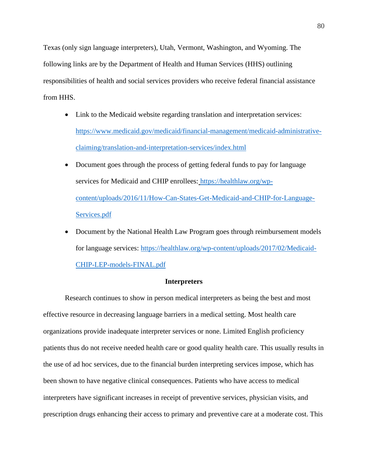Texas (only sign language interpreters), Utah, Vermont, Washington, and Wyoming. The following links are by the Department of Health and Human Services (HHS) outlining responsibilities of health and social services providers who receive federal financial assistance from HHS.

- Link to the Medicaid website regarding translation and interpretation services: [https://www.medicaid.gov/medicaid/financial-management/medicaid-administrative](https://www.medicaid.gov/medicaid/financial-management/medicaid-administrative-claiming/translation-and-interpretation-services/index.html)[claiming/translation-and-interpretation-services/index.html](https://www.medicaid.gov/medicaid/financial-management/medicaid-administrative-claiming/translation-and-interpretation-services/index.html)
- Document goes through the process of getting federal funds to pay for language services for Medicaid and CHIP enrollees: [https://healthlaw.org/wp](https://healthlaw.org/wp-content/uploads/2016/11/How-Can-States-Get-Medicaid-and-CHIP-for-Language-Services.pdf)[content/uploads/2016/11/How-Can-States-Get-Medicaid-and-CHIP-for-Language-](https://healthlaw.org/wp-content/uploads/2016/11/How-Can-States-Get-Medicaid-and-CHIP-for-Language-Services.pdf)[Services.pdf](https://healthlaw.org/wp-content/uploads/2016/11/How-Can-States-Get-Medicaid-and-CHIP-for-Language-Services.pdf)
- Document by the National Health Law Program goes through reimbursement models for language services: [https://healthlaw.org/wp-content/uploads/2017/02/Medicaid-](https://healthlaw.org/wp-content/uploads/2017/02/Medicaid-CHIP-LEP-models-FINAL.pdf)[CHIP-LEP-models-FINAL.pdf](https://healthlaw.org/wp-content/uploads/2017/02/Medicaid-CHIP-LEP-models-FINAL.pdf)

# **Interpreters**

Research continues to show in person medical interpreters as being the best and most effective resource in decreasing language barriers in a medical setting. Most health care organizations provide inadequate interpreter services or none. Limited English proficiency patients thus do not receive needed health care or good quality health care. This usually results in the use of ad hoc services, due to the financial burden interpreting services impose, which has been shown to have negative clinical consequences. Patients who have access to medical interpreters have significant increases in receipt of preventive services, physician visits, and prescription drugs enhancing their access to primary and preventive care at a moderate cost. This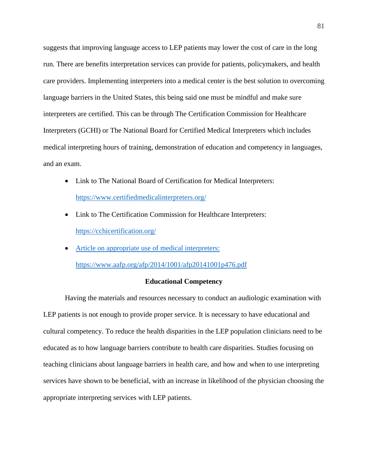suggests that improving language access to LEP patients may lower the cost of care in the long run. There are benefits interpretation services can provide for patients, policymakers, and health care providers. Implementing interpreters into a medical center is the best solution to overcoming language barriers in the United States, this being said one must be mindful and make sure interpreters are certified. This can be through The Certification Commission for Healthcare Interpreters (GCHI) or The National Board for Certified Medical Interpreters which includes medical interpreting hours of training, demonstration of education and competency in languages, and an exam.

- Link to The National Board of Certification for Medical Interpreters: <https://www.certifiedmedicalinterpreters.org/>
- Link to The Certification Commission for Healthcare Interpreters: <https://cchicertification.org/>
- Article on appropriate use of medical interpreters: [https://www.aafp.org/afp/2014/1001/afp20141001p476.pdf](file:///C:/Users/Jenny/AppData/Local/Microsoft/Windows/INetCache/Content.Outlook/08PVFSOA/Article%20on%20appropriate%20use%20of%20medical%20interpreters:%20https:/www.aafp.org/afp/2014/1001/afp20141001p476.pdf)

#### **Educational Competency**

Having the materials and resources necessary to conduct an audiologic examination with LEP patients is not enough to provide proper service. It is necessary to have educational and cultural competency. To reduce the health disparities in the LEP population clinicians need to be educated as to how language barriers contribute to health care disparities. Studies focusing on teaching clinicians about language barriers in health care, and how and when to use interpreting services have shown to be beneficial, with an increase in likelihood of the physician choosing the appropriate interpreting services with LEP patients.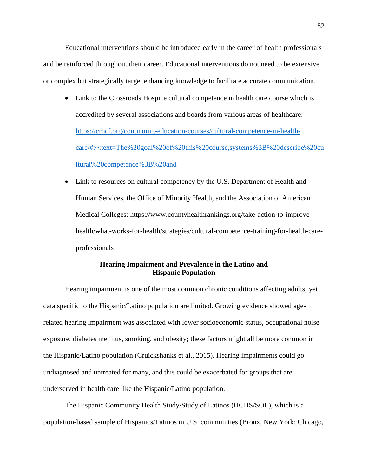Educational interventions should be introduced early in the career of health professionals and be reinforced throughout their career. Educational interventions do not need to be extensive or complex but strategically target enhancing knowledge to facilitate accurate communication.

- Link to the Crossroads Hospice cultural competence in health care course which is accredited by several associations and boards from various areas of healthcare: [https://crhcf.org/continuing-education-courses/cultural-competence-in-health](https://crhcf.org/continuing-education-courses/cultural-competence-in-health-care/#:~:text=The%20goal%20of%20this%20course,systems%3B%20describe%20cultural%20competence%3B%20and)[care/#:~:text=The%20goal%20of%20this%20course,systems%3B%20describe%20cu](https://crhcf.org/continuing-education-courses/cultural-competence-in-health-care/#:~:text=The%20goal%20of%20this%20course,systems%3B%20describe%20cultural%20competence%3B%20and) [ltural%20competence%3B%20and](https://crhcf.org/continuing-education-courses/cultural-competence-in-health-care/#:~:text=The%20goal%20of%20this%20course,systems%3B%20describe%20cultural%20competence%3B%20and)
- Link to resources on cultural competency by the U.S. Department of Health and Human Services, the Office of Minority Health, and the Association of American Medical Colleges: [https://www.countyhealthrankings.org/take-action-to-improve](https://www.countyhealthrankings.org/take-action-to-improve-health/what-works-for-health/strategies/cultural-competence-training-for-health-care-professionals)[health/what-works-for-health/strategies/cultural-competence-training-for-health-care](https://www.countyhealthrankings.org/take-action-to-improve-health/what-works-for-health/strategies/cultural-competence-training-for-health-care-professionals)[professionals](https://www.countyhealthrankings.org/take-action-to-improve-health/what-works-for-health/strategies/cultural-competence-training-for-health-care-professionals)

# **Hearing Impairment and Prevalence in the Latino and Hispanic Population**

Hearing impairment is one of the most common chronic conditions affecting adults; yet data specific to the Hispanic/Latino population are limited. Growing evidence showed agerelated hearing impairment was associated with lower socioeconomic status, occupational noise exposure, diabetes mellitus, smoking, and obesity; these factors might all be more common in the Hispanic/Latino population (Cruickshanks et al., 2015). Hearing impairments could go undiagnosed and untreated for many, and this could be exacerbated for groups that are underserved in health care like the Hispanic/Latino population.

The Hispanic Community Health Study/Study of Latinos (HCHS/SOL), which is a population-based sample of Hispanics/Latinos in U.S. communities (Bronx, New York; Chicago,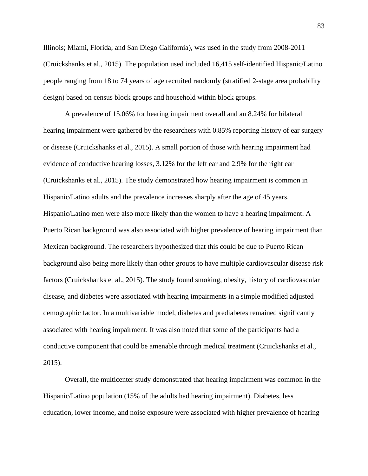Illinois; Miami, Florida; and San Diego California), was used in the study from 2008-2011 (Cruickshanks et al., 2015). The population used included 16,415 self-identified Hispanic/Latino people ranging from 18 to 74 years of age recruited randomly (stratified 2-stage area probability design) based on census block groups and household within block groups.

A prevalence of 15.06% for hearing impairment overall and an 8.24% for bilateral hearing impairment were gathered by the researchers with 0.85% reporting history of ear surgery or disease (Cruickshanks et al., 2015). A small portion of those with hearing impairment had evidence of conductive hearing losses, 3.12% for the left ear and 2.9% for the right ear (Cruickshanks et al., 2015). The study demonstrated how hearing impairment is common in Hispanic/Latino adults and the prevalence increases sharply after the age of 45 years. Hispanic/Latino men were also more likely than the women to have a hearing impairment. A Puerto Rican background was also associated with higher prevalence of hearing impairment than Mexican background. The researchers hypothesized that this could be due to Puerto Rican background also being more likely than other groups to have multiple cardiovascular disease risk factors (Cruickshanks et al., 2015). The study found smoking, obesity, history of cardiovascular disease, and diabetes were associated with hearing impairments in a simple modified adjusted demographic factor. In a multivariable model, diabetes and prediabetes remained significantly associated with hearing impairment. It was also noted that some of the participants had a conductive component that could be amenable through medical treatment (Cruickshanks et al., 2015).

Overall, the multicenter study demonstrated that hearing impairment was common in the Hispanic/Latino population (15% of the adults had hearing impairment). Diabetes, less education, lower income, and noise exposure were associated with higher prevalence of hearing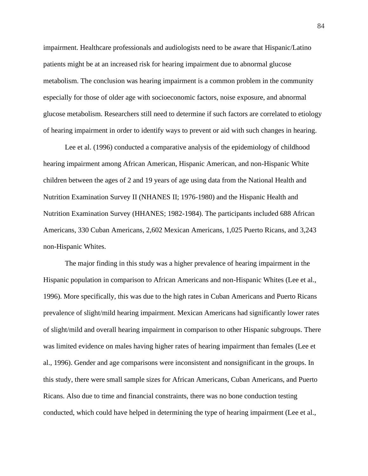impairment. Healthcare professionals and audiologists need to be aware that Hispanic/Latino patients might be at an increased risk for hearing impairment due to abnormal glucose metabolism. The conclusion was hearing impairment is a common problem in the community especially for those of older age with socioeconomic factors, noise exposure, and abnormal glucose metabolism. Researchers still need to determine if such factors are correlated to etiology of hearing impairment in order to identify ways to prevent or aid with such changes in hearing.

Lee et al. (1996) conducted a comparative analysis of the epidemiology of childhood hearing impairment among African American, Hispanic American, and non-Hispanic White children between the ages of 2 and 19 years of age using data from the National Health and Nutrition Examination Survey II (NHANES II; 1976-1980) and the Hispanic Health and Nutrition Examination Survey (HHANES; 1982-1984). The participants included 688 African Americans, 330 Cuban Americans, 2,602 Mexican Americans, 1,025 Puerto Ricans, and 3,243 non-Hispanic Whites.

The major finding in this study was a higher prevalence of hearing impairment in the Hispanic population in comparison to African Americans and non-Hispanic Whites (Lee et al., 1996). More specifically, this was due to the high rates in Cuban Americans and Puerto Ricans prevalence of slight/mild hearing impairment. Mexican Americans had significantly lower rates of slight/mild and overall hearing impairment in comparison to other Hispanic subgroups. There was limited evidence on males having higher rates of hearing impairment than females (Lee et al., 1996). Gender and age comparisons were inconsistent and nonsignificant in the groups. In this study, there were small sample sizes for African Americans, Cuban Americans, and Puerto Ricans. Also due to time and financial constraints, there was no bone conduction testing conducted, which could have helped in determining the type of hearing impairment (Lee et al.,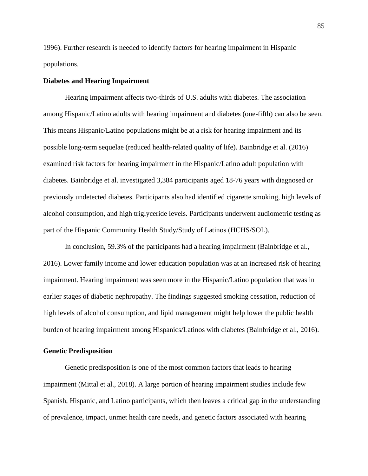1996). Further research is needed to identify factors for hearing impairment in Hispanic populations.

#### **Diabetes and Hearing Impairment**

Hearing impairment affects two-thirds of U.S. adults with diabetes. The association among Hispanic/Latino adults with hearing impairment and diabetes (one-fifth) can also be seen. This means Hispanic/Latino populations might be at a risk for hearing impairment and its possible long-term sequelae (reduced health-related quality of life). Bainbridge et al. (2016) examined risk factors for hearing impairment in the Hispanic/Latino adult population with diabetes. Bainbridge et al. investigated 3,384 participants aged 18-76 years with diagnosed or previously undetected diabetes. Participants also had identified cigarette smoking, high levels of alcohol consumption, and high triglyceride levels. Participants underwent audiometric testing as part of the Hispanic Community Health Study/Study of Latinos (HCHS/SOL).

In conclusion, 59.3% of the participants had a hearing impairment (Bainbridge et al., 2016). Lower family income and lower education population was at an increased risk of hearing impairment. Hearing impairment was seen more in the Hispanic/Latino population that was in earlier stages of diabetic nephropathy. The findings suggested smoking cessation, reduction of high levels of alcohol consumption, and lipid management might help lower the public health burden of hearing impairment among Hispanics/Latinos with diabetes (Bainbridge et al., 2016).

#### **Genetic Predisposition**

Genetic predisposition is one of the most common factors that leads to hearing impairment (Mittal et al., 2018). A large portion of hearing impairment studies include few Spanish, Hispanic, and Latino participants, which then leaves a critical gap in the understanding of prevalence, impact, unmet health care needs, and genetic factors associated with hearing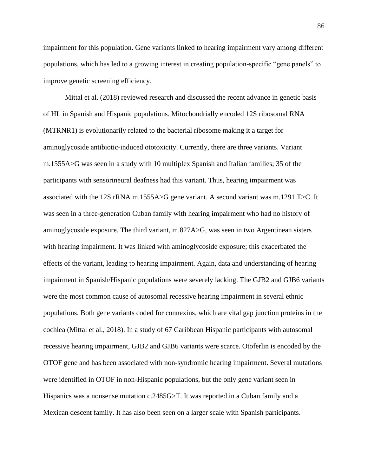impairment for this population. Gene variants linked to hearing impairment vary among different populations, which has led to a growing interest in creating population-specific "gene panels" to improve genetic screening efficiency.

Mittal et al. (2018) reviewed research and discussed the recent advance in genetic basis of HL in Spanish and Hispanic populations. Mitochondrially encoded 12S ribosomal RNA (MTRNR1) is evolutionarily related to the bacterial ribosome making it a target for aminoglycoside antibiotic-induced ototoxicity. Currently, there are three variants. Variant m.1555A>G was seen in a study with 10 multiplex Spanish and Italian families; 35 of the participants with sensorineural deafness had this variant. Thus, hearing impairment was associated with the 12S rRNA m.1555A>G gene variant. A second variant was m.1291 T>C. It was seen in a three-generation Cuban family with hearing impairment who had no history of aminoglycoside exposure. The third variant, m.827A>G, was seen in two Argentinean sisters with hearing impairment. It was linked with aminoglycoside exposure; this exacerbated the effects of the variant, leading to hearing impairment. Again, data and understanding of hearing impairment in Spanish/Hispanic populations were severely lacking. The GJB2 and GJB6 variants were the most common cause of autosomal recessive hearing impairment in several ethnic populations. Both gene variants coded for connexins, which are vital gap junction proteins in the cochlea (Mittal et al., 2018). In a study of 67 Caribbean Hispanic participants with autosomal recessive hearing impairment, GJB2 and GJB6 variants were scarce. Otoferlin is encoded by the OTOF gene and has been associated with non-syndromic hearing impairment. Several mutations were identified in OTOF in non-Hispanic populations, but the only gene variant seen in Hispanics was a nonsense mutation c.2485G>T. It was reported in a Cuban family and a Mexican descent family. It has also been seen on a larger scale with Spanish participants.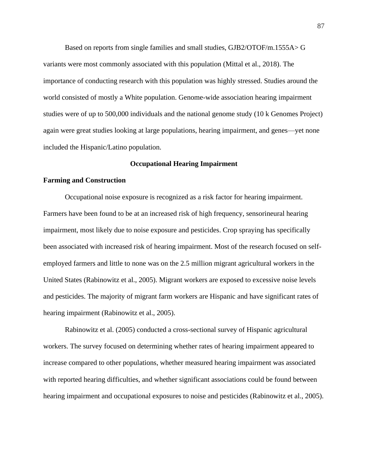Based on reports from single families and small studies, GJB2/OTOF/m.1555A> G variants were most commonly associated with this population (Mittal et al., 2018). The importance of conducting research with this population was highly stressed. Studies around the world consisted of mostly a White population. Genome-wide association hearing impairment studies were of up to 500,000 individuals and the national genome study (10 k Genomes Project) again were great studies looking at large populations, hearing impairment, and genes—yet none included the Hispanic/Latino population.

#### **Occupational Hearing Impairment**

#### **Farming and Construction**

Occupational noise exposure is recognized as a risk factor for hearing impairment. Farmers have been found to be at an increased risk of high frequency, sensorineural hearing impairment, most likely due to noise exposure and pesticides. Crop spraying has specifically been associated with increased risk of hearing impairment. Most of the research focused on selfemployed farmers and little to none was on the 2.5 million migrant agricultural workers in the United States (Rabinowitz et al., 2005). Migrant workers are exposed to excessive noise levels and pesticides. The majority of migrant farm workers are Hispanic and have significant rates of hearing impairment (Rabinowitz et al., 2005).

Rabinowitz et al. (2005) conducted a cross-sectional survey of Hispanic agricultural workers. The survey focused on determining whether rates of hearing impairment appeared to increase compared to other populations, whether measured hearing impairment was associated with reported hearing difficulties, and whether significant associations could be found between hearing impairment and occupational exposures to noise and pesticides (Rabinowitz et al., 2005).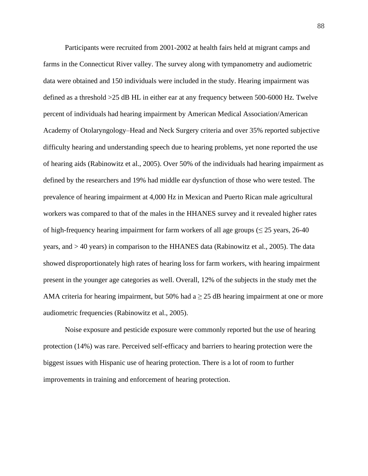Participants were recruited from 2001-2002 at health fairs held at migrant camps and farms in the Connecticut River valley. The survey along with tympanometry and audiometric data were obtained and 150 individuals were included in the study. Hearing impairment was defined as a threshold >25 dB HL in either ear at any frequency between 500-6000 Hz. Twelve percent of individuals had hearing impairment by American Medical Association/American Academy of Otolaryngology–Head and Neck Surgery criteria and over 35% reported subjective difficulty hearing and understanding speech due to hearing problems, yet none reported the use of hearing aids (Rabinowitz et al., 2005). Over 50% of the individuals had hearing impairment as defined by the researchers and 19% had middle ear dysfunction of those who were tested. The prevalence of hearing impairment at 4,000 Hz in Mexican and Puerto Rican male agricultural workers was compared to that of the males in the HHANES survey and it revealed higher rates of high-frequency hearing impairment for farm workers of all age groups ( $\leq 25$  years, 26-40 years, and > 40 years) in comparison to the HHANES data (Rabinowitz et al., 2005). The data showed disproportionately high rates of hearing loss for farm workers, with hearing impairment present in the younger age categories as well. Overall, 12% of the subjects in the study met the AMA criteria for hearing impairment, but 50% had a  $\geq$  25 dB hearing impairment at one or more audiometric frequencies (Rabinowitz et al., 2005).

Noise exposure and pesticide exposure were commonly reported but the use of hearing protection (14%) was rare. Perceived self-efficacy and barriers to hearing protection were the biggest issues with Hispanic use of hearing protection. There is a lot of room to further improvements in training and enforcement of hearing protection.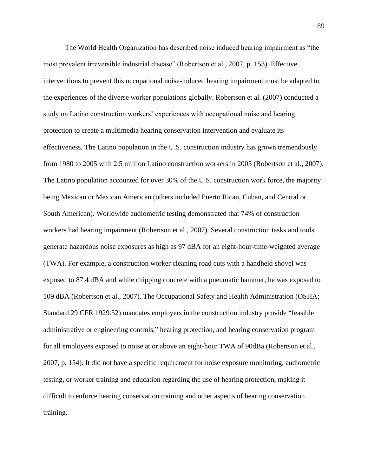The World Health Organization has described noise induced hearing impairment as "the most prevalent irreversible industrial disease" (Robertson et al., 2007, p. 153). Effective interventions to prevent this occupational noise-induced hearing impairment must be adapted to the experiences of the diverse worker populations globally. Robertson et al. (2007) conducted a study on Latino construction workers' experiences with occupational noise and hearing protection to create a multimedia hearing conservation intervention and evaluate its effectiveness. The Latino population in the U.S. construction industry has grown tremendously from 1980 to 2005 with 2.5 million Latino construction workers in 2005 (Robertson et al., 2007). The Latino population accounted for over 30% of the U.S. construction work force, the majority being Mexican or Mexican American (others included Puerto Rican, Cuban, and Central or South American). Worldwide audiometric testing demonstrated that 74% of construction workers had hearing impairment (Robertson et al., 2007). Several construction tasks and tools generate hazardous noise exposures as high as 97 dBA for an eight-hour-time-weighted average (TWA). For example, a construction worker cleaning road cuts with a handheld shovel was exposed to 87.4 dBA and while chipping concrete with a pneumatic hammer, he was exposed to 109 dBA (Robertson et al., 2007). The Occupational Safety and Health Administration (OSHA; Standard 29 CFR 1929.52) mandates employers in the construction industry provide "feasible administrative or engineering controls," hearing protection, and hearing conservation program for all employees exposed to noise at or above an eight-hour TWA of 90dBa (Robertson et al., 2007, p. 154). It did not have a specific requirement for noise exposure monitoring, audiometric testing, or worker training and education regarding the use of hearing protection, making it difficult to enforce hearing conservation training and other aspects of hearing conservation training.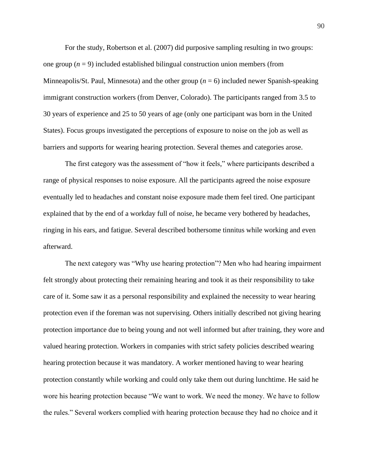For the study, Robertson et al. (2007) did purposive sampling resulting in two groups: one group  $(n = 9)$  included established bilingual construction union members (from Minneapolis/St. Paul, Minnesota) and the other group (*n* = 6) included newer Spanish-speaking immigrant construction workers (from Denver, Colorado). The participants ranged from 3.5 to 30 years of experience and 25 to 50 years of age (only one participant was born in the United States). Focus groups investigated the perceptions of exposure to noise on the job as well as barriers and supports for wearing hearing protection. Several themes and categories arose.

The first category was the assessment of "how it feels," where participants described a range of physical responses to noise exposure. All the participants agreed the noise exposure eventually led to headaches and constant noise exposure made them feel tired. One participant explained that by the end of a workday full of noise, he became very bothered by headaches, ringing in his ears, and fatigue. Several described bothersome tinnitus while working and even afterward.

The next category was "Why use hearing protection"? Men who had hearing impairment felt strongly about protecting their remaining hearing and took it as their responsibility to take care of it. Some saw it as a personal responsibility and explained the necessity to wear hearing protection even if the foreman was not supervising. Others initially described not giving hearing protection importance due to being young and not well informed but after training, they wore and valued hearing protection. Workers in companies with strict safety policies described wearing hearing protection because it was mandatory. A worker mentioned having to wear hearing protection constantly while working and could only take them out during lunchtime. He said he wore his hearing protection because "We want to work. We need the money. We have to follow the rules." Several workers complied with hearing protection because they had no choice and it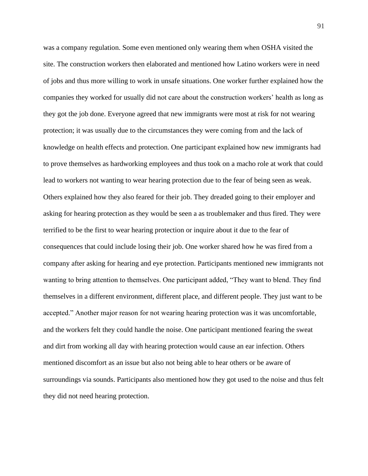was a company regulation. Some even mentioned only wearing them when OSHA visited the site. The construction workers then elaborated and mentioned how Latino workers were in need of jobs and thus more willing to work in unsafe situations. One worker further explained how the companies they worked for usually did not care about the construction workers' health as long as they got the job done. Everyone agreed that new immigrants were most at risk for not wearing protection; it was usually due to the circumstances they were coming from and the lack of knowledge on health effects and protection. One participant explained how new immigrants had to prove themselves as hardworking employees and thus took on a macho role at work that could lead to workers not wanting to wear hearing protection due to the fear of being seen as weak. Others explained how they also feared for their job. They dreaded going to their employer and asking for hearing protection as they would be seen a as troublemaker and thus fired. They were terrified to be the first to wear hearing protection or inquire about it due to the fear of consequences that could include losing their job. One worker shared how he was fired from a company after asking for hearing and eye protection. Participants mentioned new immigrants not wanting to bring attention to themselves. One participant added, "They want to blend. They find themselves in a different environment, different place, and different people. They just want to be accepted." Another major reason for not wearing hearing protection was it was uncomfortable, and the workers felt they could handle the noise. One participant mentioned fearing the sweat and dirt from working all day with hearing protection would cause an ear infection. Others mentioned discomfort as an issue but also not being able to hear others or be aware of surroundings via sounds. Participants also mentioned how they got used to the noise and thus felt they did not need hearing protection.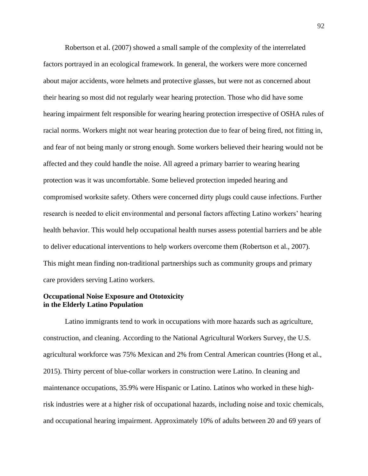Robertson et al. (2007) showed a small sample of the complexity of the interrelated factors portrayed in an ecological framework. In general, the workers were more concerned about major accidents, wore helmets and protective glasses, but were not as concerned about their hearing so most did not regularly wear hearing protection. Those who did have some hearing impairment felt responsible for wearing hearing protection irrespective of OSHA rules of racial norms. Workers might not wear hearing protection due to fear of being fired, not fitting in, and fear of not being manly or strong enough. Some workers believed their hearing would not be affected and they could handle the noise. All agreed a primary barrier to wearing hearing protection was it was uncomfortable. Some believed protection impeded hearing and compromised worksite safety. Others were concerned dirty plugs could cause infections. Further research is needed to elicit environmental and personal factors affecting Latino workers' hearing health behavior. This would help occupational health nurses assess potential barriers and be able to deliver educational interventions to help workers overcome them (Robertson et al., 2007). This might mean finding non-traditional partnerships such as community groups and primary care providers serving Latino workers.

# **Occupational Noise Exposure and Ototoxicity in the Elderly Latino Population**

Latino immigrants tend to work in occupations with more hazards such as agriculture, construction, and cleaning. According to the National Agricultural Workers Survey, the U.S. agricultural workforce was 75% Mexican and 2% from Central American countries (Hong et al., 2015). Thirty percent of blue-collar workers in construction were Latino. In cleaning and maintenance occupations, 35.9% were Hispanic or Latino. Latinos who worked in these highrisk industries were at a higher risk of occupational hazards, including noise and toxic chemicals, and occupational hearing impairment. Approximately 10% of adults between 20 and 69 years of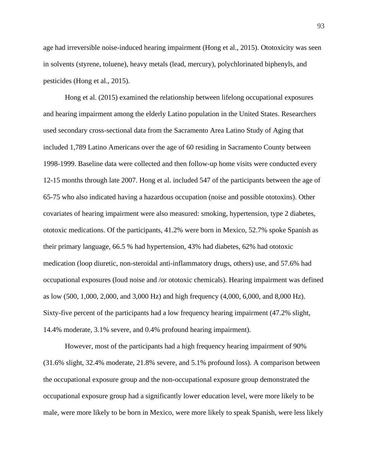age had irreversible noise-induced hearing impairment (Hong et al., 2015). Ototoxicity was seen in solvents (styrene, toluene), heavy metals (lead, mercury), polychlorinated biphenyls, and pesticides (Hong et al., 2015).

Hong et al. (2015) examined the relationship between lifelong occupational exposures and hearing impairment among the elderly Latino population in the United States. Researchers used secondary cross-sectional data from the Sacramento Area Latino Study of Aging that included 1,789 Latino Americans over the age of 60 residing in Sacramento County between 1998-1999. Baseline data were collected and then follow-up home visits were conducted every 12-15 months through late 2007. Hong et al. included 547 of the participants between the age of 65-75 who also indicated having a hazardous occupation (noise and possible ototoxins). Other covariates of hearing impairment were also measured: smoking, hypertension, type 2 diabetes, ototoxic medications. Of the participants, 41.2% were born in Mexico, 52.7% spoke Spanish as their primary language, 66.5 % had hypertension, 43% had diabetes, 62% had ototoxic medication (loop diuretic, non-steroidal anti-inflammatory drugs, others) use, and 57.6% had occupational exposures (loud noise and /or ototoxic chemicals). Hearing impairment was defined as low (500, 1,000, 2,000, and 3,000 Hz) and high frequency (4,000, 6,000, and 8,000 Hz). Sixty-five percent of the participants had a low frequency hearing impairment (47.2% slight, 14.4% moderate, 3.1% severe, and 0.4% profound hearing impairment).

However, most of the participants had a high frequency hearing impairment of 90% (31.6% slight, 32.4% moderate, 21.8% severe, and 5.1% profound loss). A comparison between the occupational exposure group and the non-occupational exposure group demonstrated the occupational exposure group had a significantly lower education level, were more likely to be male, were more likely to be born in Mexico, were more likely to speak Spanish, were less likely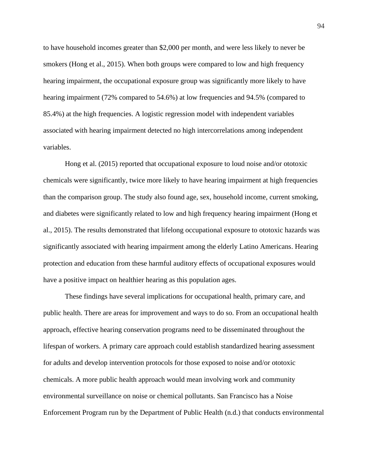to have household incomes greater than \$2,000 per month, and were less likely to never be smokers (Hong et al., 2015). When both groups were compared to low and high frequency hearing impairment, the occupational exposure group was significantly more likely to have hearing impairment (72% compared to 54.6%) at low frequencies and 94.5% (compared to 85.4%) at the high frequencies. A logistic regression model with independent variables associated with hearing impairment detected no high intercorrelations among independent variables.

Hong et al. (2015) reported that occupational exposure to loud noise and/or ototoxic chemicals were significantly, twice more likely to have hearing impairment at high frequencies than the comparison group. The study also found age, sex, household income, current smoking, and diabetes were significantly related to low and high frequency hearing impairment (Hong et al., 2015). The results demonstrated that lifelong occupational exposure to ototoxic hazards was significantly associated with hearing impairment among the elderly Latino Americans. Hearing protection and education from these harmful auditory effects of occupational exposures would have a positive impact on healthier hearing as this population ages.

These findings have several implications for occupational health, primary care, and public health. There are areas for improvement and ways to do so. From an occupational health approach, effective hearing conservation programs need to be disseminated throughout the lifespan of workers. A primary care approach could establish standardized hearing assessment for adults and develop intervention protocols for those exposed to noise and/or ototoxic chemicals. A more public health approach would mean involving work and community environmental surveillance on noise or chemical pollutants. San Francisco has a Noise Enforcement Program run by the Department of Public Health (n.d.) that conducts environmental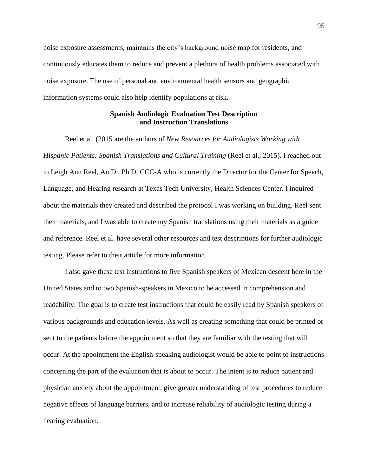noise exposure assessments, maintains the city's background noise map for residents, and continuously educates them to reduce and prevent a plethora of health problems associated with noise exposure. The use of personal and environmental health sensors and geographic information systems could also help identify populations at risk.

# **Spanish Audiologic Evaluation Test Description and Instruction Translations**

Reel et al. (2015 are the authors of *New Resources for Audiologists Working with Hispanic Patients: Spanish Translations and Cultural Training (Reel et al., 2015). I reached out* to Leigh Ann Reel, Au.D., Ph.D, CCC-A who is currently the Director for the Center for Speech, Language, and Hearing research at Texas Tech University, Health Sciences Center. I inquired about the materials they created and described the protocol I was working on building. Reel sent their materials, and I was able to create my Spanish translations using their materials as a guide and reference. Reel et al. have several other resources and test descriptions for further audiologic testing. Please refer to their article for more information.

I also gave these test instructions to five Spanish speakers of Mexican descent here in the United States and to two Spanish-speakers in Mexico to be accessed in comprehension and readability. The goal is to create test instructions that could be easily read by Spanish speakers of various backgrounds and education levels. As well as creating something that could be printed or sent to the patients before the appointment so that they are familiar with the testing that will occur. At the appointment the English-speaking audiologist would be able to point to instructions concerning the part of the evaluation that is about to occur. The intent is to reduce patient and physician anxiety about the appointment, give greater understanding of test procedures to reduce negative effects of language barriers, and to increase reliability of audiologic testing during a hearing evaluation.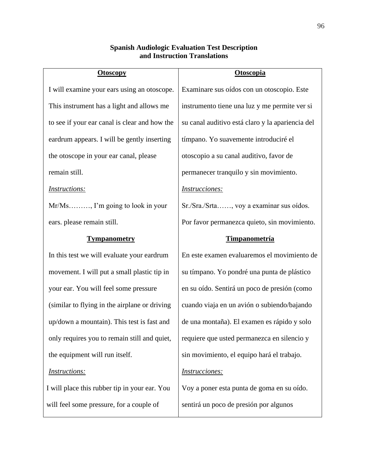# **Spanish Audiologic Evaluation Test Description and Instruction Translations**

| <b>Otoscopy</b>                               | <b>Otoscopia</b>                                 |
|-----------------------------------------------|--------------------------------------------------|
| I will examine your ears using an otoscope.   | Examinare sus oídos con un otoscopio. Este       |
| This instrument has a light and allows me     | instrumento tiene una luz y me permite ver si    |
| to see if your ear canal is clear and how the | su canal auditivo está claro y la apariencia del |
| eardrum appears. I will be gently inserting   | tímpano. Yo suavemente introduciré el            |
| the otoscope in your ear canal, please        | otoscopio a su canal auditivo, favor de          |
| remain still.                                 | permanecer tranquilo y sin movimiento.           |
| <i>Instructions:</i>                          | <i>Instrucciones:</i>                            |
| $Mr/Ms$ , I'm going to look in your           | Sr./Sra./Srta, voy a examinar sus oídos.         |
| ears. please remain still.                    | Por favor permanezca quieto, sin movimiento.     |
| <u>Tympanometry</u>                           | <u>Timpanometría</u>                             |
| In this test we will evaluate your eardrum    | En este examen evaluaremos el movimiento de      |
| movement. I will put a small plastic tip in   | su tímpano. Yo pondré una punta de plástico      |
| your ear. You will feel some pressure         | en su oído. Sentirá un poco de presión (como     |
| (similar to flying in the airplane or driving | cuando viaja en un avión o subiendo/bajando      |
| up/down a mountain). This test is fast and    | de una montaña). El examen es rápido y solo      |
| only requires you to remain still and quiet,  | requiere que usted permanezca en silencio y      |
| the equipment will run itself.                | sin movimiento, el equipo hará el trabajo.       |
| <i>Instructions:</i>                          | Instrucciones:                                   |
| I will place this rubber tip in your ear. You | Voy a poner esta punta de goma en su oído.       |
| will feel some pressure, for a couple of      | sentirá un poco de presión por algunos           |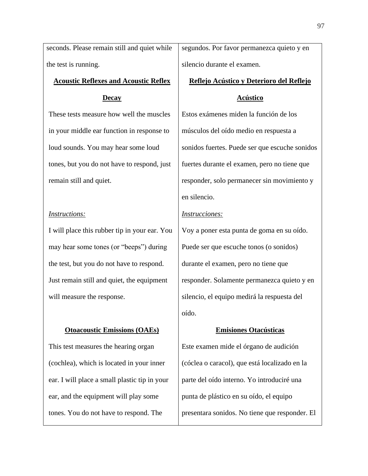seconds. Please remain still and quiet while the test is running.

# **Acoustic Reflexes and Acoustic Reflex**

### **Decay**

These tests measure how well the muscles in your middle ear function in response to loud sounds. You may hear some loud tones, but you do not have to respond, just remain still and quiet.

#### *Instructions:*

I will place this rubber tip in your ear. You may hear some tones (or "beeps") during the test, but you do not have to respond. Just remain still and quiet, the equipment will measure the response.

## **Otoacoustic Emissions (OAEs)**

This test measures the hearing organ (cochlea), which is located in your inner ear. I will place a small plastic tip in your ear, and the equipment will play some tones. You do not have to respond. The

segundos. Por favor permanezca quieto y en silencio durante el examen.

#### **Reflejo Acústico y Deterioro del Reflejo**

#### **Acústico**

Estos exámenes miden la función de los músculos del oído medio en respuesta a sonidos fuertes. Puede ser que escuche sonidos fuertes durante el examen, pero no tiene que responder, solo permanecer sin movimiento y en silencio.

#### *Instrucciones:*

Voy a poner esta punta de goma en su oído. Puede ser que escuche tonos (o sonidos) durante el examen, pero no tiene que responder. Solamente permanezca quieto y en silencio, el equipo medirá la respuesta del oído.

#### **Emisiones Otacústicas**

Este examen mide el órgano de audición (cóclea o caracol), que está localizado en la parte del oído interno. Yo introduciré una punta de plástico en su oído, el equipo presentara sonidos. No tiene que responder. El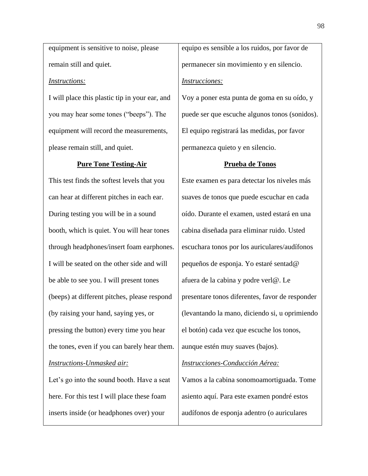equipment is sensitive to noise, please remain still and quiet.

#### *Instructions:*

I will place this plastic tip in your ear, and you may hear some tones ("beeps"). The equipment will record the measurements, please remain still, and quiet.

#### **Pure Tone Testing-Air**

This test finds the softest levels that you can hear at different pitches in each ear. During testing you will be in a sound booth, which is quiet. You will hear tones through headphones/insert foam earphones. I will be seated on the other side and will be able to see you. I will present tones (beeps) at different pitches, please respond (by raising your hand, saying yes, or pressing the button) every time you hear the tones, even if you can barely hear them. *Instructions-Unmasked air:*

Let's go into the sound booth. Have a seat here. For this test I will place these foam inserts inside (or headphones over) your

equipo es sensible a los ruidos, por favor de permanecer sin movimiento y en silencio. *Instrucciones:*

Voy a poner esta punta de goma en su oído, y puede ser que escuche algunos tonos (sonidos). El equipo registrará las medidas, por favor permanezca quieto y en silencio.

#### **Prueba de Tonos**

Este examen es para detectar los niveles más suaves de tonos que puede escuchar en cada oído. Durante el examen, usted estará en una cabina diseñada para eliminar ruido. Usted escuchara tonos por los auriculares/audífonos pequeños de esponja. Yo estaré sentad@ afuera de la cabina y podre verl@. Le presentare tonos diferentes, favor de responder (levantando la mano, diciendo si, u oprimiendo el botón) cada vez que escuche los tonos, aunque estén muy suaves (bajos).

#### *Instrucciones-Conducción Aérea:*

Vamos a la cabina sonomoamortiguada. Tome asiento aquí. Para este examen pondré estos audífonos de esponja adentro (o auriculares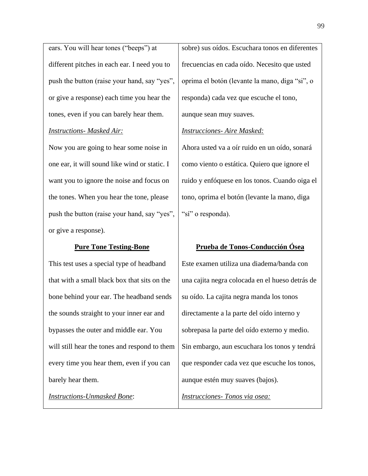ears. You will hear tones ("beeps") at different pitches in each ear. I need you to push the button (raise your hand, say "yes", or give a response) each time you hear the tones, even if you can barely hear them.

#### *Instructions- Masked Air:*

Now you are going to hear some noise in one ear, it will sound like wind or static. I want you to ignore the noise and focus on the tones. When you hear the tone, please push the button (raise your hand, say "yes", or give a response).

## **Pure Tone Testing-Bone**

This test uses a special type of headband that with a small black box that sits on the bone behind your ear. The headband sends the sounds straight to your inner ear and bypasses the outer and middle ear. You will still hear the tones and respond to them every time you hear them, even if you can barely hear them.

*Instructions-Unmasked Bone*:

sobre) sus oídos. Escuchara tonos en diferentes frecuencias en cada oído. Necesito que usted oprima el botón (levante la mano, diga "si", o responda) cada vez que escuche el tono, aunque sean muy suaves.

#### *Instrucciones- Aire Masked:*

Ahora usted va a oír ruido en un oído, sonará como viento o estática. Quiero que ignore el ruido y enfóquese en los tonos. Cuando oiga el tono, oprima el botón (levante la mano, diga "sí" o responda).

# **Prueba de Tonos-Conducción Ósea**

Este examen utiliza una diadema/banda con una cajita negra colocada en el hueso detrás de su oído. La cajita negra manda los tonos directamente a la parte del oído interno y sobrepasa la parte del oído externo y medio. Sin embargo, aun escuchara los tonos y tendrá que responder cada vez que escuche los tonos, aunque estén muy suaves (bajos). *Instrucciones- Tonos via osea:*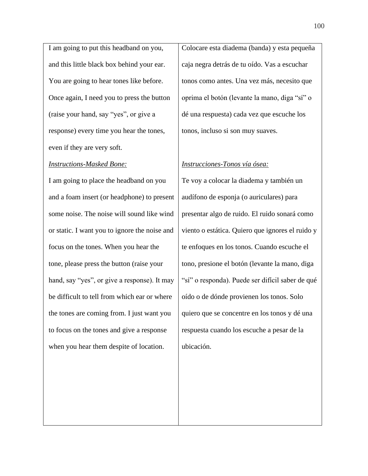I am going to put this headband on you, and this little black box behind your ear. You are going to hear tones like before. Once again, I need you to press the button (raise your hand, say "yes", or give a response) every time you hear the tones, even if they are very soft.

#### *Instructions-Masked Bone:*

I am going to place the headband on you and a foam insert (or headphone) to present some noise. The noise will sound like wind or static. I want you to ignore the noise and focus on the tones. When you hear the tone, please press the button (raise your hand, say "yes", or give a response). It may be difficult to tell from which ear or where the tones are coming from. I just want you to focus on the tones and give a response when you hear them despite of location.

Colocare esta diadema (banda) y esta pequeña caja negra detrás de tu oído. Vas a escuchar tonos como antes. Una vez más, necesito que oprima el botón (levante la mano, diga "sí" o dé una respuesta) cada vez que escuche los tonos, incluso si son muy suaves.

#### *Instrucciones-Tonos vía ósea:*

Te voy a colocar la diadema y también un audífono de esponja (o auriculares) para presentar algo de ruido. El ruido sonará como viento o estática. Quiero que ignores el ruido y te enfoques en los tonos. Cuando escuche el tono, presione el botón (levante la mano, diga "sí" o responda). Puede ser difícil saber de qué oído o de dónde provienen los tonos. Solo quiero que se concentre en los tonos y dé una respuesta cuando los escuche a pesar de la ubicación.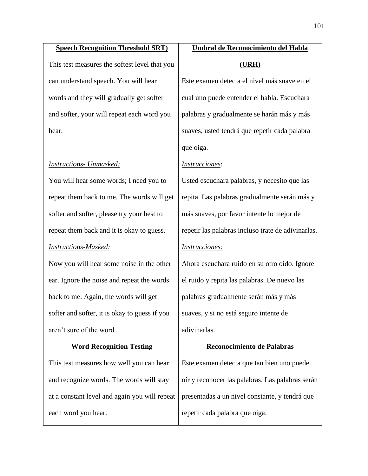#### **Speech Recognition Threshold SRT)**

This test measures the softest level that you can understand speech. You will hear words and they will gradually get softer and softer, your will repeat each word you hear.

## *Instructions- Unmasked:*

You will hear some words; I need you to repeat them back to me. The words will get softer and softer, please try your best to repeat them back and it is okay to guess. *Instructions-Masked:*

Now you will hear some noise in the other ear. Ignore the noise and repeat the words back to me. Again, the words will get softer and softer, it is okay to guess if you aren't sure of the word.

## **Word Recognition Testing**

This test measures how well you can hear and recognize words. The words will stay at a constant level and again you will repeat each word you hear.

# **Umbral de Reconocimiento del Habla (URH)**

Este examen detecta el nivel más suave en el cual uno puede entender el habla. Escuchara palabras y gradualmente se harán más y más suaves, usted tendrá que repetir cada palabra que oiga.

### *Instrucciones*:

Usted escuchara palabras, y necesito que las repita. Las palabras gradualmente serán más y más suaves, por favor intente lo mejor de repetir las palabras incluso trate de adivinarlas. *Instrucciones:*

Ahora escuchara ruido en su otro oído. Ignore el ruido y repita las palabras. De nuevo las palabras gradualmente serán más y más suaves, y si no está seguro intente de adivinarlas.

# **Reconocimiento de Palabras**

Este examen detecta que tan bien uno puede oír y reconocer las palabras. Las palabras serán presentadas a un nivel constante, y tendrá que repetir cada palabra que oiga.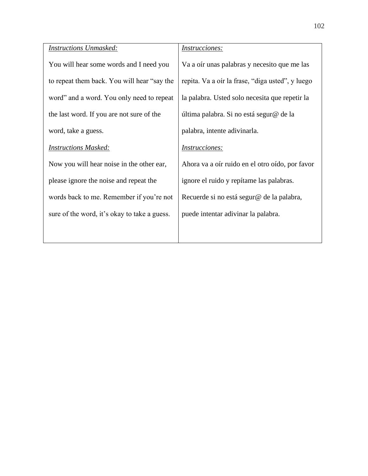| <b>Instructions Unmasked:</b>                | <i>Instrucciones:</i>                            |
|----------------------------------------------|--------------------------------------------------|
| You will hear some words and I need you      | Va a oír unas palabras y necesito que me las     |
| to repeat them back. You will hear "say the  | repita. Va a oir la frase, "diga usted", y luego |
| word" and a word. You only need to repeat    | la palabra. Usted solo necesita que repetir la   |
| the last word. If you are not sure of the    | última palabra. Si no está segur@ de la          |
| word, take a guess.                          | palabra, intente adivinarla.                     |
| <b>Instructions Masked:</b>                  | <i>Instrucciones:</i>                            |
| Now you will hear noise in the other ear,    | Ahora va a oír ruido en el otro oído, por favor  |
| please ignore the noise and repeat the       | ignore el ruido y repítame las palabras.         |
| words back to me. Remember if you're not     | Recuerde si no está segur@ de la palabra,        |
| sure of the word, it's okay to take a guess. | puede intentar adivinar la palabra.              |
|                                              |                                                  |
|                                              |                                                  |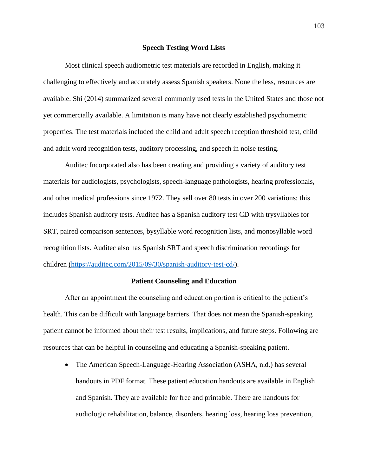## **Speech Testing Word Lists**

Most clinical speech audiometric test materials are recorded in English, making it challenging to effectively and accurately assess Spanish speakers. None the less, resources are available. Shi (2014) summarized several commonly used tests in the United States and those not yet commercially available. A limitation is many have not clearly established psychometric properties. The test materials included the child and adult speech reception threshold test, child and adult word recognition tests, auditory processing, and speech in noise testing.

Auditec Incorporated also has been creating and providing a variety of auditory test materials for audiologists, psychologists, speech-language pathologists, hearing professionals, and other medical professions since 1972. They sell over 80 tests in over 200 variations; this includes Spanish auditory tests. Auditec has a Spanish auditory test CD with trysyllables for SRT, paired comparison sentences, bysyllable word recognition lists, and monosyllable word recognition lists. Auditec also has Spanish SRT and speech discrimination recordings for children [\(https://auditec.com/2015/09/30/spanish-auditory-test-cd/\)](https://auditec.com/2015/09/30/spanish-auditory-test-cd/).

## **Patient Counseling and Education**

After an appointment the counseling and education portion is critical to the patient's health. This can be difficult with language barriers. That does not mean the Spanish-speaking patient cannot be informed about their test results, implications, and future steps. Following are resources that can be helpful in counseling and educating a Spanish-speaking patient.

• The American Speech-Language-Hearing Association (ASHA, n.d.) has several handouts in PDF format. These patient education handouts are available in English and Spanish. They are available for free and printable. There are handouts for audiologic rehabilitation, balance, disorders, hearing loss, hearing loss prevention,

103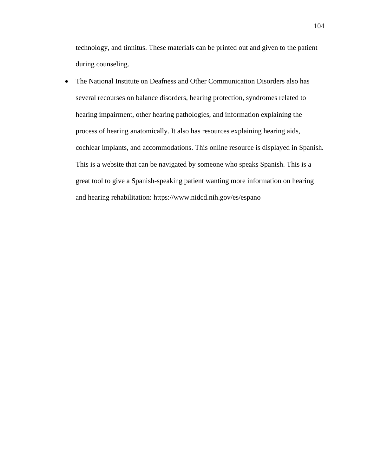technology, and tinnitus. These materials can be printed out and given to the patient during counseling.

• The National Institute on Deafness and Other Communication Disorders also has several recourses on balance disorders, hearing protection, syndromes related to hearing impairment, other hearing pathologies, and information explaining the process of hearing anatomically. It also has resources explaining hearing aids, cochlear implants, and accommodations. This online resource is displayed in Spanish. This is a website that can be navigated by someone who speaks Spanish. This is a great tool to give a Spanish-speaking patient wanting more information on hearing and hearing rehabilitation: https://www.nidcd.nih.gov/es/espano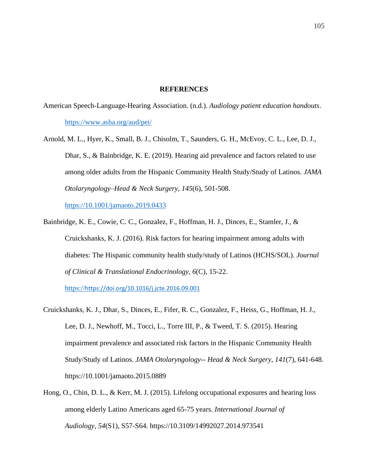## **REFERENCES**

- American Speech-Language-Hearing Association. (n.d.). *Audiology patient education handouts*. <https://www.asha.org/aud/pei/>
- Arnold, M. L., Hyer, K., Small, B. J., Chisolm, T., Saunders, G. H., McEvoy, C. L., Lee, D. J., Dhar, S., & Bainbridge, K. E. (2019). Hearing aid prevalence and factors related to use among older adults from the Hispanic Community Health Study/Study of Latinos. *JAMA Otolaryngology–Head & Neck Surgery, 145*(6), 501-508. [https://10.1001/jamaoto.2019.0433](https://10.0.3.233/jamaoto.2019.0433)
- Bainbridge, K. E., Cowie, C. C., Gonzalez, F., Hoffman, H. J., Dinces, E., Stamler, J., & Cruickshanks, K. J. (2016). Risk factors for hearing impairment among adults with diabetes: The Hispanic community health study/study of Latinos (HCHS/SOL). *Journal of Clinical & Translational Endocrinology, 6*(C), 15-22.

[https://](https://doi.org/10.1016/j.jcte.2016.09.001)<https://doi.org/10.1016/j.jcte.2016.09.001>

- Cruickshanks, K. J., Dhar, S., Dinces, E., Fifer, R. C., Gonzalez, F., Heiss, G., Hoffman, H. J., Lee, D. J., Newhoff, M., Tocci, L., Torre III, P., & Tweed, T. S. (2015). Hearing impairment prevalence and associated risk factors in the Hispanic Community Health Study/Study of Latinos. *JAMA Otolaryngology-- Head & Neck Surgery, 141*(7), 641-648. [https://10.1001/jamaoto.2015.0889](https://10.0.3.233/jamaoto.2015.0889)
- Hong, O., Chin, D. L., & Kerr, M. J. (2015). Lifelong occupational exposures and hearing loss among elderly Latino Americans aged 65-75 years. *International Journal of Audiology, 54*(S1), S57-S64. https://10.3109/14992027.2014.973541